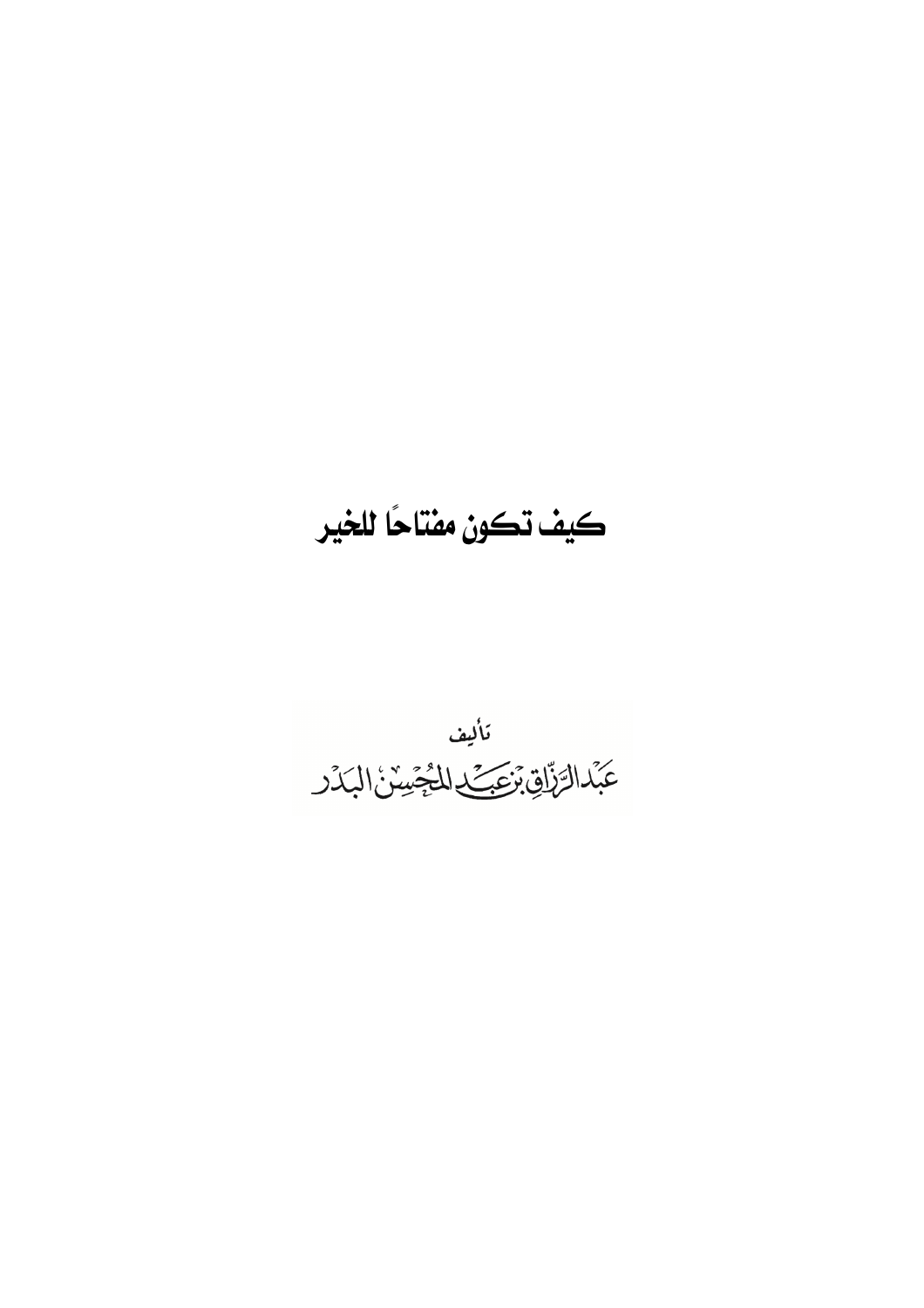ٮؘٲڮڡ<br>ۼؘڹٛڐٳڷڗۣڷڷۣڔٞ<u>ڹٶڲ</u>ٳڸڵڿٛڝؚڹ؇ڶؠػۮ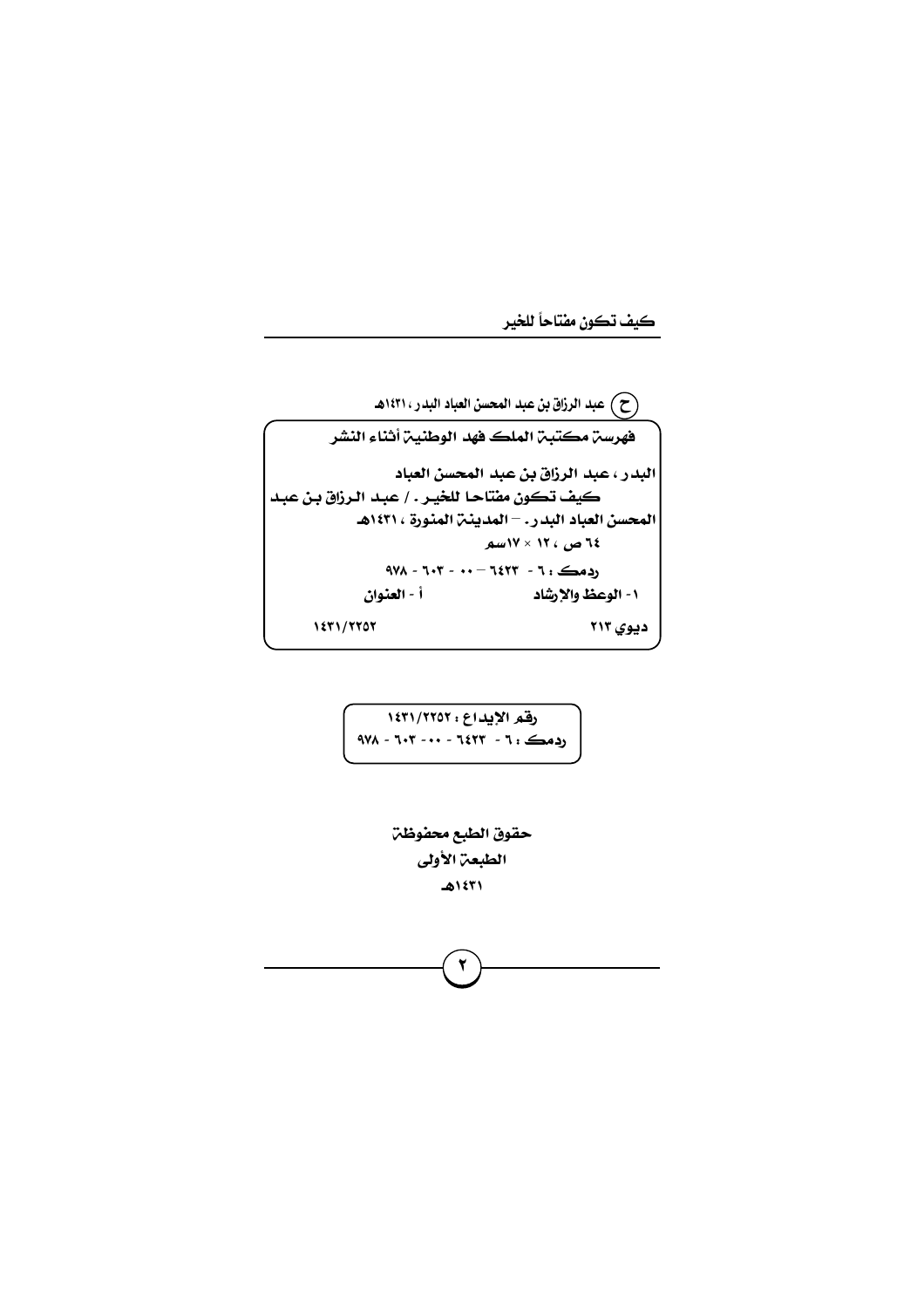حقوق الطبع محفوظن الطبعة الأولى  $A(Y)$ 

$$
\underbrace{\hspace{2.5cm}}_{\textstyle\hspace{2.5cm}}\bigcirc\hspace{2.5cm}
$$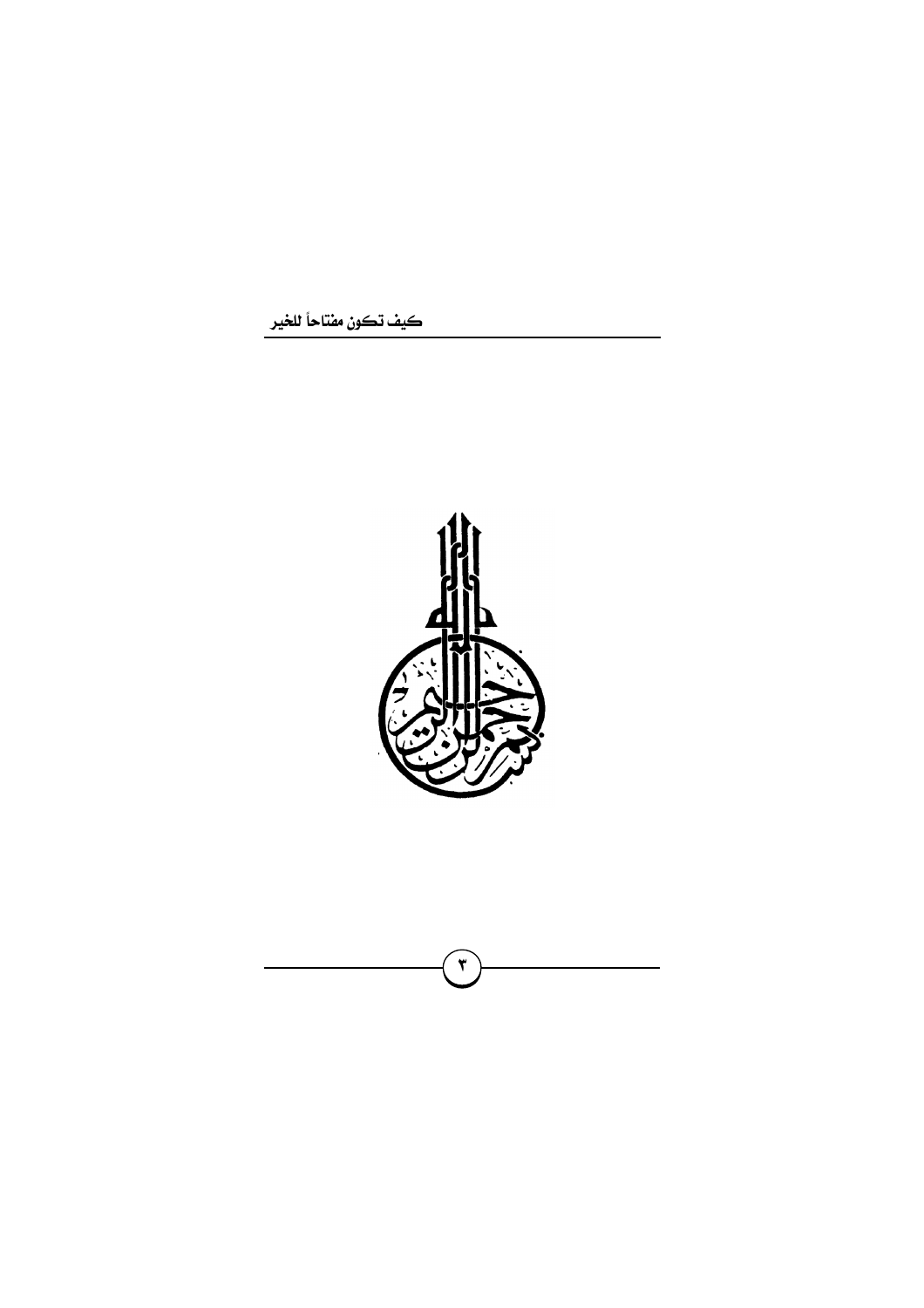

 $\widehat{\mathbf{r}}$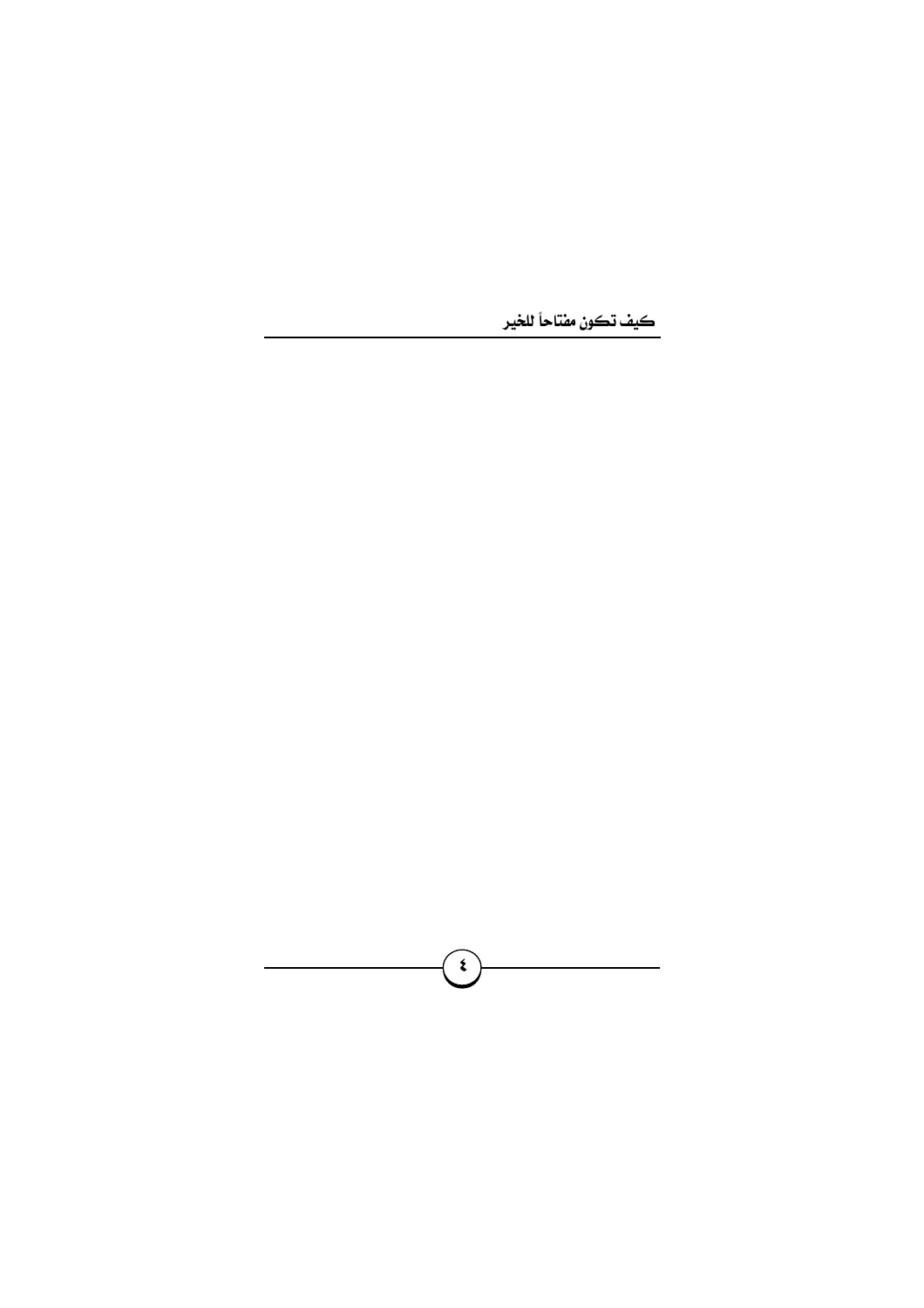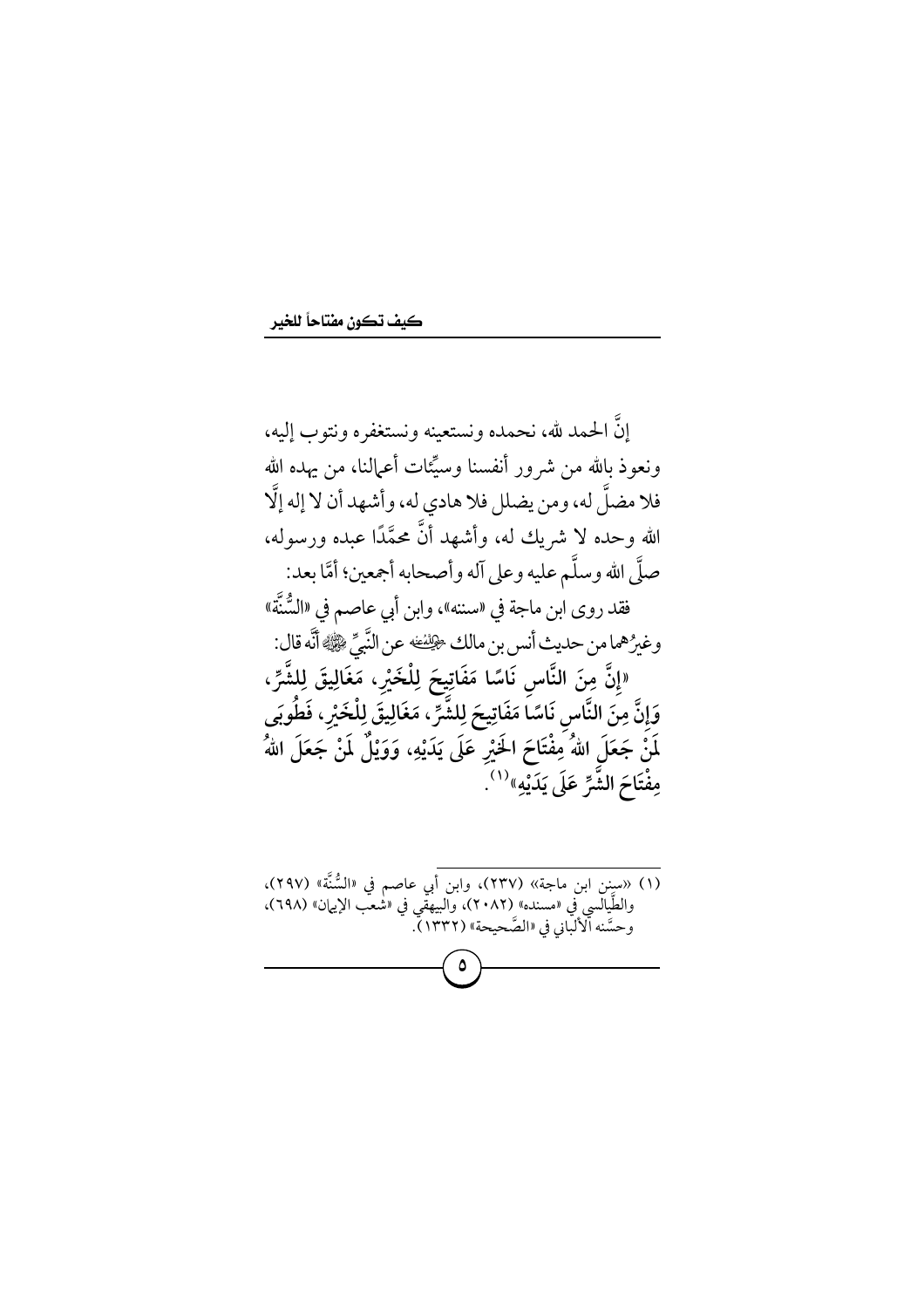إنَّ الحمد لله، نحمده ونستعينه ونستغفره ونتوب إليه، ونعوذ بالله من شرور أنفسنا وسيِّئات أعمالنا، من يهده الله فلا مضلَّ له، ومن يضلل فلا هادي له، وأشهد أن لا إله إلَّا الله وحده لا شريك له، وأشهد أنَّ محمَّدًا عبده ورسوله، صلَّى الله وسلَّم عليه وعلى آله وأصحابه أجمعين؛ أمَّا بعد: فقد روى ابن ماجة في «سننه»، وابن أبي عاصم في «السُّنَّة» وغيرُهما من حديث أنس بن مالك حِيَنْئِه عن النَّبِيِّ صِيْلِهِ أَنَّه قال: «إِنَّ مِنَ النَّاس نَاسًا مَفَاتِيحَ لِلْخَيْرِ، مَغَالِيقَ لِلشَّرِّ، وَإِنَّ مِنَ النَّاسِ نَاسًا مَفَاتِيحَ لِلشَّرِّ، مَغَالِيقَ لِلْخَيْرِ، فَطُوبَى لَمْنْ جَعَلَ اللهُ مِفْتَاحَ الْخَيْرِ عَلَى يَدَيْهِ، وَوَيْلٌ لَمَنْ جَعَلَ اللهُ مِفْتَاحَ الشَّرِّ عَلَى يَدَيْهِ»<sup>(۱)</sup>.

(١) «سنِن ابن ماجة» (٢٣٧)، وابن أبي عاصم في «السُّنَّة» (٢٩٧)، .ن ...<br>والطَّيَالسي في «مسنده» (٢٠٨٢)، والبيهقي في «شعب الإيهان» (٦٩٨)،<br>وحسَّنه الألباني في «الصَّحيحة» (١٣٣٢).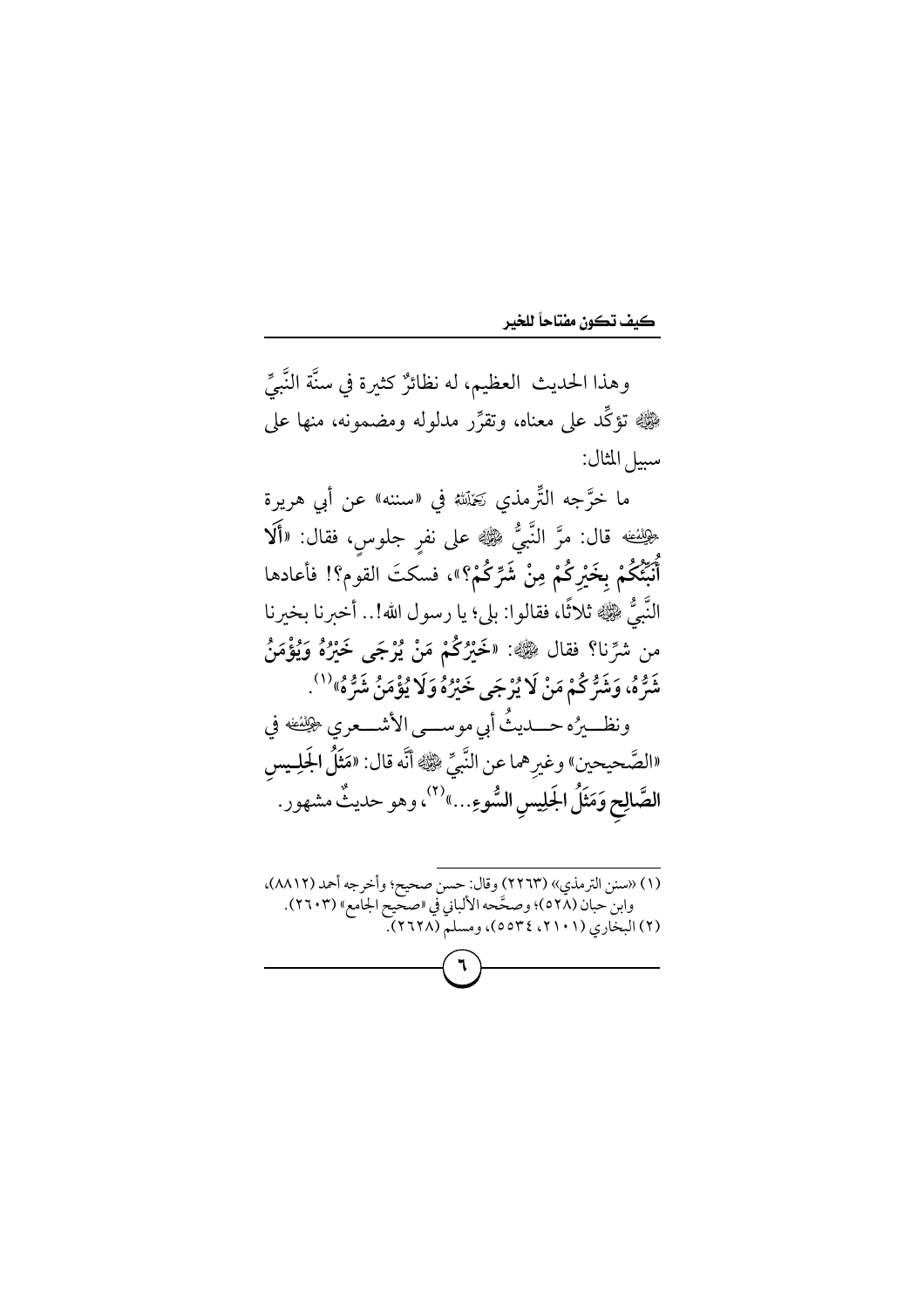وهذا الحديث العظيم، له نظائرٌ كثيرة في سنَّة النَّبِيِّ ﷺ تؤكِّد على معناه، وتقرِّر مدلوله ومضمونه، منها على سبيل المثال:

ما خرَّجه التِّرمذي رَخَمْلَتْهُ في «سننه» عن أبي هريرة هِيْنُتْهِ قال: مرَّ النَّبيُّ ﷺ على نفرٍ جلوسٍ، فقال: «أَلَا أَبُبُّتُكُمْ بِخَيْرِكُمْ مِنْ شَرِّكُمْ؟»، فسكتَ القوم؟! فأعادها النَّبِيُّ ١٤٠٠، فقالوا: بلي؛ يا رسول الله!.. أخبرنا بخيرنا من شرِّنا؟ فقال ﷺ: «خَيْرُكُمْ مَنْ يُرْجَى خَيْرُهُ وَيُؤْمَنُ شَرُّهُ، وَشَرُّكُمْ مَنْ لَا يُرْجَى خَيْرُهُ وَلَا يُؤْمَنُ شَرُّهُ» ('').

ونظــــيرُه حــــــديثُ أبي موســـــي الأشـــــعري ﴿يَنْفُهُ فِي «الصَّحيحين» وغيرِهما عن النَّبيِّ ١١٠، قال: «مَثَلُ الجَلِـيس الصَّالِحِ وَمَثَلُ الجَلِيسِ السُّوءِ...»<sup>(٢)</sup>، وهو حديثٌ مشهور.

(١) «سنن الترمذي» (٢٢٦٣) وقال: حسن صحيح؛ وأخرجه أحمد (٨٨١٢)،<br>وابن حبان (٥٢٨)؛ وصحَّحه الألباني في «صحيح الجامع» (٢٦٠٣).<br>(٢) البخاري (٢١٠١، ٥٥٣٤)، ومسلم (٢٦٢٨).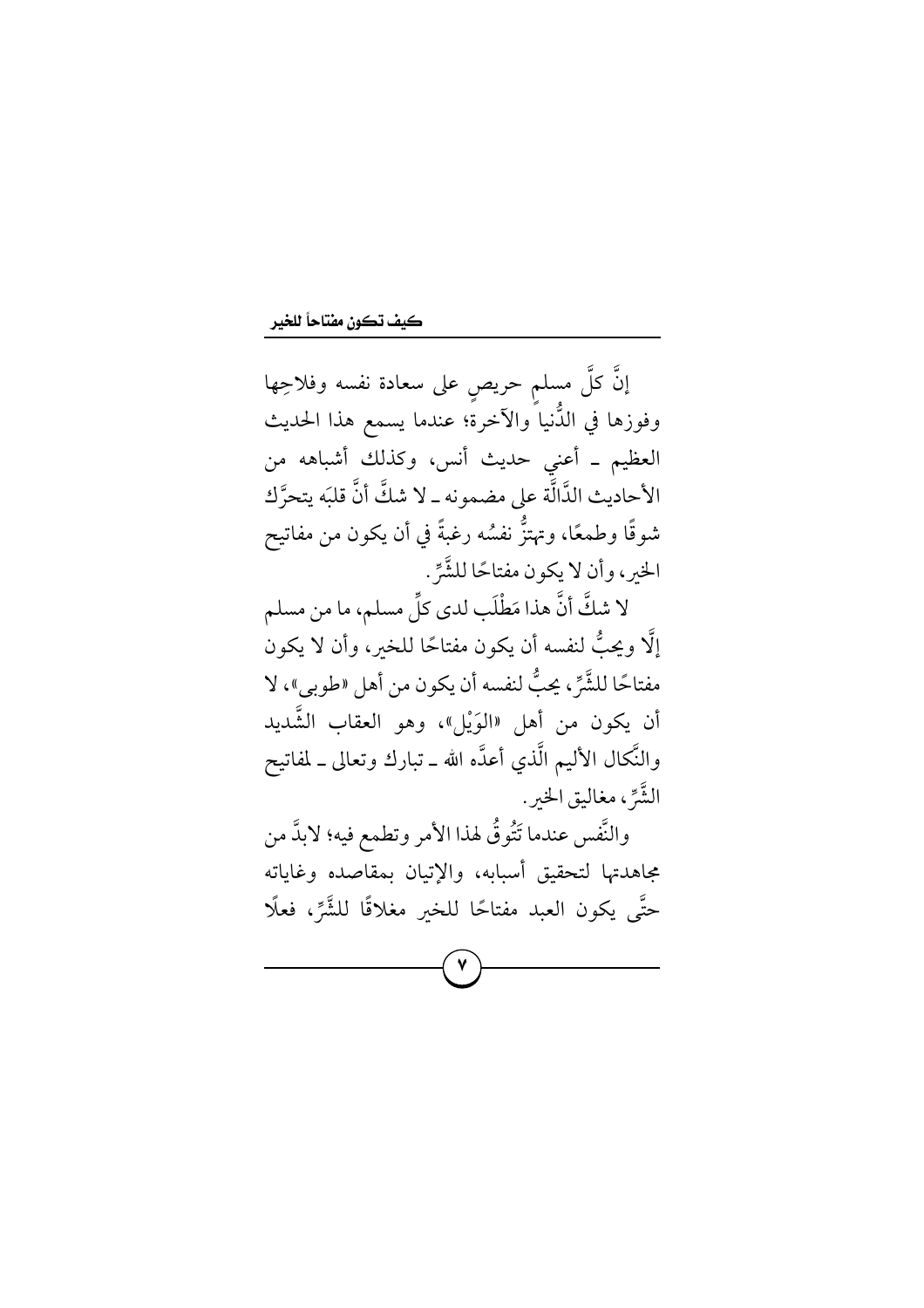إنَّ كلَّ مسلمٍ حريصٍ على سعادة نفسه وفلاحِها وفوزها في الدُّنياً والآخرة؛ عندما يسمع هذا الحديث العظيم ـ أعنى حديث أنس، وكذلك أشباهه من الأحاديث الدَّالَّة على مضمونه ــ لا شكَّ أنَّ قلبَه يتحرَّك شوقًا وطمعًا، وتهتزُّ نفسُه رغبةً في أن يكون من مفاتيح الخبر، وأن لا يكون مفتاحًا للشَّرِّ .

لا شكَّ أنَّ هذا مَطْلَب لدى كلِّ مسلم، ما من مسلم إلَّا ويحبُّ لنفسه أن يكون مفتاحًا للخير، وأن لا يكون مفتاحًا للشَّرِّ، يحبُّ لنفسه أن يكون من أهل «طوبي»، لا أن يكون من أهل «الوَيْل»، وهو العقاب الشَّديد والنَّكال الأليم الَّذي أعدَّه الله ـ تبارك وتعالى ـ لمفاتيح الشَّرِّ ، مغاليق الخير.

والنَّفس عندما تَتُوقُ لهذا الأمر وتطمع فيه؛ لابدَّ من مجاهدتها لتحقيق أسبابه، والإتيان بمقاصده وغاياته حتَّى يكون العبد مفتاحًا للخير مغلاقًا للشَّرِّ، فعلًا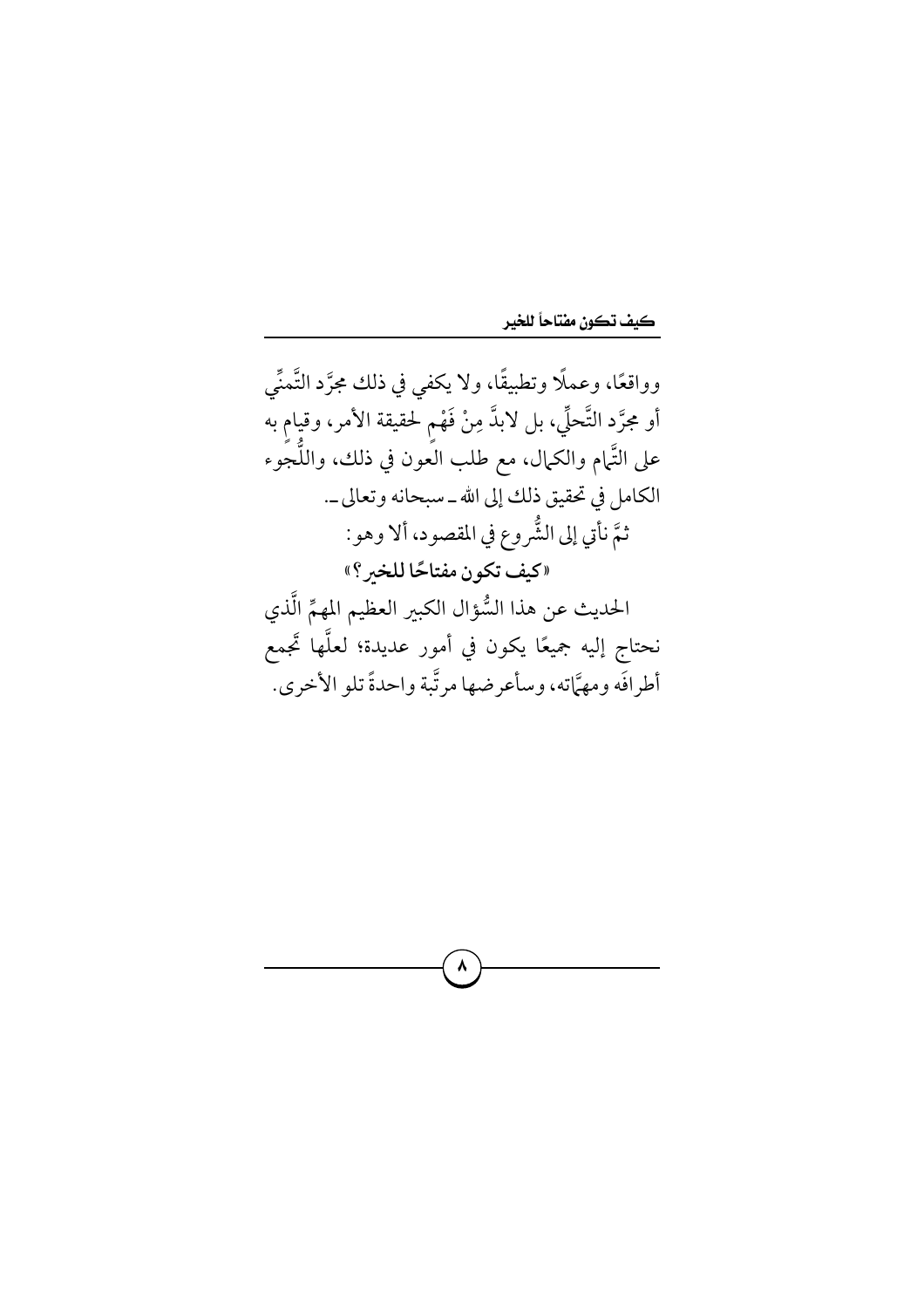وواقعًا، وعملًا وتطبيقًا، ولا يكفي في ذلك مجرَّد التَّمنِّي أو مجرَّد التَّحلِّي، بل لابدَّ مِنْ فَهْمِ لحقيقة الأمر، وقيام به على التَّمام والكمال، مع طلب العَون في ذلك، واللُّجَوء الكامل في تحقيق ذلك إلى الله ــ سبحانه وتعالى ــ. ثمَّ نأتي إلى الشُّروع في المقصود، ألا وهو: «كيف تكون مفتاحًا للخبر؟» الحديث عن هذا السُّؤال الكبير العظيم المهمِّ الَّذي نحتاج إليه جميعًا يكون في أمور عديدة؛ لعلَّها تَجمع أطرافَه ومهيَّاته، وسأعرضها مرتَّبة واحدةً تلو الأخرى.

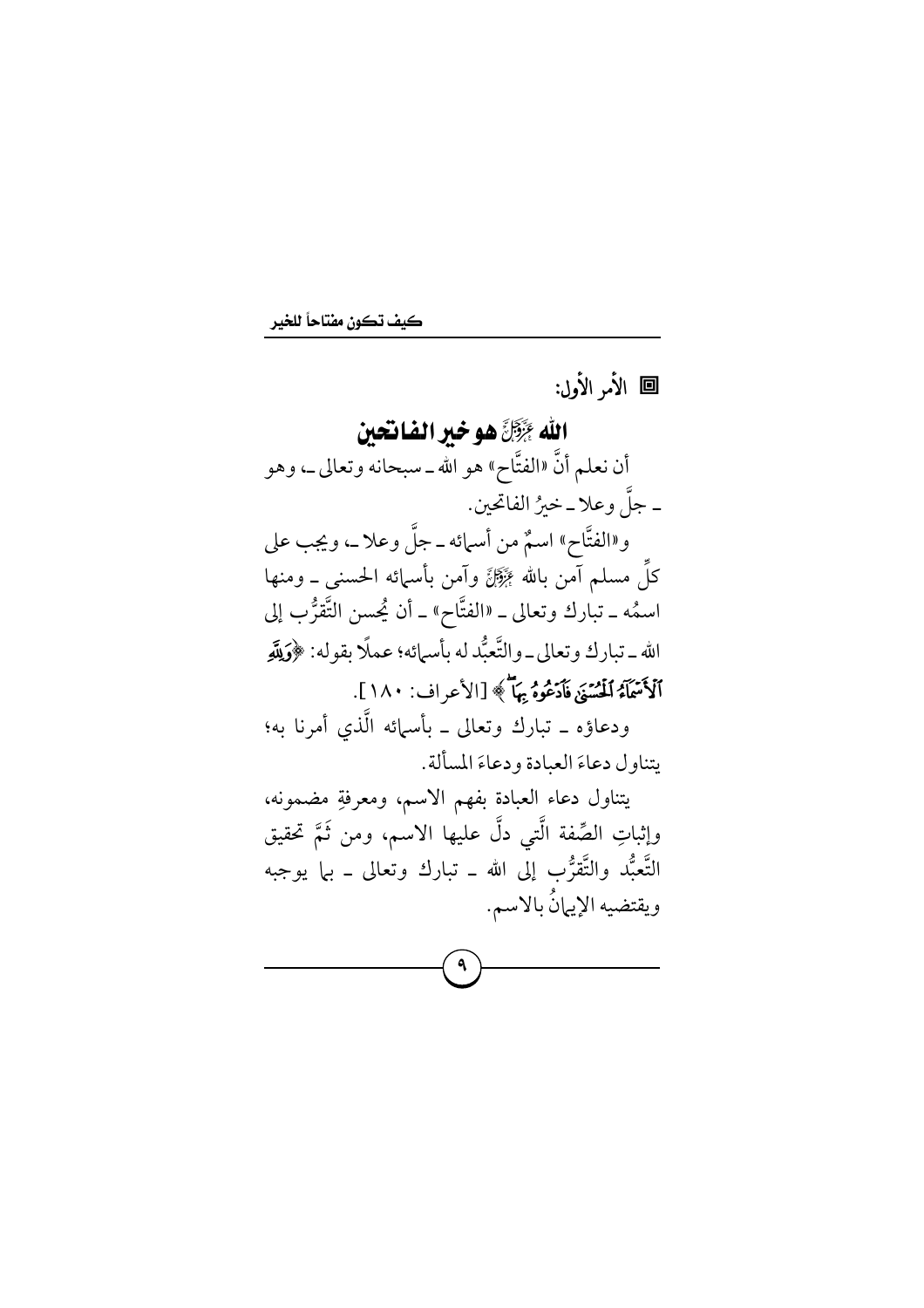**III** الأمر الأول:

# الله ﷺ هو خير الفانحين

أن نعلم أنَّ «الفتَّاح» هو الله ــ سبحانه وتعالى ــ، وهو ـ جلَّ وعلا ـ خيرُ الفاتحين. و«الفتَّاح» اسمٌ من أسمائه ـ جلَّ وعلا ـ، ويجب على

كلِّ مسلم آمن بالله ﷺ وآمن بأسمائه الحسنى ــ ومنها اسمُه ــ تبارك وتعالى ــ «الفتَّاح» ــ أن يُحسن التَّقرُّب إلى الله ــ تبارك وتعالى\_والتَّعبُّد له بأسمائه؛ عملًا بقوله: ﴿وَلِلَّهِ أَلْأَمْثَلَةُ ٱلْمُشْيَنِ فَأَدْعُوهُ بِهَا ۖ ﴾ [الأعراف: ١٨٠].

ودعاؤه ـ تبارك وتعالى ـ بأسمائه الَّذى أمرنا به؛ بتناول دعاءَ العبادة و دعاءَ المسألة.

يتناول دعاء العبادة بفهم الاسم، ومعرفةِ مضمونه، وإثباتِ الصِّفة الَّتي دلَّ عليها الاسم، ومن ثَمَّ تحقيق التَّعبُّد والتَّقرُّب إلى الله ــ تبارك وتعالى ــ بها يوجبه ويقتضيه الإيهانُ بالاسم.

٩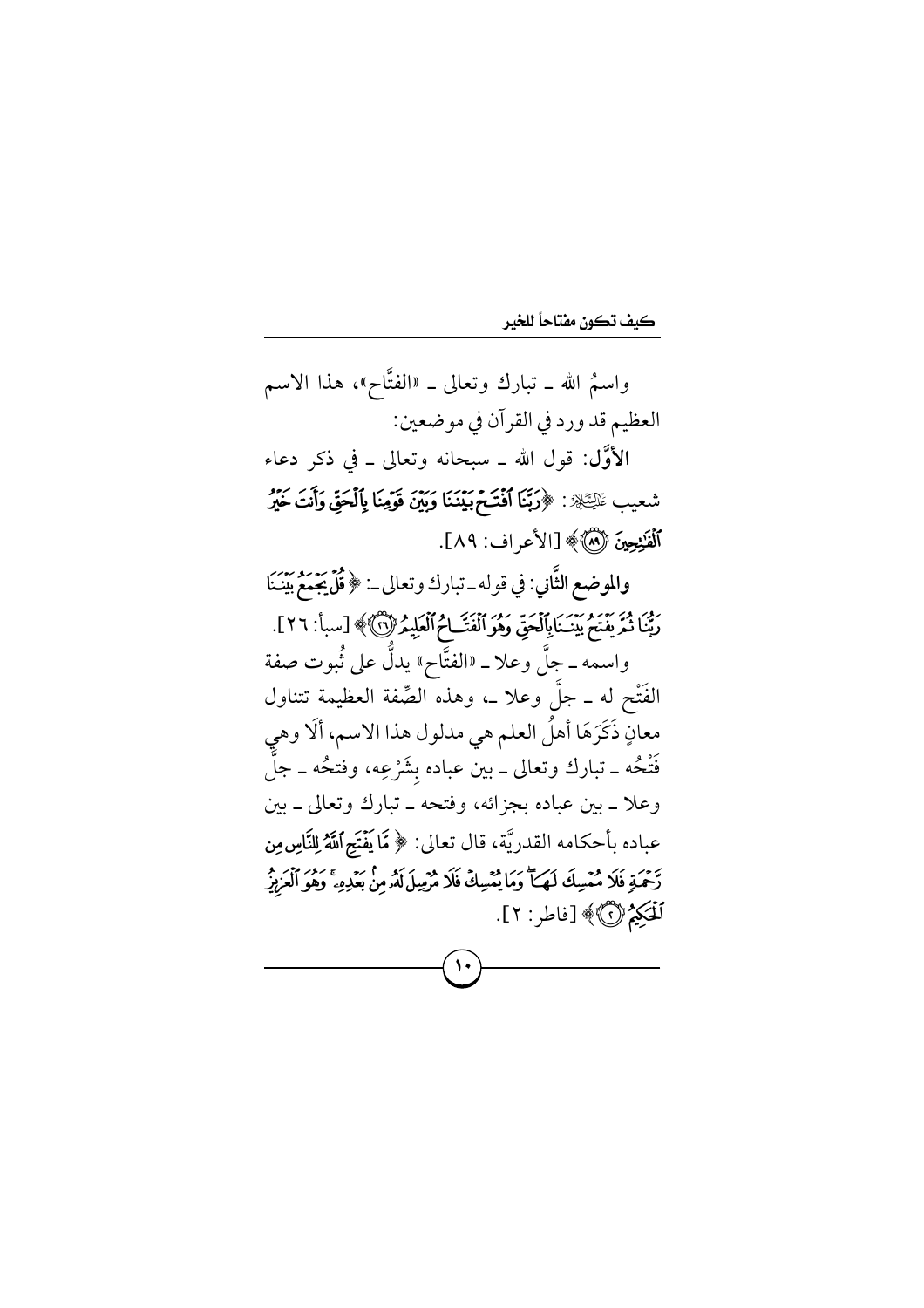واسمُ الله ـ تبارك وتعالى ـ «الفتَّاح»، هذا الاسم العظيم قد ورد في القرآن في موضعين: الأَوَّل: قول الله ــ سبحانه وتعالى ــ في ذكر دعاء شعيب ﷺ: ﴿رَبَّنَا أَفْتَحْ بَيْنَنَا وَبَيْنَ قَوْمِنَا بِٱلْحَقِّ وَأَنْتَ خَيْرُ ٱلْفَنِعِينَ (لَهُ)﴾ [الأعراف: ٨٩].

والموضع الثَّاني: في قوله ـ تبارك وتعالى ـ: ﴿ قُلْ يَجْمَعُ بَيْنَنَا رُمْرُ ثُمَّةٍ يَفْسَعُ بَيْسَنَايِاْلُحِقّ وَهُوَ ٱلْفَتَّاحُ ٱلْعَلِيْمُ (٣)﴾ [سبأ: ٢٦].

واسمه ــ جلَّ وعلا ــ «الفتَّاح» يدلُّ على ثُبوت صفة الفَتْح له ــ جلَّ وعلا ــ، وهذه الصِّفة العظيمة تتناول معانٍّ ذَكَرَهَا أهلُ العلم هي مدلول هذا الاسم، ألَا وهي فَتْحُه ــ تبارك وتعالى ــ بين عباده بِشَرْعِه، وفتحُه ــ جلَّ وعلا ــ بين عباده بجزائه، وفتحه ــ تبارك وتعالى ــ بين عباده بأحكامه القدريَّة، قال تعالى: ﴿ مَّا يَفْتَحِ ٱللَّهُ لِلنَّاسِ مِن رَّحْمَةٍ فَلَا مُمَّسِكَ لَهَكَّأْ وَمَا يُمۡسِكَ فَلَا مُرۡسِلَ لَهُ مِنۡ بَعۡلِهِۦۚ ۚ وَهُوَ ٱلۡعَزِيزِ لَمْتَكِيمُ ۞﴾ [فاطر: ٢].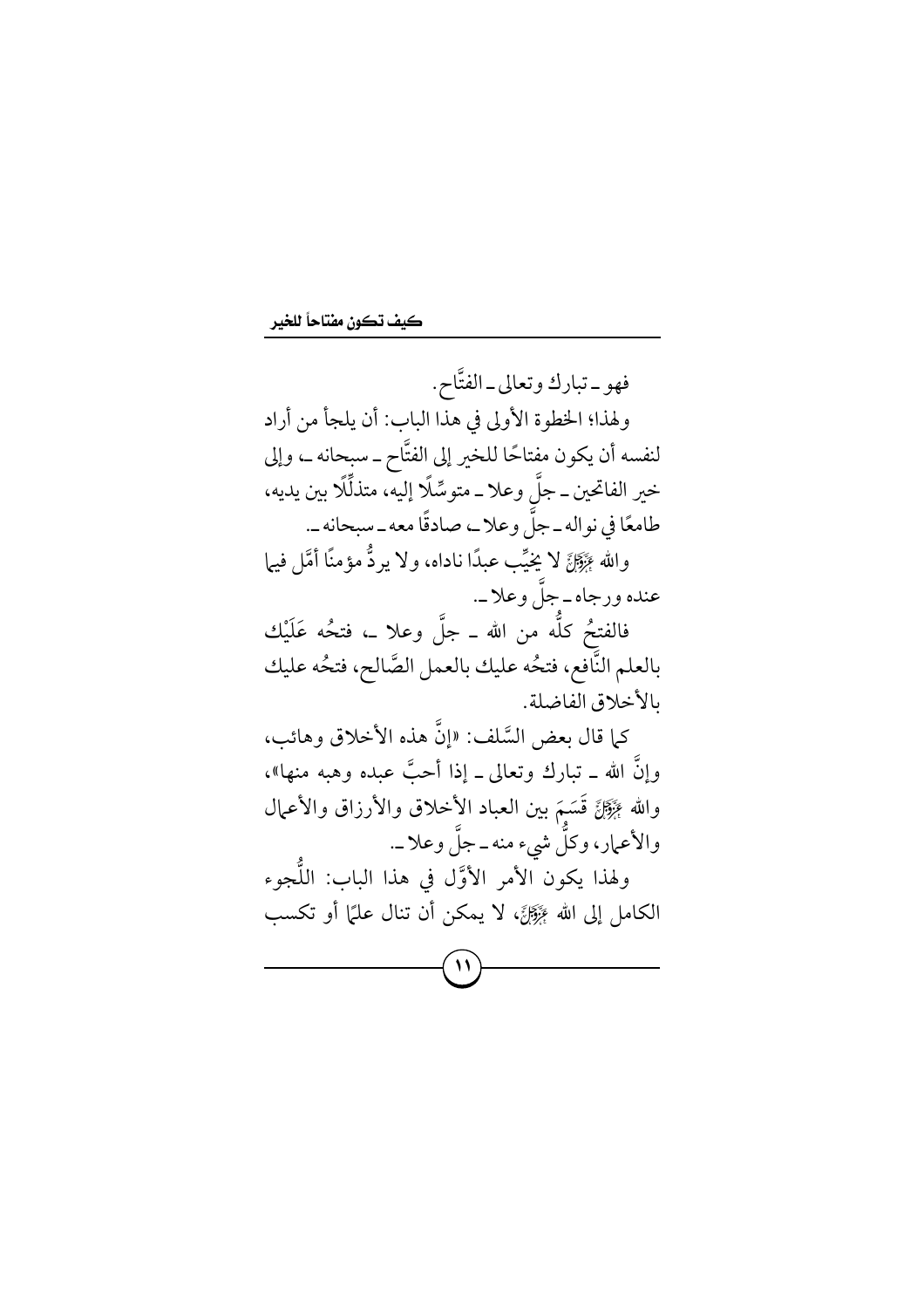فهو \_ تبارك وتعالى\_الفتَّاح. ولهذا؛ الخطوة الأولى في هذا الباب: أن يلجأ من أراد لنفسه أن يكون مفتاحًا للخير إلى الفتَّاح ــ سبحانه ــ، وإلى خير الفاتحين ــ جلَّ وعلا ــ متوسِّلًا إليه، متذلِّلًا بين يديه، طامعًا في نواله ــ جلَّ وعلاـــ، صادقًا معه ــ سبحانه ــ. والله عَزَّقِلَّ لا يُخيِّب عبدًا ناداه، ولا يردُّ مؤمنًا أمَّل فيها عنده ورجاه ــ جلَّ وعلا ــ. فالفتحُ كلُّه من الله ــ جلَّ وعلا ــ، فتحُه عَلَيْك بالعلم النَّافع، فتحُه عليك بالعمل الصَّالح، فتحُه عليك بالأخلاق الفاضلة. كما قال بعض السَّلف: «إنَّ هذه الأخلاق وهائب، وإنَّ الله ــ تبارك وتعالى ــ إذا أحبَّ عبده وهبه منها»، والله ﷺ قَسَمَ بين العباد الأخلاق والأرزاق والأعيال والأعمار، وكلَّ شيء منه ــ جلَّ وعلا ــ. ولهذا يكون الأمر الأوَّل في هذا الباب: اللَّجوء

الكامل إلى الله ﷺ، لا يمكن أن تنال علمًا أو تكسب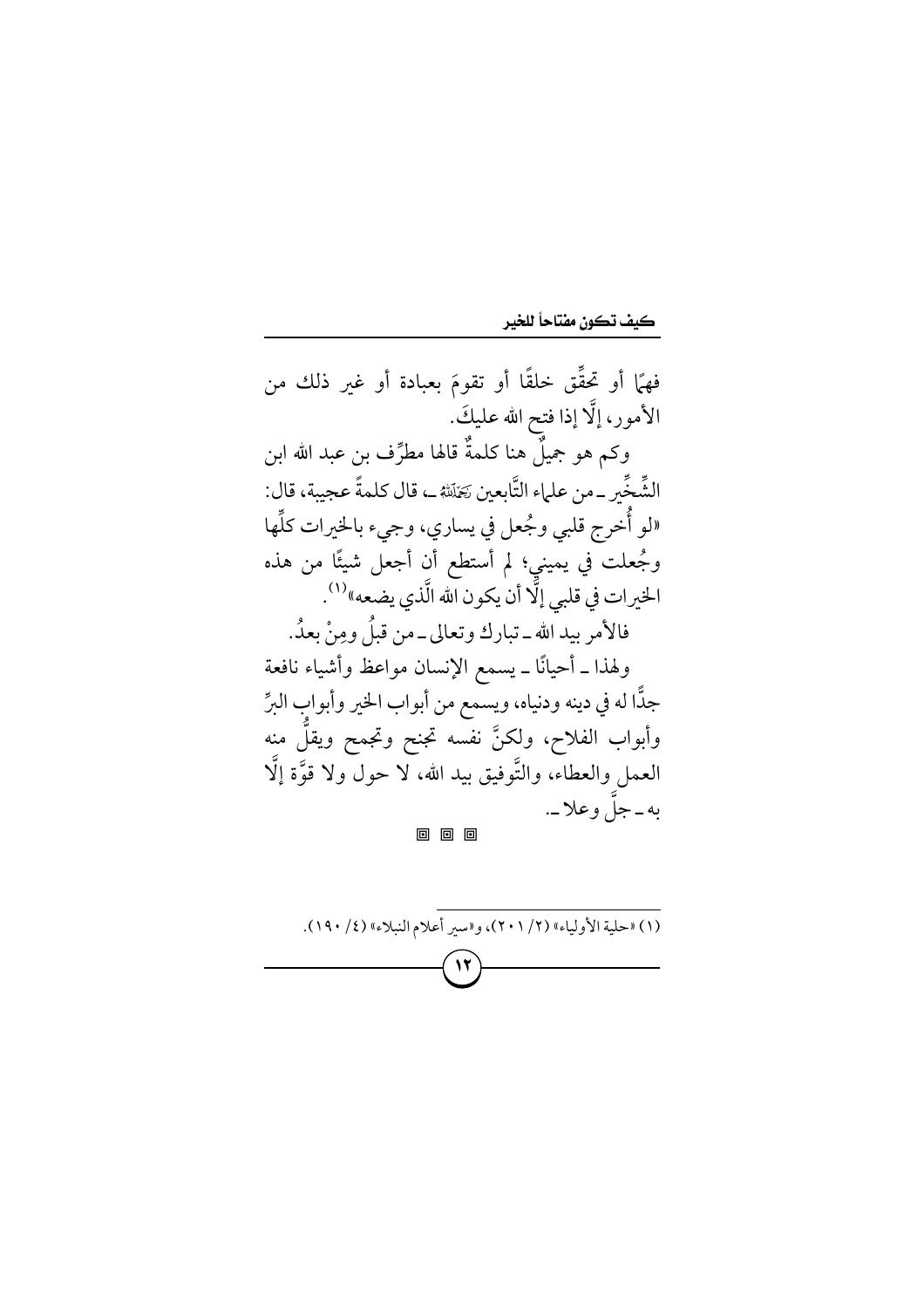فهمَّا أو تحقُّق خلقًا أو تقومَ بعبادة أو غير ذلك من الأمور، إلَّا إذا فتح الله عليكَ. وكم هو جميلٌ هنا كلمةٌ قالها مطرِّف بن عبد الله ابن الشِّخِّير \_من علماء التَّابعين رَحَمْلَتْهُ\_، قال كلمةً عجيبة، قال: «لو أُخرج قلبي وجُعل في يساري، وجيء بالخيرات كلِّها وجُعلت في يمينيِ؛ لم أستطع أنِ أجعل شيئًا من هذه الخيرات في قلبي إلَّا أن يكون الله الَّذي يضعه»'``. فالأمر بيد الله ــ تبارك وتعالى ــ من قبلُ ومِنْ بعدُ. ولهذا ـ أحيانًا ـ يسمع الإنسان مواعظ وأشياء نافعة جدًّا له في دينه ودنياه، ويسمع من أبواب الخير وأبواب البرِّ وأبواب الفلاح، ولكنَّ نفسه تجنح وتجمح ويقلُّ منه العمل والعطاء، والتَّوفيق بيد الله، لا حولٌ ولا قوَّة إلَّا به ــ جلَّ وعلا ــ. 回回回

.<br>(١) «حلية الأولياء» (٢/ ٢٠١)، و«سير أعلام النبلاء» (٤/ ١٩٠).  $\mathbf{v}$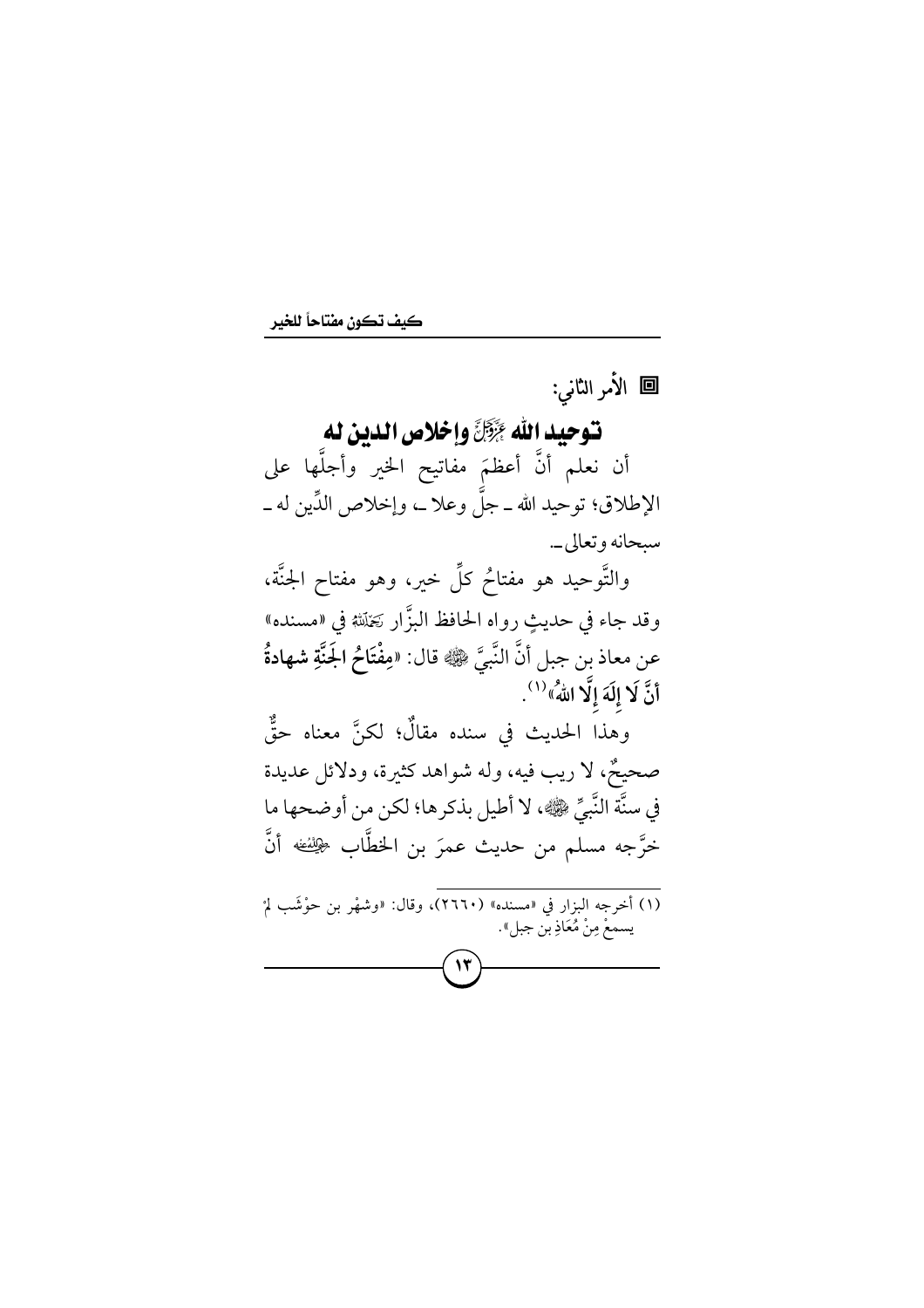回 الأمر الثاني: توحيد الله ﷺ وإخلاص الدين له أن نعلم أنَّ أعظمَ مفاتيح الخير وأجلَّها على الإطلاق؛ توحيد الله ــ جلَّ وعلا ــ، وإخلاص الدِّين له ــ سبحانه وتعالى۔ والتَّوحيد هو مفتاحٌ كلِّ خير، وهو مفتاح الجنَّة، وقد جاء في حديثٍ رواه الحافظ البزَّار يَخَلّنه في «مسنده» عن معاذ بن جبل أنَّ النَّبيَّ ﷺ قال: «مِفْتَاحُ الجَنَّةِ شهادةُ أَنَّ لَا إِلَهَ إِلَّا الله<sup>ِ</sup>»<sup>(۱)</sup> . وهذا الحديث في سنده مقالٌ؛ لكنَّ معناه حقٌّ صحيحٌ، لا ريب فيه، وله شواهد كثيرة، ودلائل عديدة في سنَّة النَّبِيِّ ۞»، لا أطيل بذكرها؛ لكن من أوضحها ما خرَّجه مسلم من حديث عمرَ بن الخطَّاب ﴿لِلَّهَ ۚ أَنَّ (۱) أخرجه البزار في «مسنده» (۲٦٦۰)، وقال: «وشهْر بن حوْشَب لمْ يسمعْ مِنْ مُعَاذِبْن جبل».  $\mathbf{v}$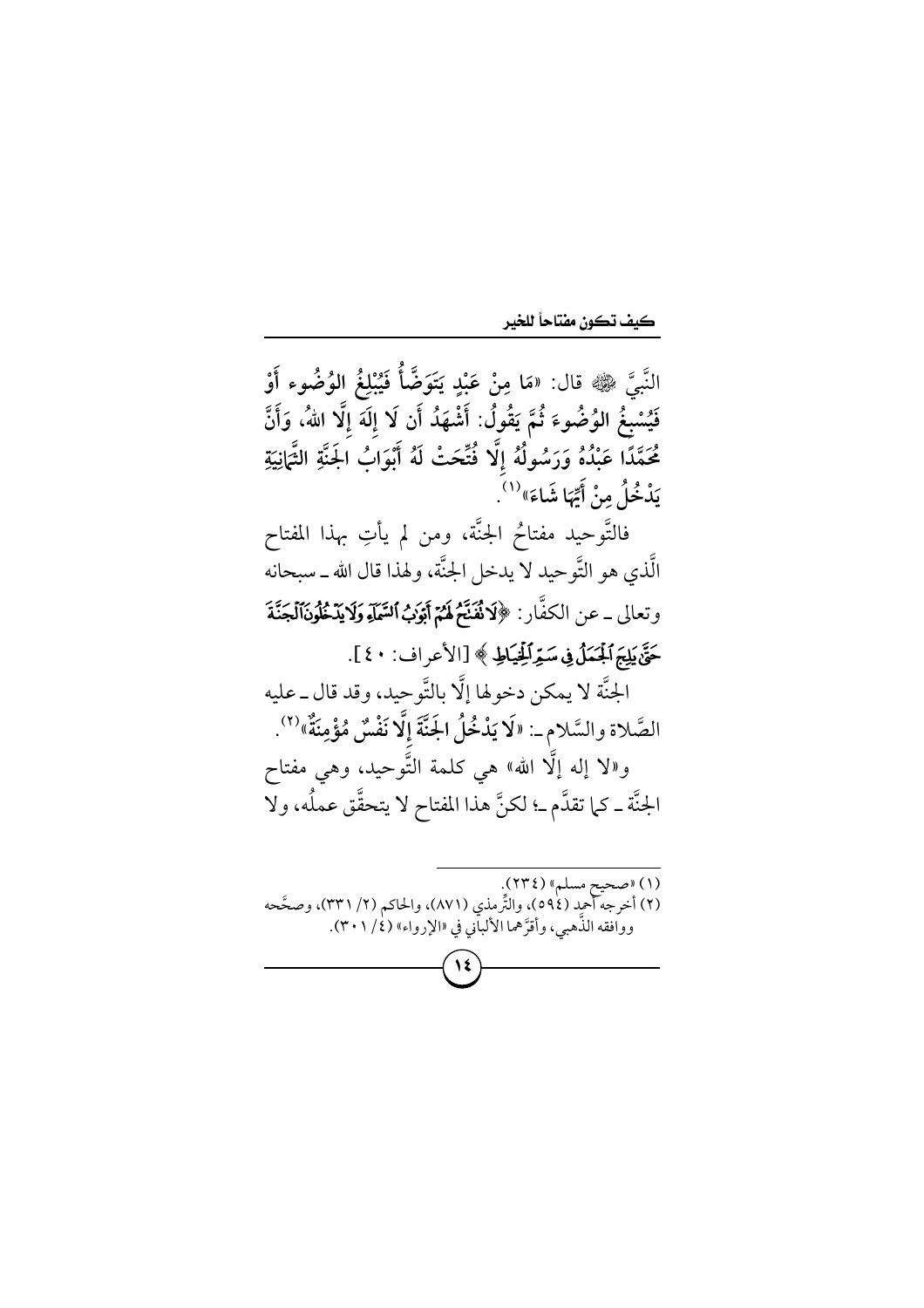النَّبِيَّ ﷺ قال: «مَا مِنْ عَبْدٍ يَتَوَضَّأُ فَيُبْلِغُ الوُضُوء أَوْ فَيُسْبِغُ الوُضُوءَ ثُمَّ يَقُولُ: أَشْهَدُ أَن لَا إِلَهَ إِلَّا اللهُ، وَأَنَّ مُحَمَّدًا عَبْدُهُ وَرَسُولُهُ إِلَّا فُتِّحَتْ لَهُ أَبْوَابُ الجَنَّةِ الثَّمَانِيَةِ يَدْخُلُ مِنْ أَيُّهَا شَاءَ»<sup>(۱)</sup> ِ

فالتَّوحيد مفتاحُ الجنَّة، ومن لم يأتِ بهذا المفتاح الَّذي هو التَّوحيد لا يدخل الجنَّة، ولهذا قال الله ــ سبحانه وتعالى \_عن الكفَّار: ﴿لَانْفَنَّحُمْهُمْ أَبَوۡكُمُ ٱلسَّمَآءِ وَلَايَدۡـَٰٓفُوۡنَاۡلَجَنَّةَ حَقَّ بِلِيمَ ٱلْجَعَلُ فِي سَوِّلَٰٓلِّيَاطِ ﴾ [الأعراف: ٤٠].

الجنَّة لا يمكن دخولها إلَّا بالتَّوحيد، وقد قال ـ عليه الصَّلاة والسَّلام ـ: «لَا يَدْخُلُ الجَنَّةَ إِلَّا نَفْسٌ مُؤْمِنَةٌ»<sup>(٢)</sup>. و«لا إله إلَّا الله» هي كلمة التَّوحيد، وهي مفتاح الجنَّة ـ كما تقدَّم ـ؛ لكنَّ هذا المفتاح لا يتحقَّق عملُه، ولا

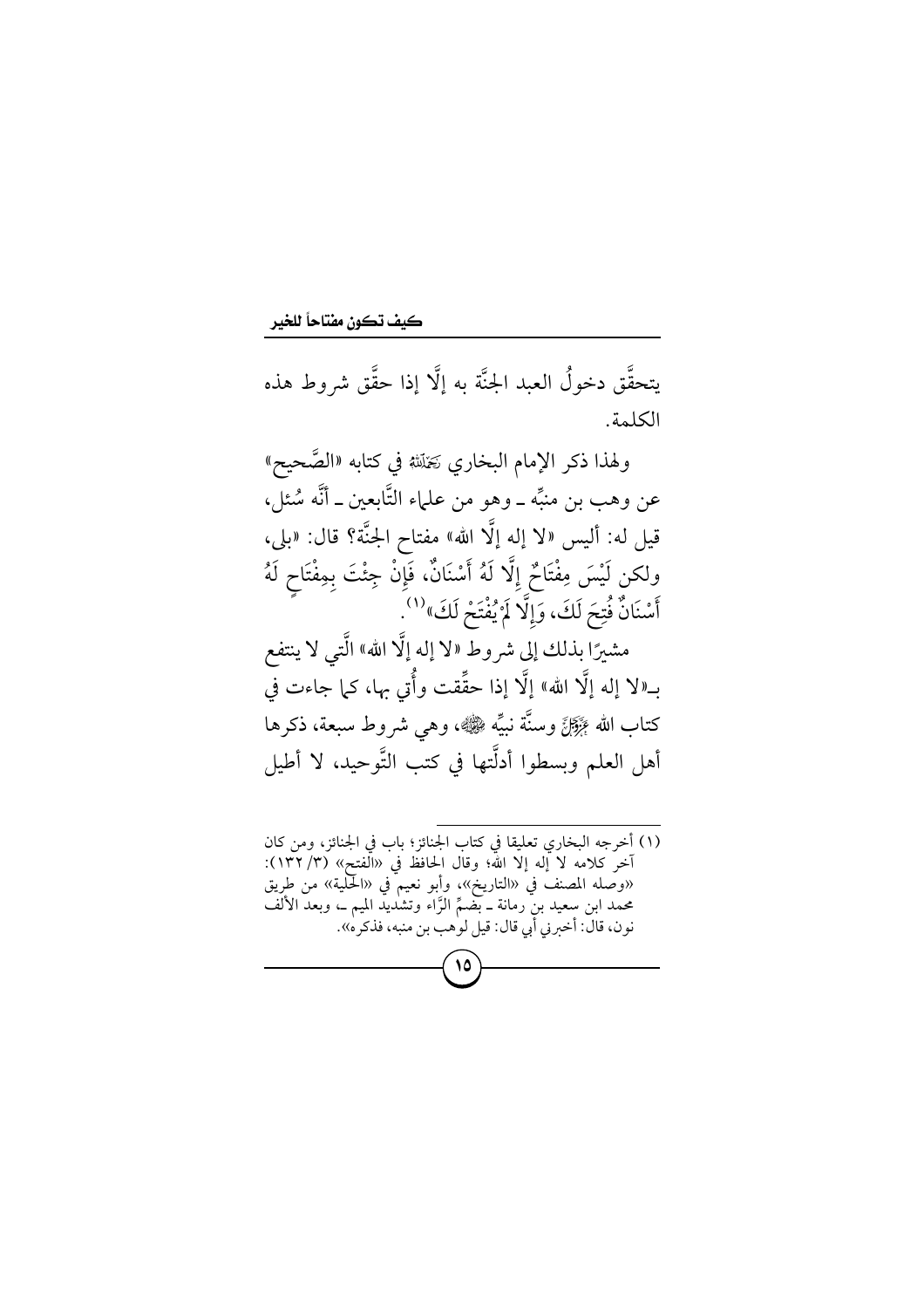يتحقَّق دخولُ العبد الجنَّة به إلَّا إذا حقَّق شروط هذه الكلمة.

ولهذا ذكر الإمام البخاري تَعَمَّلْتُهُ في كتابه «الصَّحيح» عن وهب بن منبِّه ــ وهو من علماء التَّابعين ــ أنَّه سُئل، قيل له: أليس «لا إله إلَّا الله» مفتاح الجنَّة؟ قال: «بلي، ولكن لَيْسَ مِفْتَاحٌ إِلَّا لَهُ أَسْنَانٌ، فَإِنْ جِئْتَ بِمِفْتَاحٍ لَهُ أَسْنَانٌ فُتِحَ لَكَ، وَإِلَّا لَمْ يُفْتَحْ لَكَ»<sup>(١)</sup>.

مشيرًا بذلك إلى شروط «لا إله إلَّا الله» الَّتبي لا ينتفع بــ«لا إله إلَّا الله» إلَّا إذا حقِّقت وأُتي بها، كما جاءت في كتاب الله عَزَّقَلَّ وسنَّة نبيِّه ﷺ، وهي شروط سبعة، ذكرها أهل العلم وبسطوا أدلَّتها في كتب التَّوحيد، لا أطيل

(١) أخرجه البخاري تعليقا في كتاب الجنائز؛ باب في الجنائز، ومن كان آخر كلامه لاَ إِله إِلَّا اللهَّ؛ وقال الحافظ في «الفتح» (٣/ ١٣٢): «وصَّله المصنفُ في «التاريخ»، وأبو نعيمٌ في «الحلية» من طريق محمد ابن سعيد بنَّ رمانة ــ بضمَّ الرَّاءَ وتشٰديد الميم ـ، وبعدَّ الألُّفُ نون، قالَّ: أخبرني أَّبِي قال: قيل لوٰهبٌ بن منبه، فذكرهْ».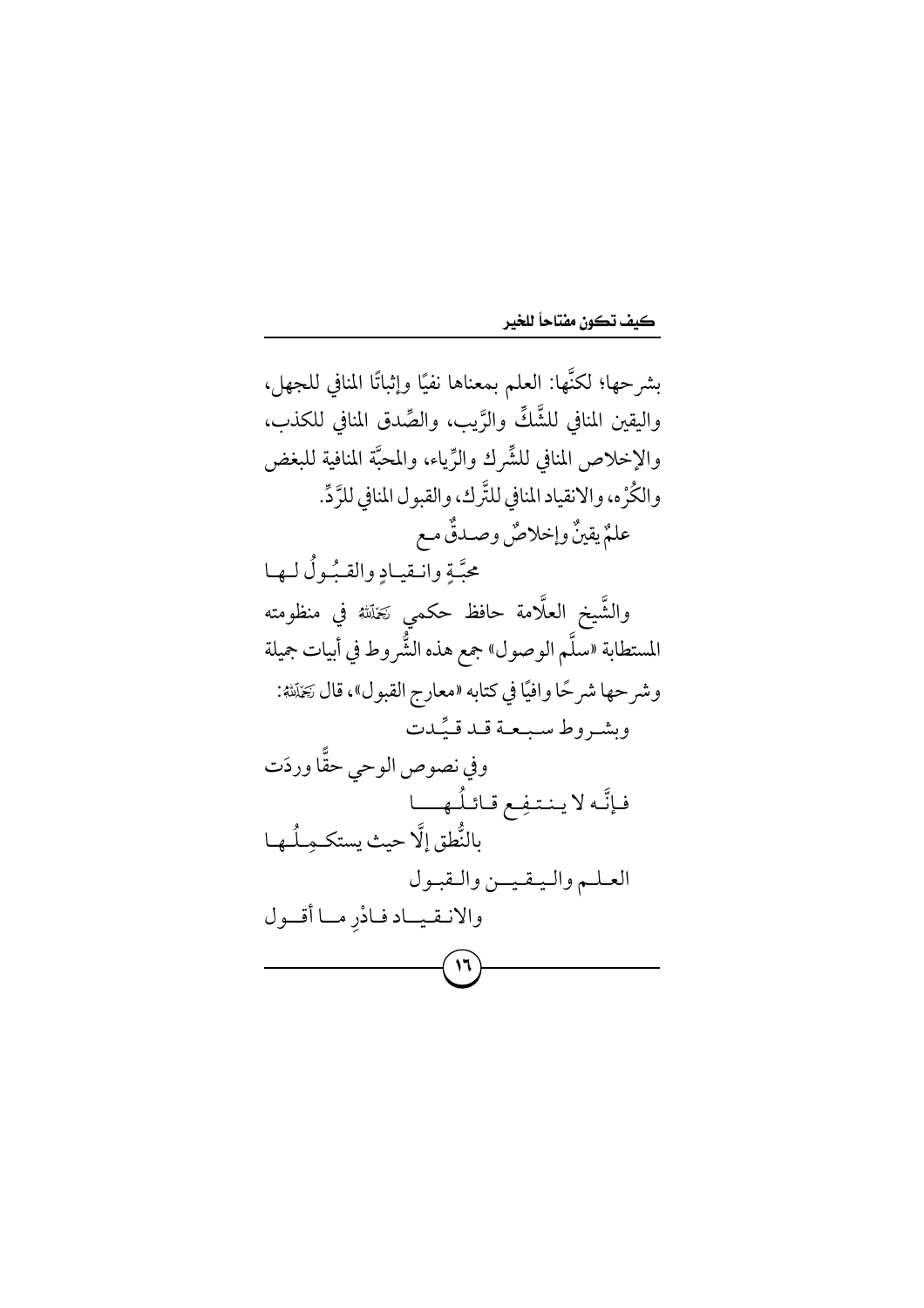بشرحها؛ لكنَّها: العلم بمعناها نفيًا وإثباتًا المنافي للجهل، واليقين المنافي للشَّكِّ والرَّيبِ، والصِّدق المنافي للكذب، والإخلاص المنافي للشَّرك والرِّياء، والمحبَّة المنافية للبغض والكُرْه، والانقياد المنافي للتَّرك، والقبول المنافي للرَّدِّ. علمٌ يقينٌ وإخلاصٌ وصدقٌ مع محبَّةٍ وانتقيادٍ والقبُولُ ليها والشَّيخ العلَّامة حافظ حكمى رَخَلَتْهُ في منظومته المستطابة «سلَّم الوصول» جمع هذه الشُّروط في أبيات جميلة وشرحها شرحًا وافيًا في كتابه «معارج القبول»، قال يَحَذِّثة: وبشروط سبعة قيد قيًّدت وفي نصوص الوحي حقًّا وردَت فإنَّه لا ينتفِع قائلُه ك بالنُّطق إلَّا حيث يستكـمِـلُـهـا العلم واليقيس والقبول والانقياد فاذر ما أقول  $\gamma$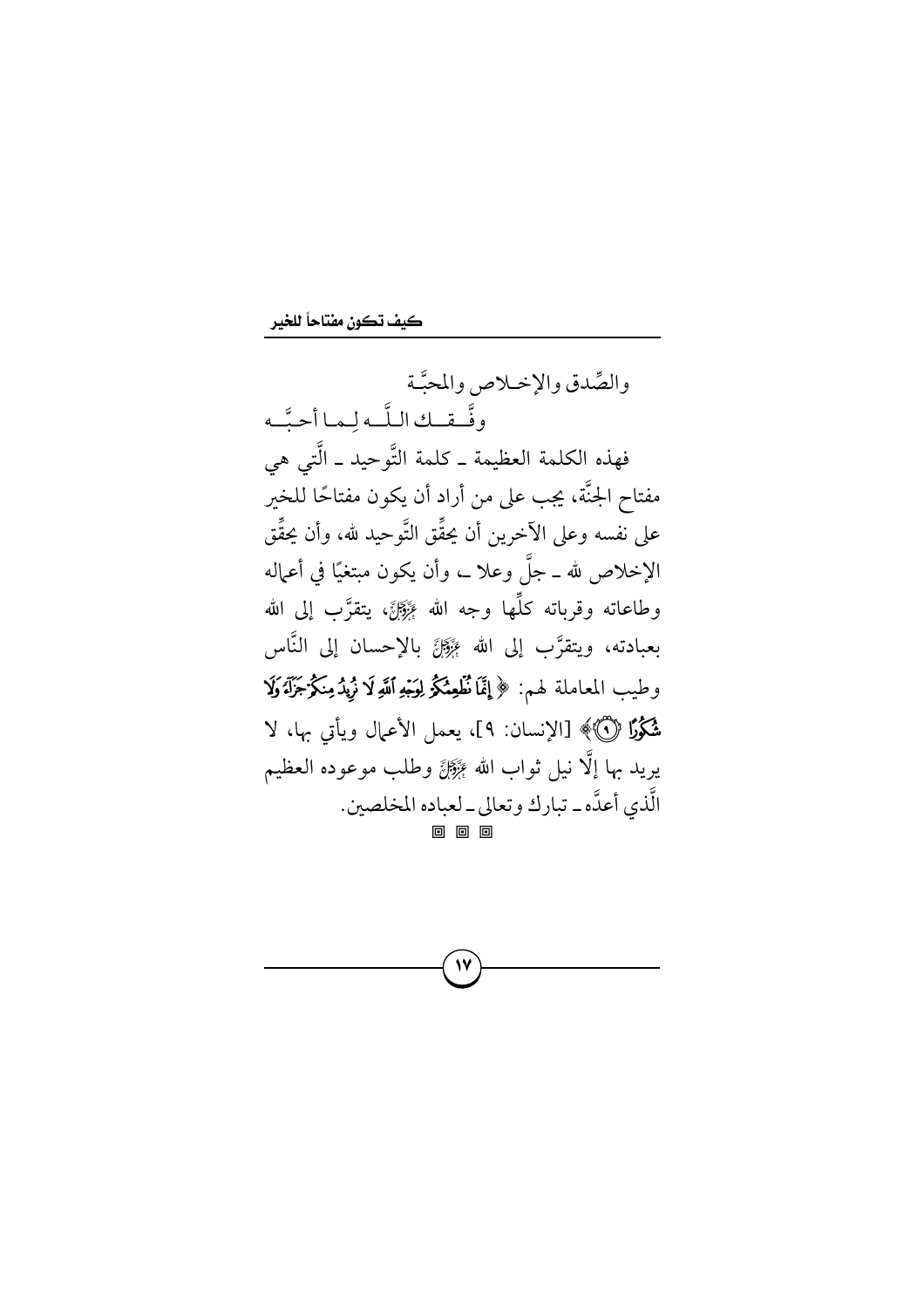والصِّدق والإخلاص والمحبَّة وفَّهْ ف اللَّه لِما أحبَّه فهذه الكلمة العظيمة ــ كلمة التَّوحيد ــ الَّتى هي مفتاح الجنَّة، يجب على من أراد أن يكون مفتاحًا للخير على نفسه وعلى الآخرين أن يحقِّق التَّوحيد لله، وأن يحقِّق الإخلاص لله ــ جلَّ وعلا ــ، وأن يكون مبتغيًا في أعماله وطاعاته وقرباته كلِّها وجه الله عَزَّقِيَّ، يتقرَّب إلى الله بعبادته، ويتقرَّب إلى الله ﷺ بالإحسان إلى النَّاس وطيب المعاملة لهم: ﴿ إِنَّمَا نُظْهِمْكُمْ لِوَجْهِ ٱللَّهِ لَا نُرِيدُ مِنكُمْ جَزَّلَةً وَلَا شَكْوُلِ ۞﴾ [الإنسان: ٩]، يعمل الأعمال ويأتي بها، لا يريد بها إلَّا نيل ثواب الله مَجَّزَةِلَّ وطلب موعوده العظيم الَّذي أعدَّه \_ تبارك وتعالى \_ لعباده المخلصين. **问 问 回** 

 $\mathsf{v}$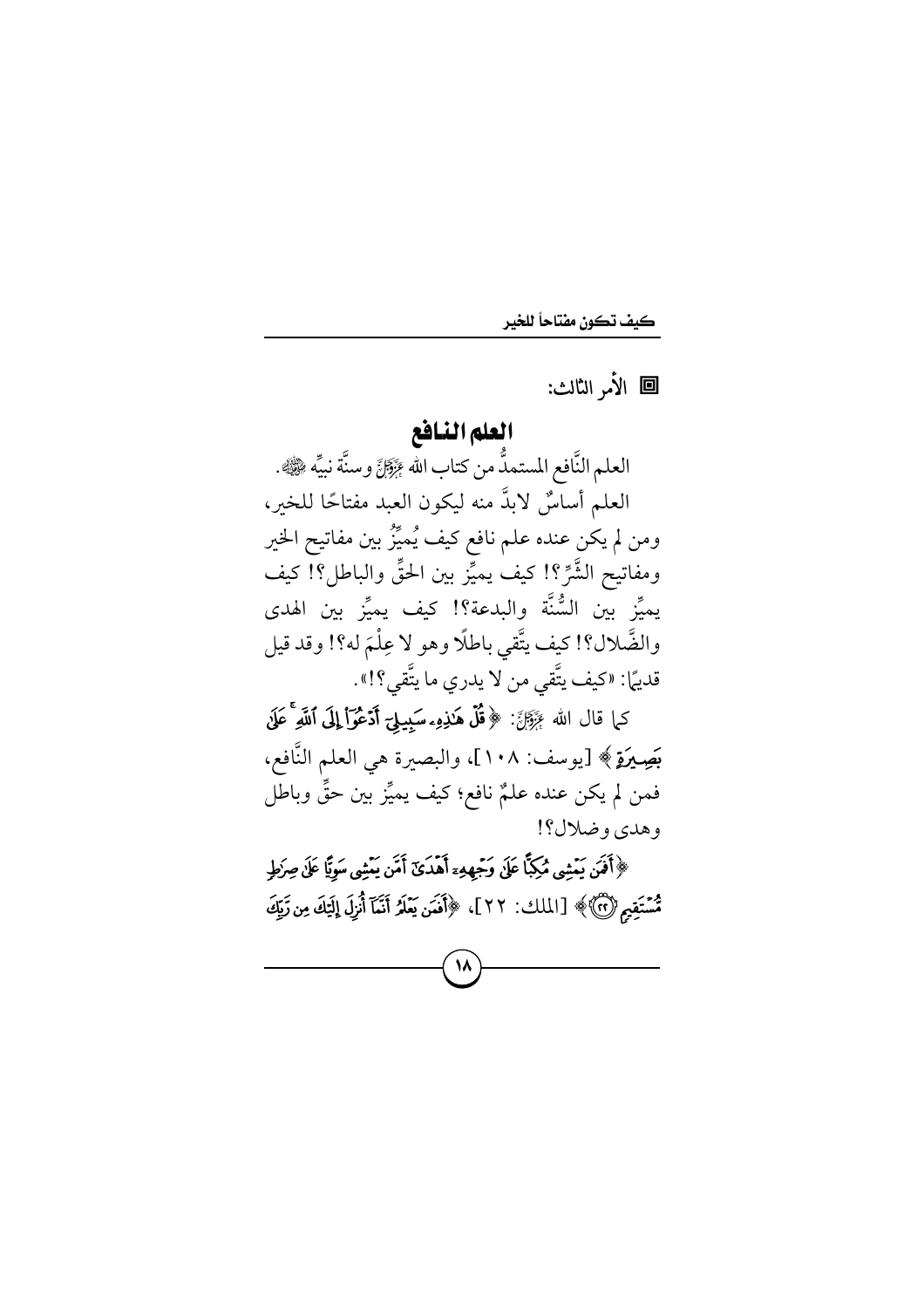回 الأمر الثالث:

#### العلم النافع

العلم النَّافع المستمدُّ من كتاب الله بَرَّقَلَّ وسنَّة نبيِّه ١٤٠ العلم أساسٌ لابدَّ منه ليكون العبد مفتاحًا للخير، ومن لم يكن عنده علم نافع كيف يُميِّزُ بين مفاتيح الخير ومفاتيح الشَّرِّ؟! كيفٌ يميِّز بين الحقِّ والباطل؟! كيف يميِّز بين السُّنَّة والبدعة؟! كيف يميِّز بين الهدى والضَّلال؟! كيف يتَّقى باطلًا وهو لا عِلْمَ له؟! وقد قيل قديمًا: «كيف يتَّقى من لا يدري ما يتَّقى؟!».

كما قال الله ﷺ: ﴿قُلْ هَٰذِهِۦسَبِيلِۍٓ أَدۡعُوٓأَ إِلَى ٱللَّهِ عَلَىٰ بَصِيرَةٍ﴾ [يوسف: ١٠٨]، والبصيرة هي العلم النَّافع، فمن لم يكن عنده علمٌ نافع؛ كيف يميِّز بين حقٍّ وباطل وهدي وضلال؟!

﴿أَفَنَ يَبۡشِى مُكِنًّا عَلَىٰ وَجۡهِهِۦٓ أَهۡدَىٰٓ أَمَّن يَبۡشِى سَوِيًّا عَلَىٰ صِرَٰطٍ مُسْتَقِيمٍ (٣)﴾ [الملك: ٢٢]، ﴿أَفَمَن يَعْلَمُ أَنَّمَآ أُنْزِلَ إِلَيْكَ مِن رِّيِّكَ

 $\lambda$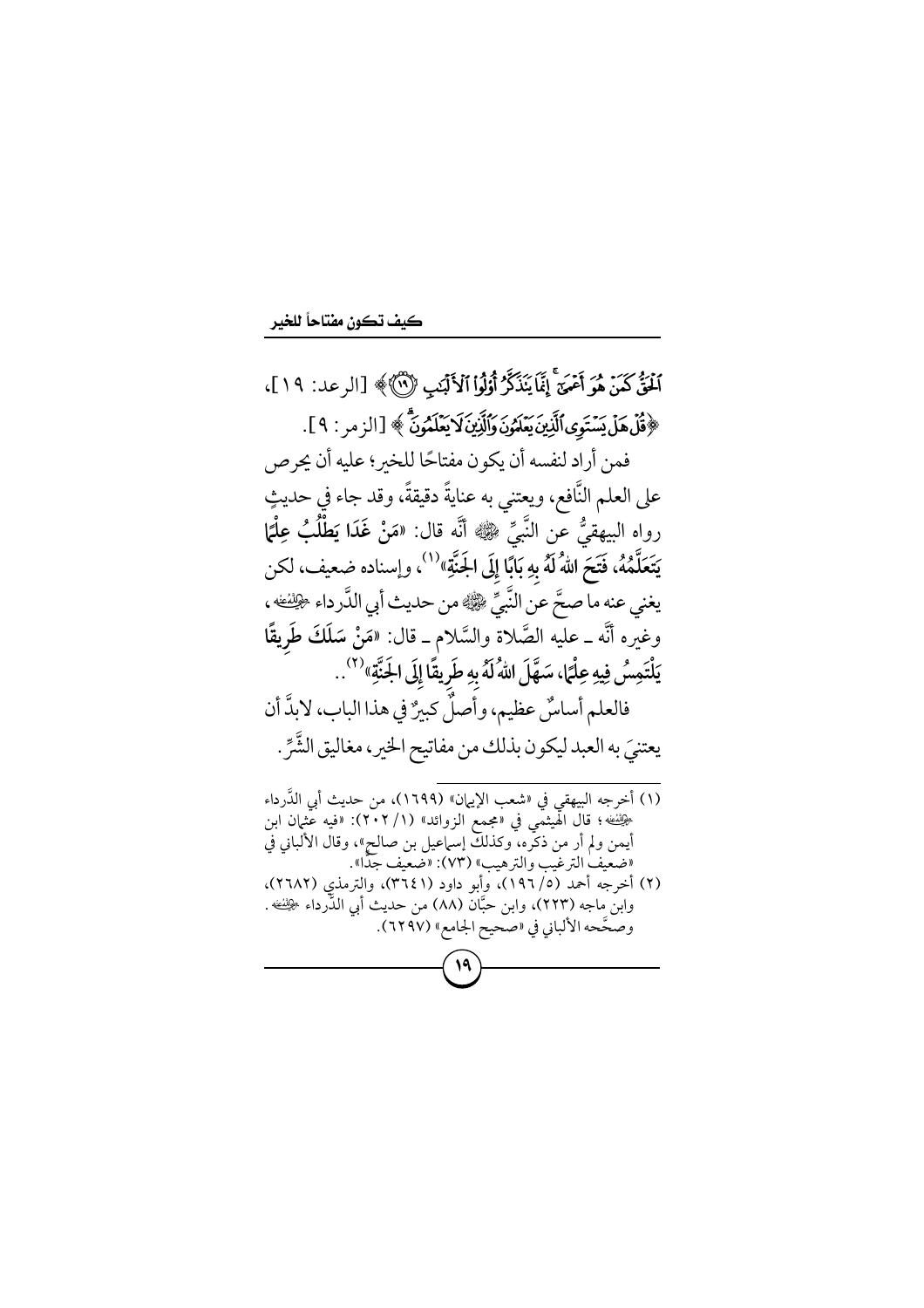الْمُقَّ كَمَنْ هُوَ أَعْمَىٰٓ إِنَّمَا يَذَكَّرُ أُوْلُواْ ٱلْأَلَبُبِ (لَلَّٰهَ)﴾ [الرعد: ١٩]، ﴿قُلْ هَلْ يَسْتَوِى ٱلَّذِينَ يَعْلَمُونَ وَٱلَّذِينَ لَا يَعْلَمُونَ \* [الز مر: ٩]. فمن أراد لنفسه أن يكون مفتاحًا للخير؛ عليه أن يحرص على العلم النَّافع، ويعتني به عنايةً دقيقةً، وقد جاء في حديثٍ رواه البيهقيُّ عن النَّبيِّ ﷺ أنَّه قال: «مَنْ غَدَا يَطْلُبُ عِلْمًا يَتَعَلَّمُهُ، فَتَحَ اللهُ لَهُ بِهِ بَابًا إِلَى الجَنَّةِ» (١) وإسناده ضعيف، لكن يغني عنه ما صحَّ عن النَّبيِّ ۞ من حديث أبي الدَّرداء ﴿لَّفْضَهُ ، وغيره أنَّه ـ عليه الصَّلاة والسَّلام ـ قال: «مَنْ سَلَكَ طَرِيقًا يَلْتَمِسُ فِيهِ عِلْمًا، سَهَّلَ اللهُ لَهُ بِهِ طَرِيقًا إِلَى الْجَنَّةِ» (٢) .. فالعلم أساسٌ عظيم، وأصلٌ كبيرٌ في هذا الباب، لابدَّ أن يعتنيَ به العبد ليكون بذلك من مفاتيح الخير، مغاليق الشَّرِّ .

- (١) أخرجه البيهقي في «شعب الإيهان» (١٦٩٩)، من حديث أبي الدَّرداء ﴿لِيَفْتَهُ ؛ قَالَ الْهَيْتَمِيُّ فِي «مجمعُ الزوائد» (١/ ٢٠٢): «فيه عُثْمان ابن .<br>أيمن ولم أر من ذكره، وكذلك إسهاعيل بن صالح»، وقال الألباني في<br>«ضعيف الترغيب والترهيب» (٧٣): «ضعيف جدًّا». (۲) أخرجه أحمد (٥/ ١٩٦)، وأبو داود (٣٦٤١)، والترمذي (٢٦٨٢)،
- وابن ماجه (٢٢٣)، وابن حبَّان (٨٨) من حديث أبي الدَّرداء ﴿يَشَنَّهُ . وصحَّحه الألباني في «صحيح الجامع» (٦٢٩٧).

19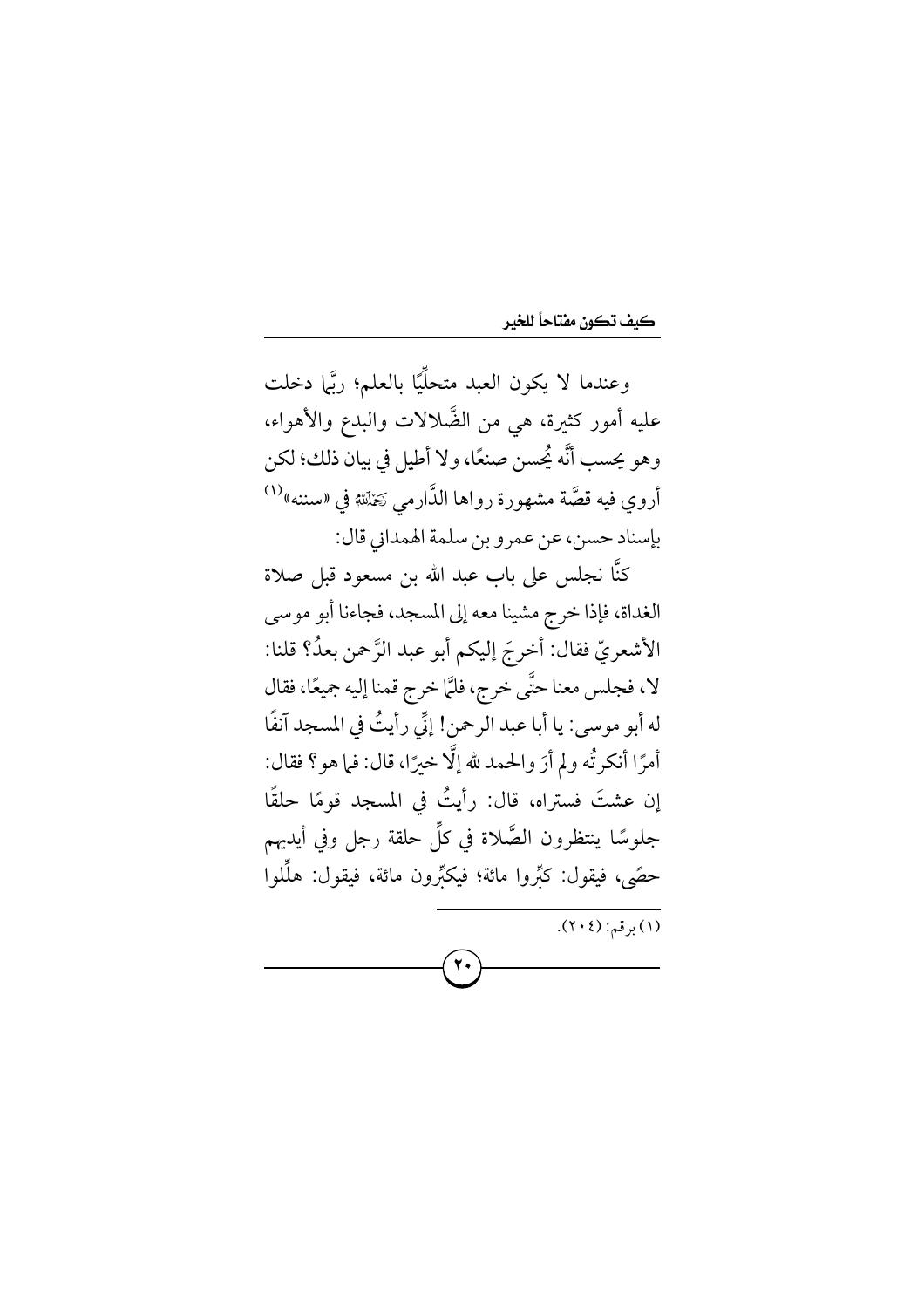وعندما لا يكون العبد متحلِّيًا بالعلم؛ ربَّىا دخلت عليه أمور كثيرة، هي من الضَّلالات والبدع والأهواء، وهو يحسب أنَّه يُحسن صنعًا، ولا أطيل في بيان ذلك؛ لكن أروى فيه قصَّة مشهورة رواها الدَّارمي يَخَلِّثه في «سننه»<sup>(١)</sup> بإسناد حسن، عن عمرو بن سلمة الهمداني قال:

كنَّا نجلس على باب عبد الله بن مسعود قبل صلاة الغداة، فإذا خرج مشينا معه إلى المسجد، فجاءنا أبو موسى الأشعريّ فقال: أخرجَ إليكم أبو عبد الرَّحمن بعدُ؟ قلنا: لا، فجلس معنا حتَّى خرج، فلمَّا خرج قمنا إليه جميعًا، فقال له أبو موسى: يا أبا عبد الرحمن! إنِّي رأيتُ في المسجد آنفًا أمرًا أنكرتُه ولم أرَ والحمد لله إلَّا خيرًا، قال: فما هو؟ فقال: إن عشتَ فستراه، قال: رأيتُ في المسجد قومًا حلقًا جلوسًا ينتظرون الصَّلاة في كلِّ حلقة رجل وفي أيديهم حصًى، فيقول: كبِّروا مائة؛ فيكبِّرون مائة، فيقول: هلِّلوا

 $(1)$ بر قىم: (٢٠٤).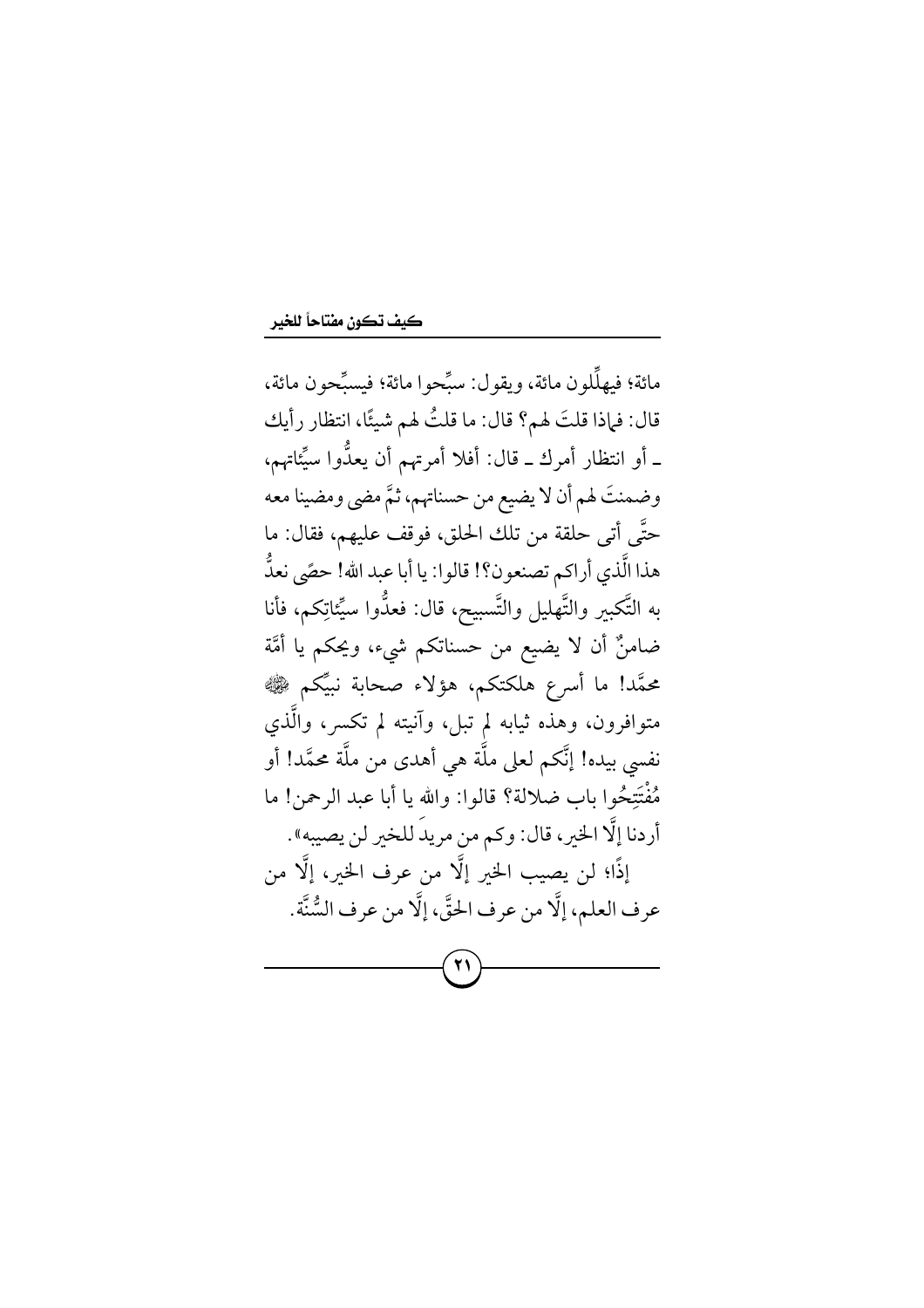مائة؛ فيهلِّلون مائة، ويقول: سبِّحوا مائة؛ فيسبِّحون مائة، قال: فإذا قلتَ لهم؟ قال: ما قلتُ لهم شيئًا، انتظار رأيك ـ أو انتظار أمرك ــ قال: أفلا أمرتهم أن يعدُّوا سيِّئاتهم، وضمنتَ لهم أن لا يضيع من حسناتهم، ثمَّ مضى ومضينا معه حتَّى أتى حلقة من تلك الحلق، فوقف عليهم، فقال: ما هذا الَّذي أراكم تصنعون؟! قالوا: يا أبا عبد الله! حصًى نعدُّ به التَّكبير والتَّهليل والتَّسبيح، قال: فعدُّوا سيِّئاتِكم، فأنا ضامنٌ أن لا يضيع من حسناتكم شيء، ويحكم يا أمَّة محمَّد! ما أسرع هلكتكم، هؤلاء صحابة نبيَّكم ﴿ متوافرون، وهذه ثيابه لم تبل، وآنيته لم تكسر، والَّذي نفسي بيده! إنَّكم لعلي ملَّة هي أهدي من ملَّة محمَّد! أو مُفْتَتِحُوا بابِ ضلالة؟ قالوا: والله يا أبا عبد الرحمن! ما أردنا إلَّا الخير، قال: وكم من مريدَ للخير لن يصيبه». إذًا؛ لن يصيب الخير إلَّا من عرف الخير، إلَّا من عرف العلم، إلَّا من عرف الحقَّ، إلَّا من عرف السُّنَّة.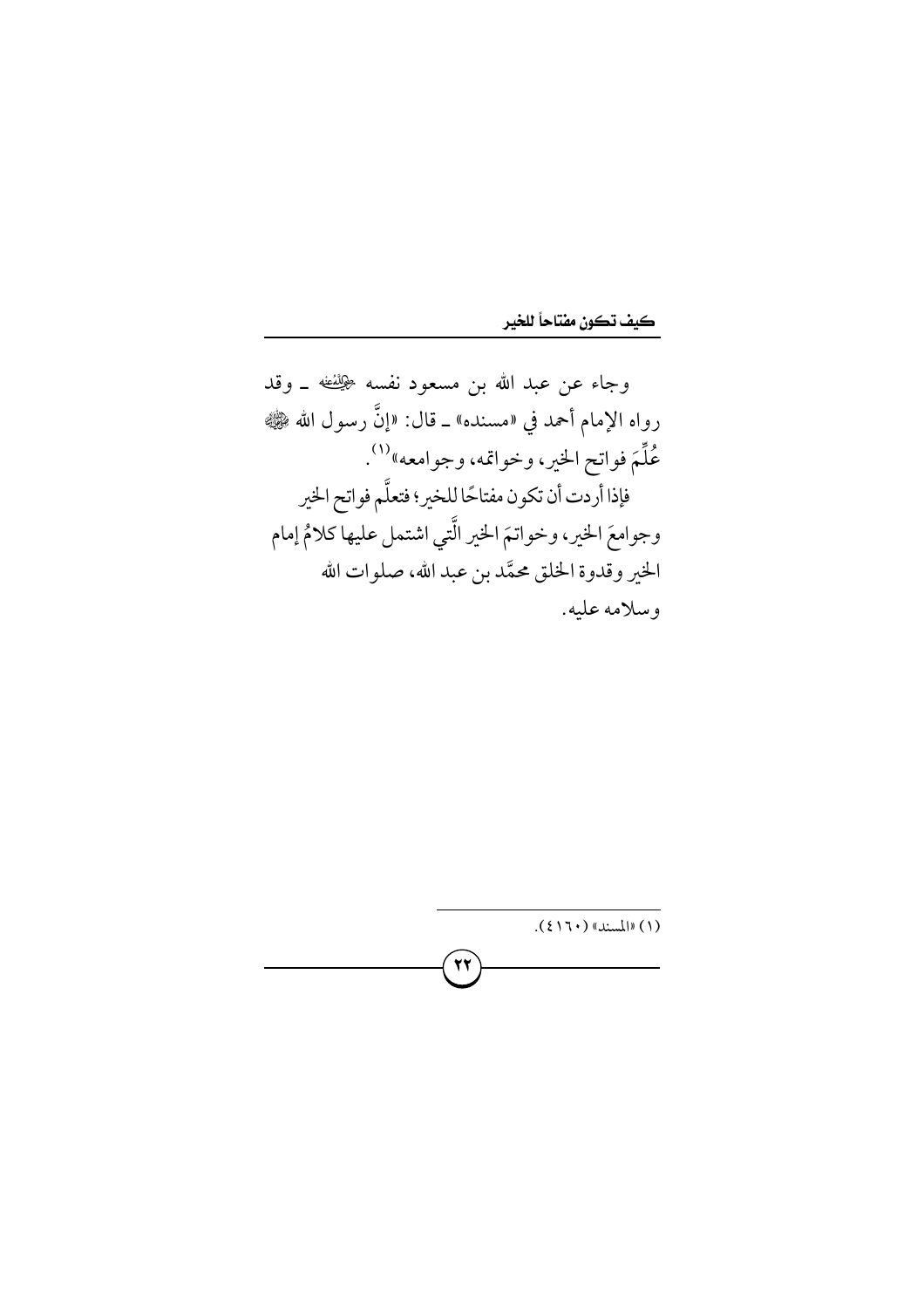وجاء عن عبد الله بن مسعود نفسه ﴿لِلْفَةِ \_ وقد رواه الإمام أحمد في «مسنده» ــ قال: «إنَّ رسول الله ١ عُلِّمَ فواتح الخير، وخواتمه، وجوامعه»<sup>(١)</sup>. فإذا أردت أن تكون مفتاحًا للخير؛ فتعلَّم فواتح الخير وجوامعَ الخير، وخواتمَ الخير الَّتي اشتمل عليها كلامُ إمام الخير وقدوة الخلق محمَّد بن عبد الله، صلوات الله وسلامه عليه.

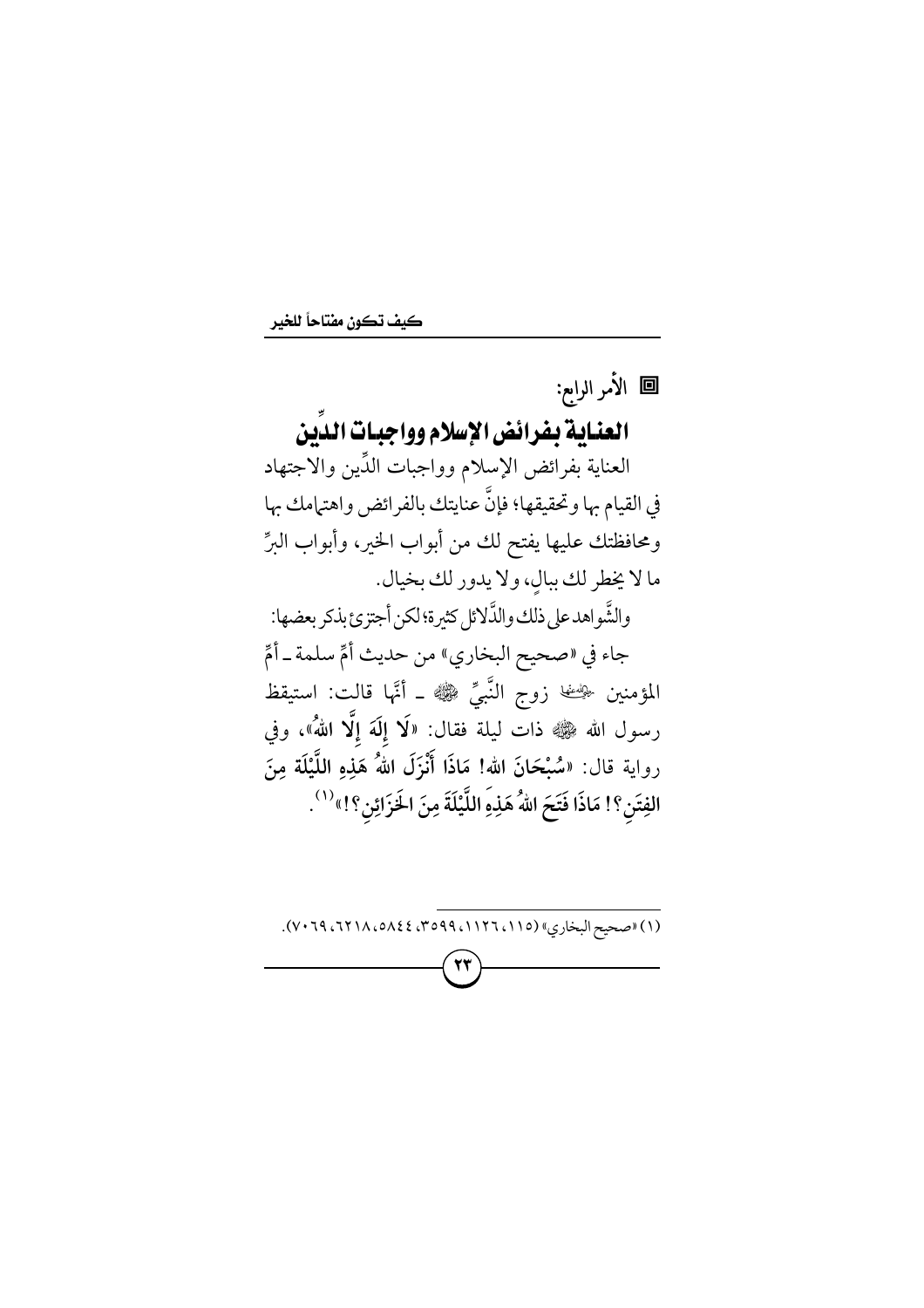回 الأمر الرابع:

## العناية بفرائض الإسلام وواجبات الدِّين

العناية بفرائض الإسلام وواجبات الدِّين والاجتهاد في القيام بها وتحقيقها؛ فإنَّ عنايتك بالفرائض واهتمامك بها ومحافظتك عليها يفتح لك من أبواب الخير، وأبواب البرِّ ما لا يخطر لك ببالٍ، ولا يدور لك بخيال.

والشَّواهد على ذلك والدَّلائل كثيرة؛ لكن أجتزئ بذكر بعضها: جاء في «صحيح البخاري» من حديث أمِّ سلمة ـ أمِّ المؤمنين ﴿شَفَّ زوجٍ النَّبِيِّ ۞ = أنَّهَا قالت: استيقظ رسول الله ﷺ ذات ليلة فقال: «لَا إِلَهَ إِلَّا اللهُ»، وفي رواية قال: «سُبْحَانَ الله! مَاذَا أَنْزَلَ اللهُ هَٰذِهِ اللَّيْلَة مِنَ الفِتَنِ؟! مَاذَا فَتَحَ اللّهُ هَذِهِ اللَّيْلَةَ مِنَ الْخَزَائِنِ؟!» ('').

(١) الصحيح البخاري» (١١٥، ١١٢٦، ٣٥٩٩، ١٤٤،٥٨٤٤، ٧٠٦٩، ٢٠١٩).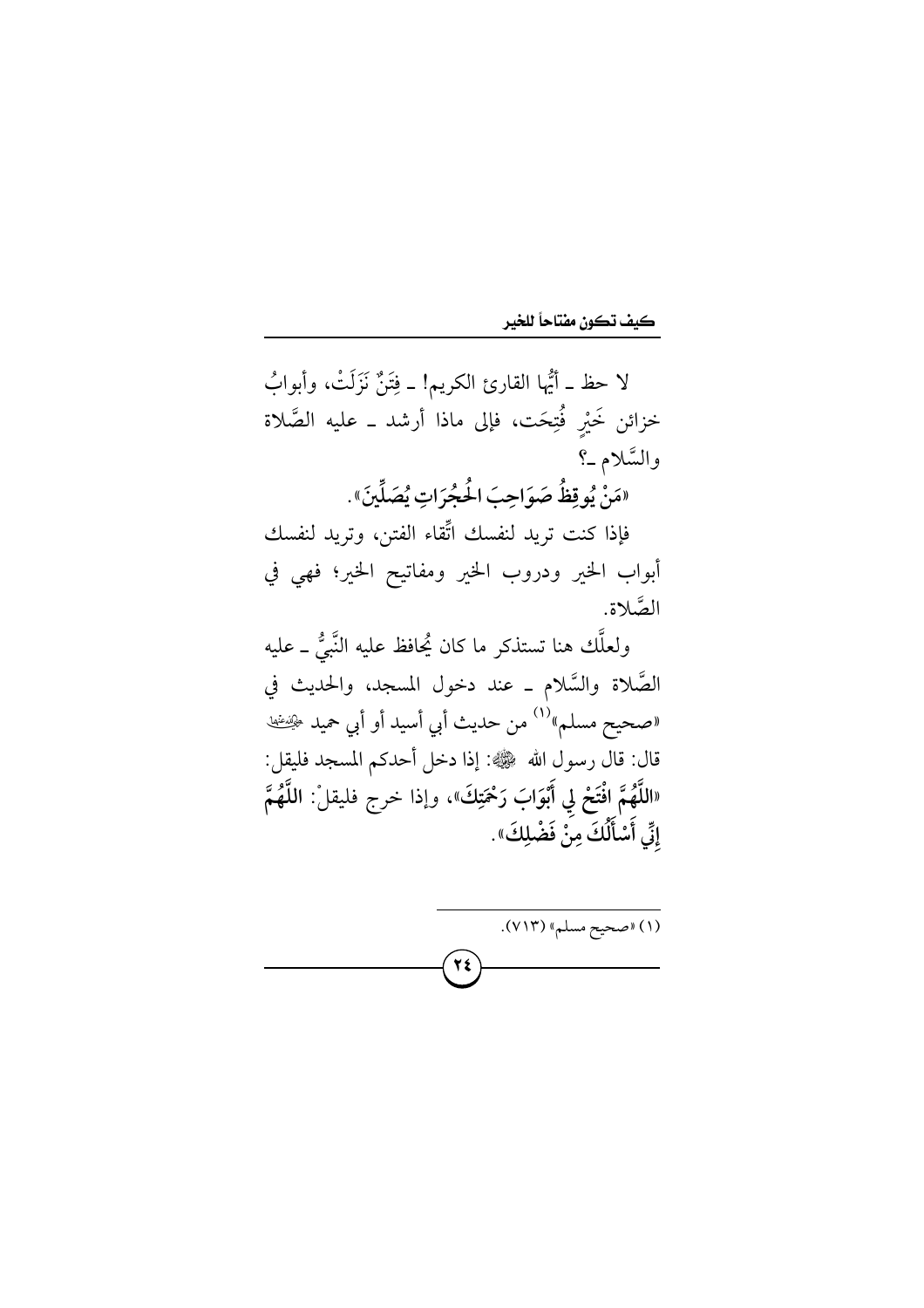لا حظ ـ أَيُّها القارئ الكريم! ـ فِتَنٌ نَزَلَتْ، وأبوابُ خزائن خَيْرٍ فُتِحَت، فإلى ماذا أرشد ــ عليه الصَّلاة والسَّلام ـ؟ «مَنْْ يُوقِظُ صَوَاجِبَ الْمُجُرَاتِ يُصَلِّينَ».

فإذا كنت تريد لنفسك اتِّقاء الفتن، وتريد لنفسك أبواب الخير ودروب الخير ومفاتيح الخير؛ فهي في الصَّلاة.

ولعلَّك هنا تستذكر ما كان يُحافظ عليه النَّبيُّ ــ عليه الصَّلاة والسَّلام ـ عند دخول المسجد، والحديث في «صحيح مسلم»<sup>(۱)</sup> من حديث أبي أسيد أو أبي حميد ﴿يَفْضًا قال: قال رسول الله ﷺ: إذا دخل أحدكم المسجد فليقل: «اللَّهُمَّ افْتَحْ لِي أَبْوَابَ رَحْمَتِكَ»، وإذا خرج فليقلْ: اللَّهُمَّ إِنِّ أَسْأَلُكَ مِنْ فَضْلِكَ».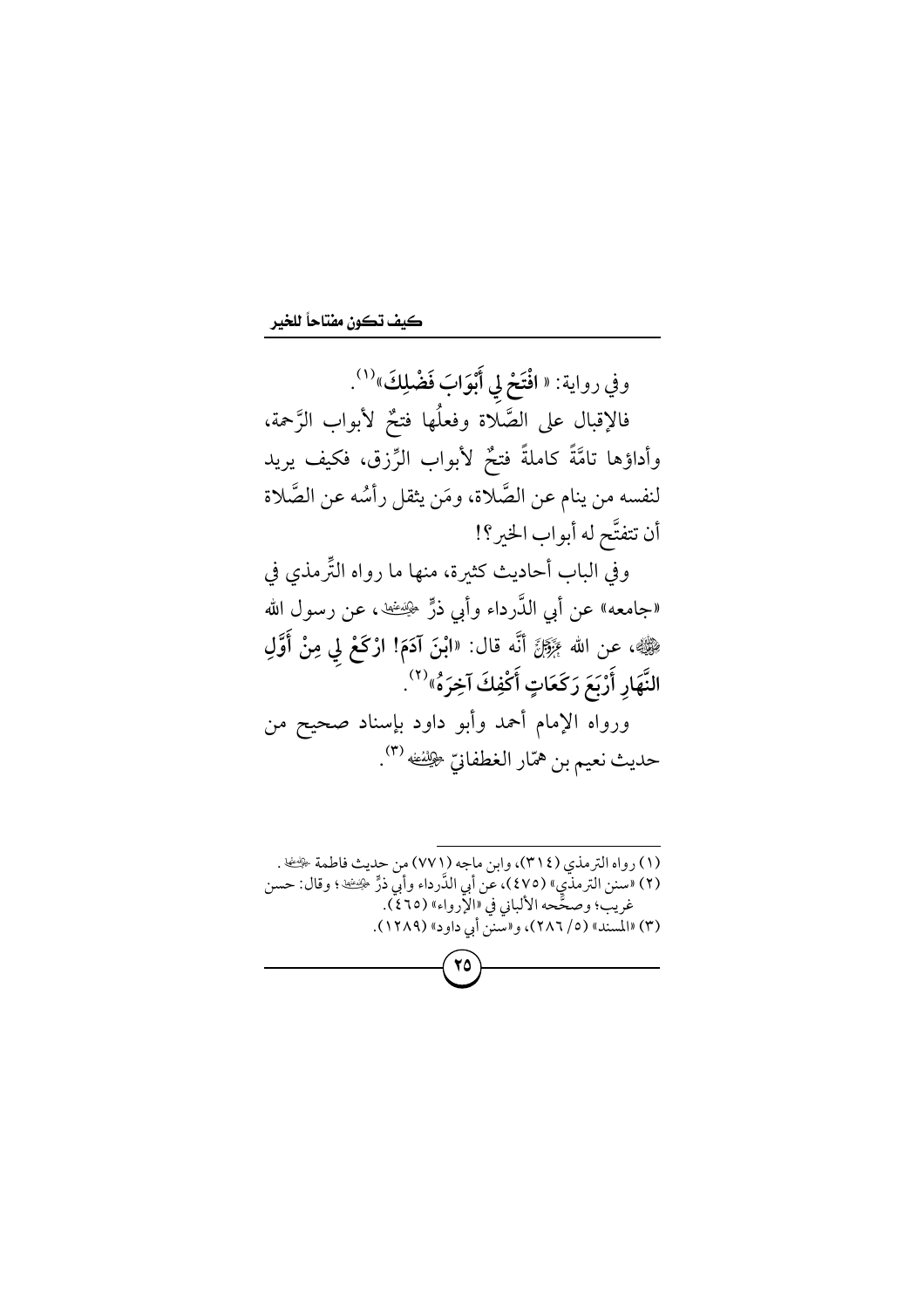وفي رواية: « افْتَحْ لِي أَبْوَابَ فَضْلِكَ»<sup>(١)</sup>. فالإقبال على الصَّلَاة وفعلُها فتـثَّم لأبواب الرَّحمة، وأداؤها تامَّةً كاملةً فتحٌ لأبواب الرِّزق، فكيف يريد لنفسه من ينام عن الصَّلاة، ومَن يثقل رأسُه عن الصَّلاة أن تتفتَّح له أبواب الخير؟!

وفي الباب أحاديث كثيرة، منها ما رواه التِّرمذي في «جامعه» عن أبي الدَّرداء وأبي ذرٌّ ﴿ يَسْخَهْ ، عن رسول الله ﴿ لِلَّهِ عَنِ اللَّهُ ﷺَ أَنَّهُ قَالَ: «ابْنَ آدَمَ! ارْكَعْ لِي مِنْ أَوَّلِ النَّهَارِ أَرْبَعَ رَكَعَاتٍ أَكْفِكَ آخِرَهُ (٢).

ورواه الإمام أحمد وأبو داود بإسناد صحيح من حديث نعيم بن همّار الغطفانيّ ﴿يَفْضَهُ (٣).

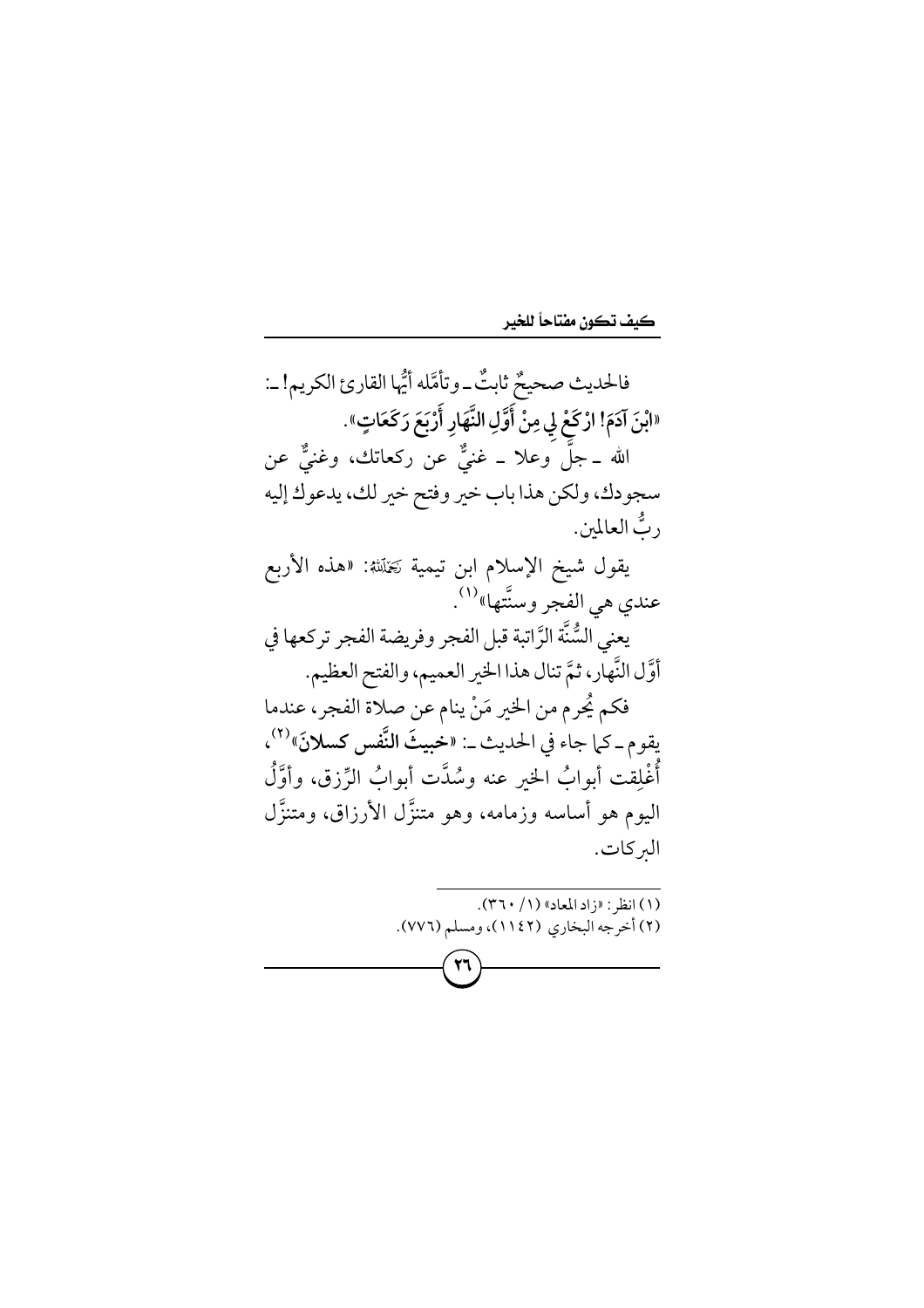فالحديث صحيحٌ ثابتٌ ـ وتأمَّله أيُّها القارئ الكريم! ـ: «ابْنَ آدَمَ! ارْكَعْ لِي مِنْ أَوَّلِ النَّهَارِ أَرْبَعَ رَكَعَاتٍ». الله ــ جلَّ وعلا ــ غني عن ركعاتك، وغنيٌّ عن سجودك، ولكن هذا باب خير وفتح خير لك، يدعوك إليه رِتُ العالمين. يقول شيخ الإسلام ابن تيمية ﷺ: «هذه الأربع عندي هي الفجر وسنَّتها»<sup>(١)</sup>. يعني السُّنَّة الرَّاتبة قبل الفجر وفريضة الفجر تركعها في أوَّلِ النَّهارِ، ثمَّ تنال هذا الخير العميم، والفتح العظيم. فكم يُحرم من الخير مَنْ ينام عن صلاة الفجر، عندما يقوم \_ كما جاء في الحديث \_: «خبيثَ النَّفس كسلانَ» (٢) أُغْلِقت أبوابُ الخبر عنه وسُدَّت أبوابُ الرِّزق، وأوَّلُ اليوم هو أساسه وزمامه، وهو متنزَّل الأرزاق، ومتنزَّل البر كات.

(۱) انظر : «زاد المعاد» (۱/ ۳۶۰). (۲) أخرجه البخاري (۱۱٤۲)، ومسلم (۷۷۲).  $\mathbf{r}$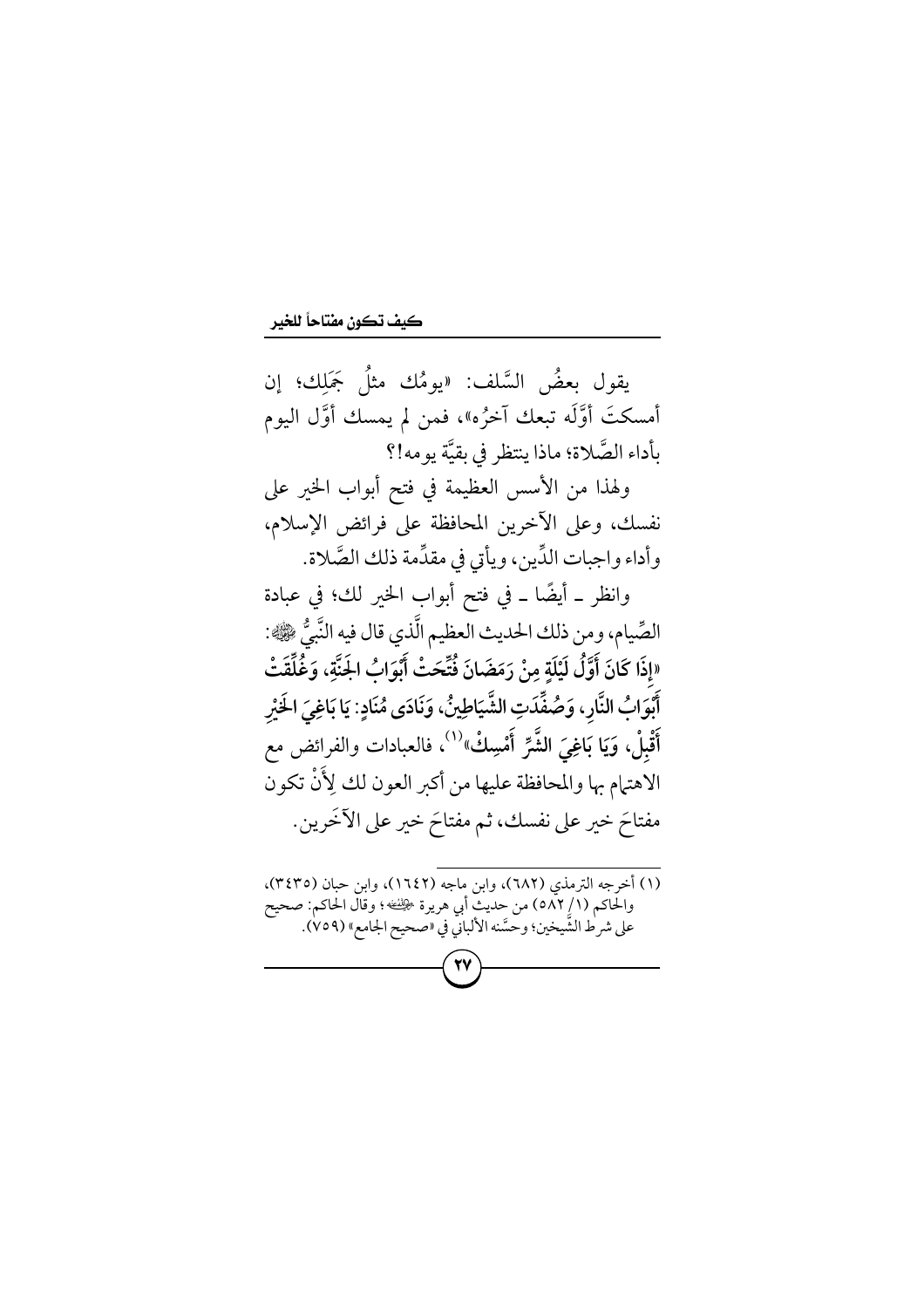يقول بعضُ السَّلف: «يومُك مثلٌ جَمَلِك؛ إن أمسكتَ أَوَّلَه تبعك آخرُه»، فمن لم يمسك أوَّل اليوم بِأداء الصَّلاة؛ ماذا ينتظر في بقيَّة يو مه!؟ ولهذا من الأسس العظيمة في فتح أبواب الخير على

نفسك، وعلى الآخرين المحافظة على فرائض الإسلام، وأداء واجبات الدِّين، ويأتي في مقدِّمة ذلك الصَّلاة.

وانظر ــ أيضًا ــ في فتح أبواب الخير لك؛ في عبادة الصِّيام، ومن ذلك الحديث العظيم الَّذي قال فيه النَّبِيُّ ١١١ «إِذَا كَانَ أَوَّلُ لَيْلَةٍ مِنْ رَمَضَانَ فُتِّحَتْ أَبْوَابُ الْجَنَّةِ، وَغُلِّقَتْ أَبْوَابُ النَّارِ، وَصُفِّدَتِ الشَّيَاطِينُ، وَنَادَى مُنَادٍ: يَا بَاغِيَ الْخَيْرِ أَقْبِلْ، وَيَا بَاغِيَ الشَّرِّ أَمْسِكْ» `` ، فالعبادات والفرائض مع الاهتهام بها والمحافظة عليها من أكبر العون لك لِأَنْ تكون مفتاحَ خير على نفسك، ثم مفتاحَ خير على الآخَرين.

(١) أخرجه الترمذي (٦٨٢)، وابن ماجه (١٦٤٢)، وابن حبان (٣٤٣٥)، والحاكم (١/ ٥٨٢) من حديث أبي هريرة ﴿لِلنَّهُ ؛ وَقَالَ الْحَاكم: صحيح<br>على شرط الشَّيخين؛ وحسَّنه الألباني في «صحيح الجامع» (٧٥٩).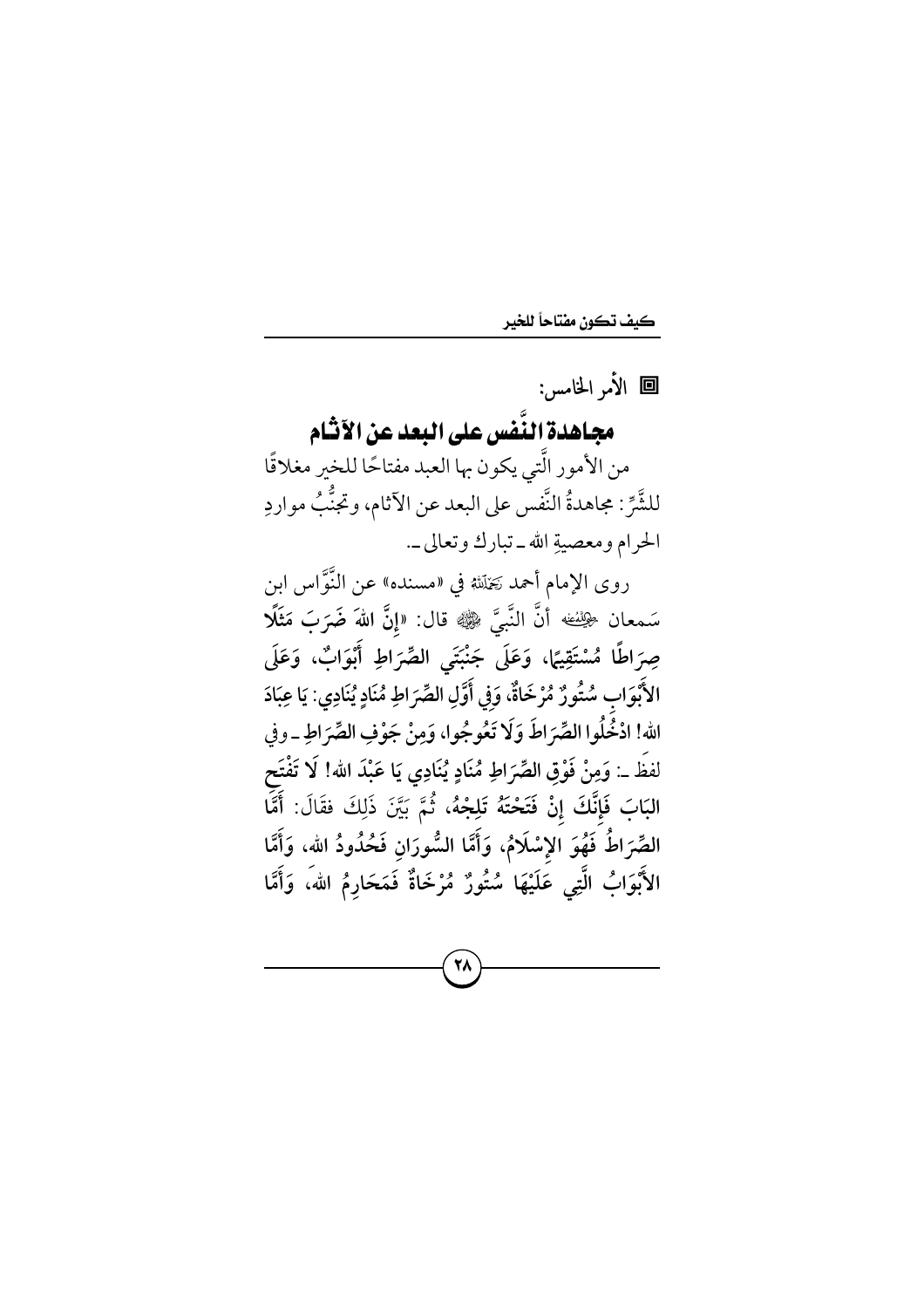回 الأمر الخامس: مجاهدة النَّفْسِ على البعد عن الأثام

من الأمور الَّتي يكون بها العبد مفتاحًا للخير مغلاقًا للشَّرِّ : مجاهدةُ النَّفس على البعد عن الآثام، وتجنُّبُ مواردِ الحرام ومعصيةِ الله ـ تبارك وتعالى ـ.

روى الإمام أحمد تَعَلَّلْتُهُ في «مسنده» عن النَّوَّاس ابن سَمعان ﴿لِلْفَةِ أَنَّ النَّبَيَّ ۞ قال: «إِنَّ اللهَ ضَرَبَ مَثَلًا ۖ صِرَاطًا مُسْتَقِيبًا، وَعَلَى جَنْبَتَى الصِّرَاطِ أَبْوَابٌ، وَعَلَى الأَبْوَابِ سُتُورٌ مُرْخَاةٌ، وَفِي أَوَّلِ الصِّرَ اطِ مُنَادِ يُنَادِي: يَا عِبَادَ الله! ادْخُلُوا الصِّرَاطَ وَلَا تَعُوجُوا، وَمِنْ جَوْفِ الصِّرَاطِ ـ وفي لفظَ ـ: وَمِنْ فَوْقِ الصِّرَاطِ مُنَادٍ يُنَادِي يَا عَبْدَ الله! لَا تَفْتَح البَابَ فَإِنَّكَ إِنْ فَتَحْتَهُ تَلِجْهُ، ثُمَّ بَيَّنَ ذَلِكَ فقَالَ: أَمَّا الصِّرَاطُ فَهُوَ الإِسْلَامُ، وَأَمَّا السُّورَانِ فَحُدُودُ الله، وَأَمَّا الأَبْوَابُ الَّتِي عَلَيْهَا سُتُورٌ مُرْخَاةٌ فَمَحَارِمُ اللهَ، وَأَمَّا

28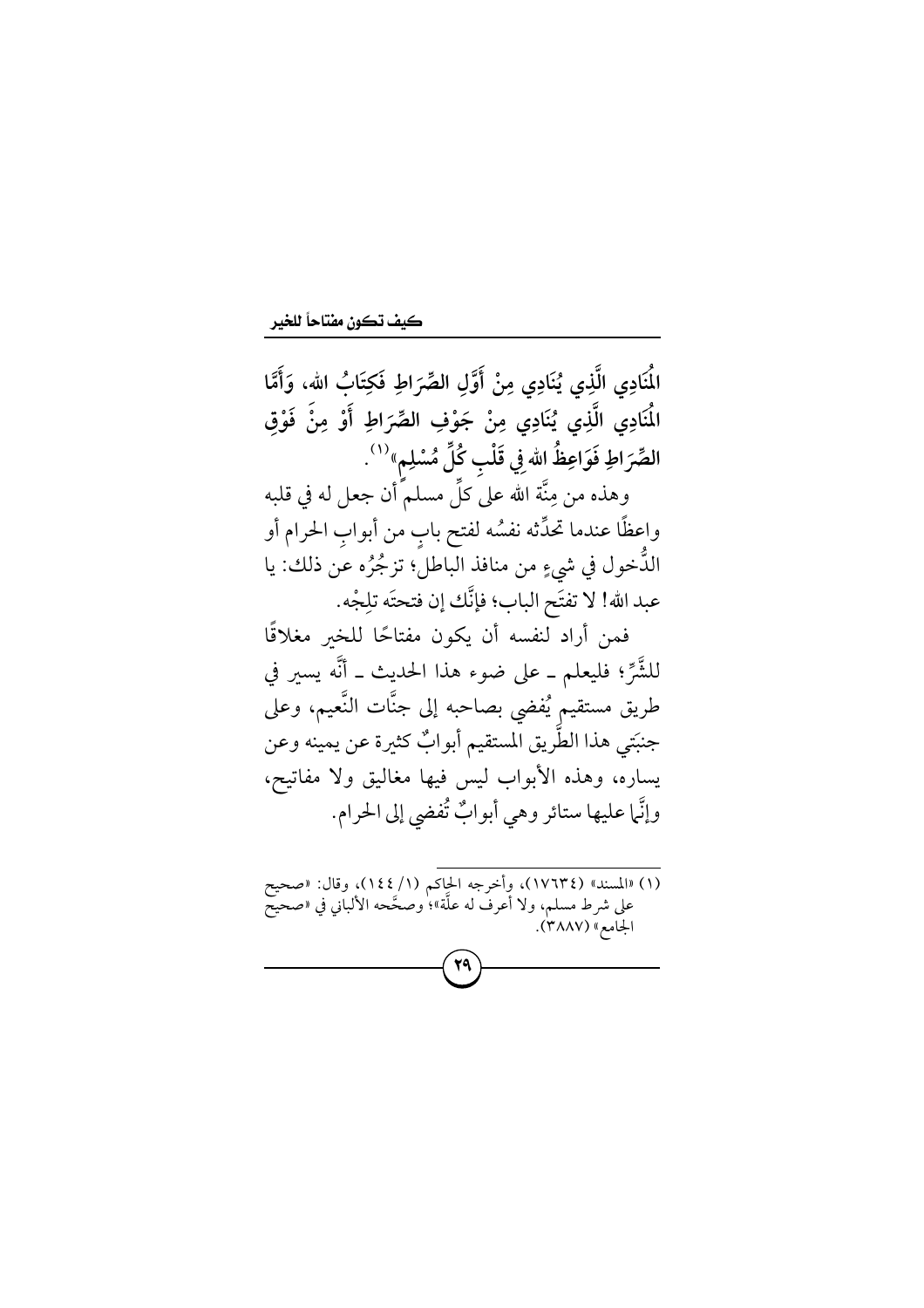الْمَنَادِي الَّذِي يُنَادِي مِنْ أَوَّلِ الصِّرَ اطِ فَكِتَابُ الله، وَأَمَّا الْمُنَادِي الَّذِي يُنَادِي مِنْ جَوْفِ الصِّرَاطِ أَوْ مِنَّ فَوْقِ الصِّرَاطِ فَوَاعِظُ الله فِي قَلْبِ كُلِّ مُسْلِمٍ» (١).

وهذه من مِنَّة الله على كلِّ مسلمٌ أن جعل له في قلبه واعظًا عندما تحدِّثه نفسُه لفتح بابٍ من أبوابِ الحرام أو الدَّخول في شيءٍ من منافذ الباطلِّ؛ تزجُرُه عن ذلك: يا عبد الله! لا تفتَح الباب؛ فإنَّك إن فتحتَه تلِجْه.

فمن أراد لنفسه أن يكون مفتاحًا للخبر مغلاقًا للشَّرِّ؛ فليعلم ــ على ضوء هذا الحديث ــ أنَّه يسير فى طريق مستقيم يُفضي بصاحبه إلى جنَّات النَّعيم، وعلى جنبَتي هذا الطَّريق المستقيم أبوابٌ كثيرة عن يمينه وعن يساره، وهذه الأبواب ليس فيها مغاليق ولا مفاتيح، وإنَّما عليها ستائر وهي أبوابٌ تُفضى إلى الحرام.

(١) «المسند» (١٧٦٣٤)، وأخرجه الحِاكم (١/ ١٤٤)، وقال: «صحيح على شرط مسلم، ولا أُعرفُ له علَّة»؛ وصحَّحه الألباني في «صحيح الجامع» (٣٨٨٧).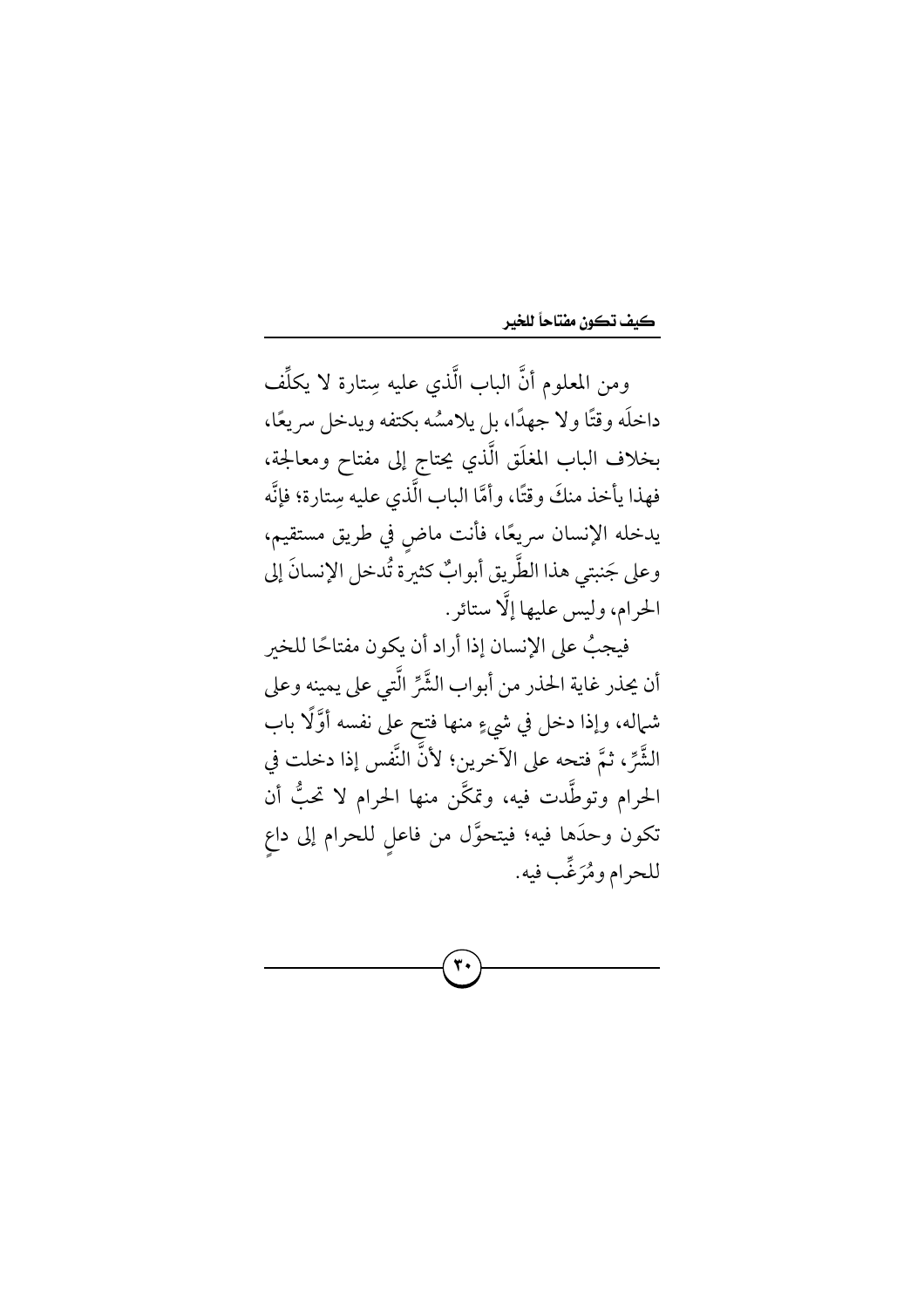ومن المعلوم أنَّ الباب الَّذي عليه سِتارة لا يكلِّف داخلَه وقتًا ولا جهدًا، بل يلامسُه بكتفه ويدخل سريعًا، بخلاف الباب المغلَق الَّذي يحتاج إلى مفتاح ومعالجة، فهذا يأخذ منكَ وقتًا، وأمَّا الباب الَّذي عليه سِتارة؛ فإنَّه يدخله الإنسان سريعًا، فأنت ماضٍ في طريق مستقيم، وعلى جَنبتي هذا الطَّريق أبوابٌ كثيرة تُدخل الإنسانَ إلى الحرام، وليس عليها إلَّا ستائر .

فيجبُ على الإنسان إذا أراد أن يكون مفتاحًا للخير أن يحذر غاية الحذر من أبواب الشَّرِّ الَّتي على يمينه وعلى شماله، وإذا دخل في شيءٍ منها فتح على نفسه أوَّلًا باب الشَّرِّ، ثمَّ فتحه على الآخرين؛ لأنَّ النَّفس إذا دخلت في الحرام وتوطَّدت فيه، وتمكَّن منها الحرام لا تحبُّ أن تكون وحدَها فيه؛ فيتحوَّل من فاعلِ للحرام إلى داع للحرام ومُرَغَّبٍ فيه.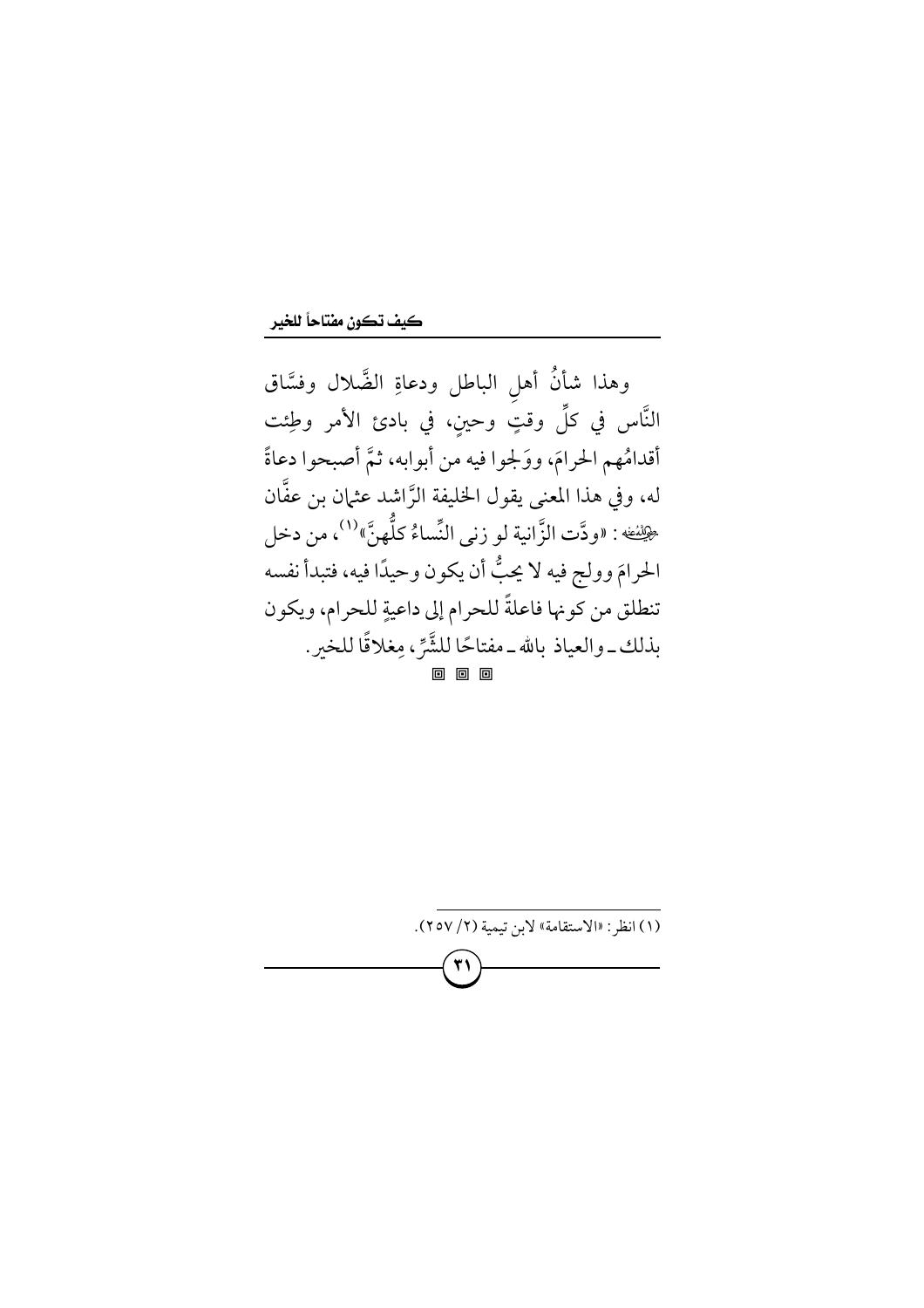كيف تكون مفتاحاً للخير

وهذا شأنُ أهلِ الباطل ودعاةِ الضَّلال وفسَّاق النَّاس في كلِّ وقتٍ وحينٍ، في بادئ الأمر وطِئت أقدامُهم الحرامَ، ووَلجوا فيه من أبوابه، ثمَّ أصبحوا دعاةً له، وفي هذا المعنى يقول الخليفة الرَّاشد عثمان بن عفَّان هِيَّنْهُه : «ودَّت الزَّانية لو زني النِّساءُ كلُّهنَّ»<sup>(١)</sup>، من دخل الحرامَ وولج فيه لا يحبُّ أن يكون وحيدًا فيه، فتبدأ نفسه تنطلق من كونها فاعلةً للحرام إلى داعيةٍ للحرام، ويكون بذلك\_والعياذ بالله-مفتاحًا للشَّرِّ، مِغلاقًا للخير.

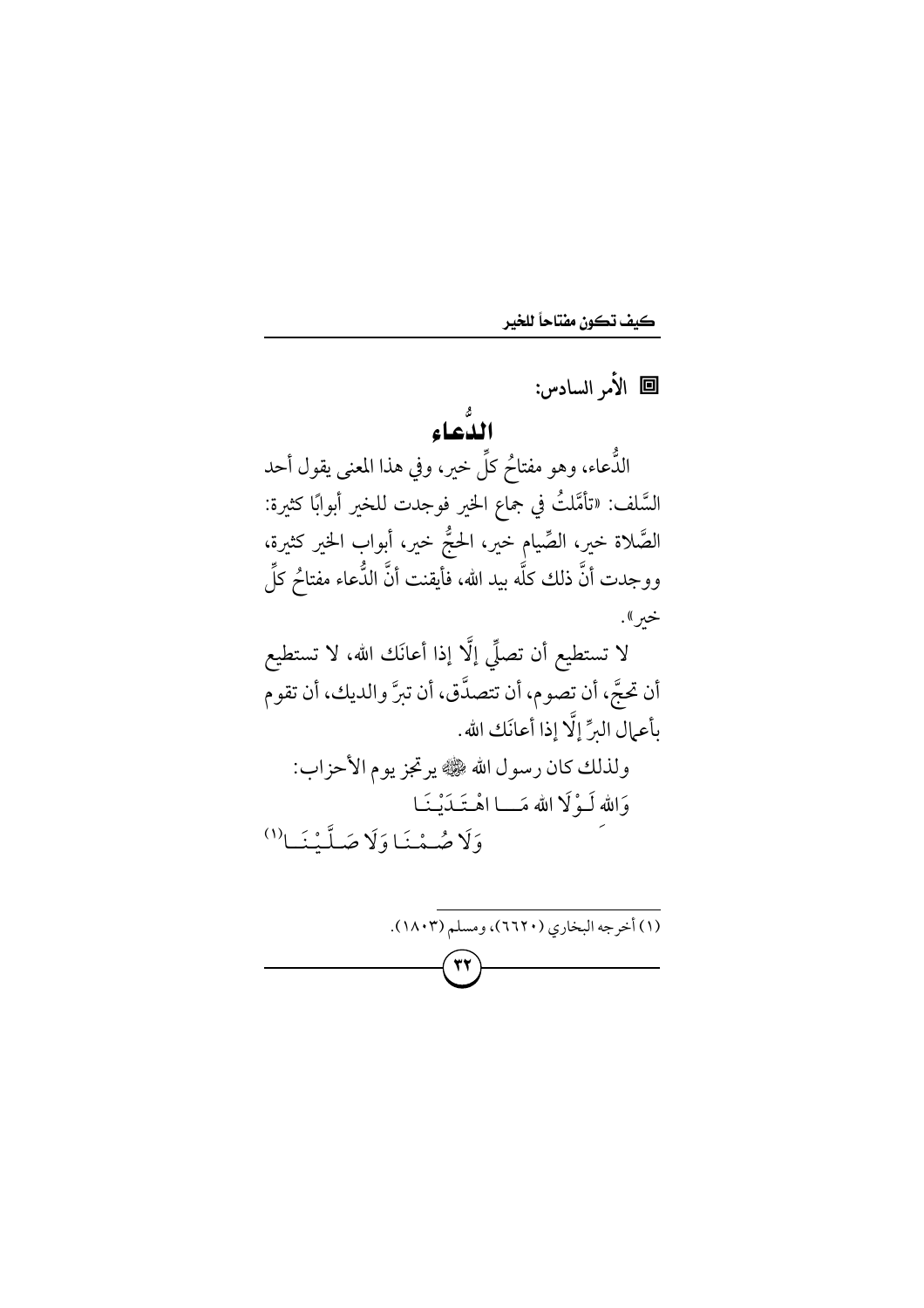回 الأمر السادس: الدُّعاء الدُّعاء، وهو مفتاحُ كلِّ خير، وفي هذا المعنى يقول أحد السَّلف: «تأمَّلتُ في جماع الخير فوجدت للخير أبوابًا كثيرة: الصَّلاة خير، الصِّيام خير، الحجُّ خير، أبواب الخير كثيرة، ووجدت أنَّ ذلك كلَّه بيد الله، فأيقنت أنَّ الدُّعاء مفتاحُ كلِّ خىر». لا تستطيع أن تصلِّي إلَّا إذا أعانَك الله، لا تستطيع أن تحجَّ، أن تصوم، أن تتصدَّق، أن تبرَّ والديك، أن تقوم بأعمال البرِّ إلَّا إذا أعانَك الله. ولذلك كان رسول الله ١٠٠٠ ولكن يوم الأحزاب: وَالله لَـوْلَا الله مَــا اهْـتَـدَيْـنَـا وَلَا صُعْنَا وَلَا صَلَّيْنَا (١)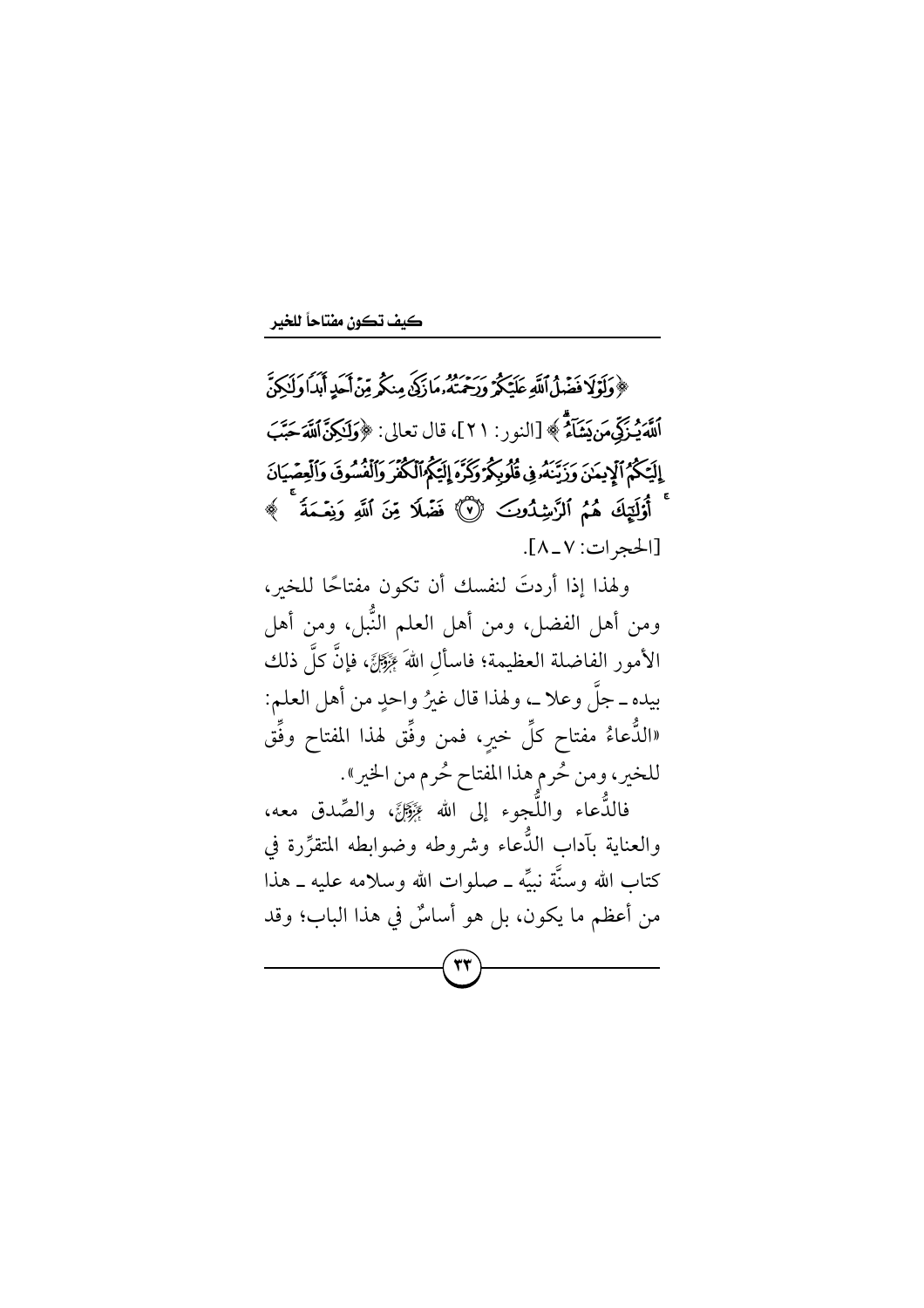﴿وَلَوۡلَا فَضۡلُ ٱللَّهِ عَلَيۡكُمۡ وَرَحۡمَتُهُۥمَازَكَىٰ مِنكُمۡ مِّنۡ أَحَدٍ أَبَدَا وَلَٰكِنَّ أَلَّهَ يُزَكِّى مَن يَشَآءٌ ﴾ [النور: ٢١]، قال تعالى: ﴿وَلَـٰكِنَّ أَللَّهَ حَبَّبَ إِلَيْكُمُ ٱلْإِيمَٰنَ وَزَيَّنَهُ فِي قُلُوبِكُمْ وَكَرَّهَ إِلَيْكُمُ ٱلْكُثْرَ وَٱلْشُوقَ وَٱلْعِصْيَانَ أَوَلَتِكَ هُمُ اَلزَّشِدُونَ ۚ ۞ فَضْلَا مِّنَ اللَّهِ وَنِفَمَةً ۚ ﴾ [الحجرات: ٨\_٨].

ولهذا إذا أردتَ لنفسك أن تكون مفتاحًا للخبر، ومن أهل الفضل، ومن أهل العلم النُّبل، ومن أهل الأمور الفاضلة العظيمة؛ فاسألِ اللهَ ﷺَ فإنَّ كلَّ ذلك بيده ــ جلَّ وعلا ــ، ولهذا قال غيرُ واحدٍ من أهل العلم: «الدُّعاءُ مفتاحٍ كلِّ خيرٍ، فمن وفِّق لهذا المفتاح وفِّق للخير، ومن حُرم هذا المفتاح حُرم من الخير».

فالدُّعاء واللَّجوء إلى الله عَزَّقَلَّ، والصِّدق معه، والعناية بآداب الدُّعاء وشروطه وضوابطه المتقرِّرة في كتاب الله وسنَّة نبيِّه ــ صلوات الله وسلامه عليه ــ هذا من أعظم ما يكون، بل هو أساسٌ في هذا الباب؛ وقد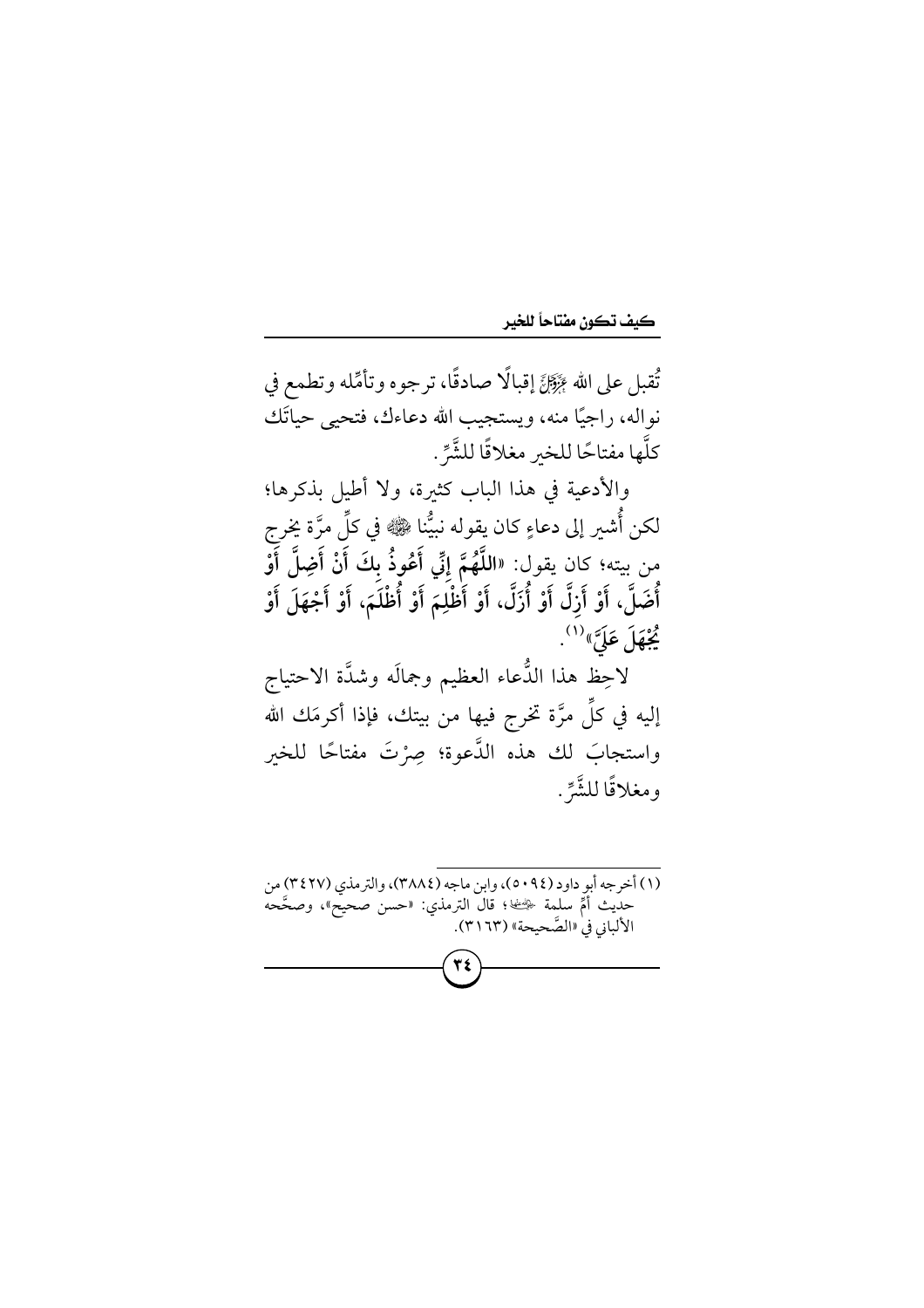تُقبلِ على الله ﷺَ إقبالًا صادقًا، ترجوه وتأمِّله وتطمع في نواله، راجيًا منه، ويستجيب الله دعاءك، فتحيى حياتَك كلَّها مفتاحًا للخبر مغلاقًا للشَّةِ .

والأدعية في هذا الباب كثيرة، ولا أطيل بذكرها؛ لكن أُشير إلى دعاءٍ كان يقوله نبيُّنا ﷺ في كلِّ مرَّة يخرج من بيته؛ كان يقول: «اللَّهُمَّ إنِّي أَعُوذُ بكَ أَنْ أَضِلَّ أَوْ أَضَلَّ، أَوْ أَزِلَّ أَوْ أُزَلَّ، أَوْ أَظْلِمَ أَوْ أُظْلَمَ، أَوْ أَجْهَلَ أَوْ <u>مُجْهَلَ</u> عَلَيَّ»<sup>(۱)</sup>.

لاحِظ هذا الدُّعاء العظيم وجمالَه وشدَّة الاحتياج إليه في كلِّ مرَّة تخرج فيها من بيتك، فإذا أكرمَك الله واستجابَ لك هذه الدَّعوة؛ صِرْتَ مفتاحًا للخير ومغلاقًا للشَّرِّ .

(۱) أخرجه أبو داود (۹٤•٥)، وابن ماجه (٣٨٨٤)، والترمذي (٣٤٢٧) من حديث أمٌّ سلمة ﴿ فِي اللَّهُ التَّرْمَذِي: «حسن صحيح»، وصحَّحه الألباني في «الصَّحيحة» (٣١٦٣).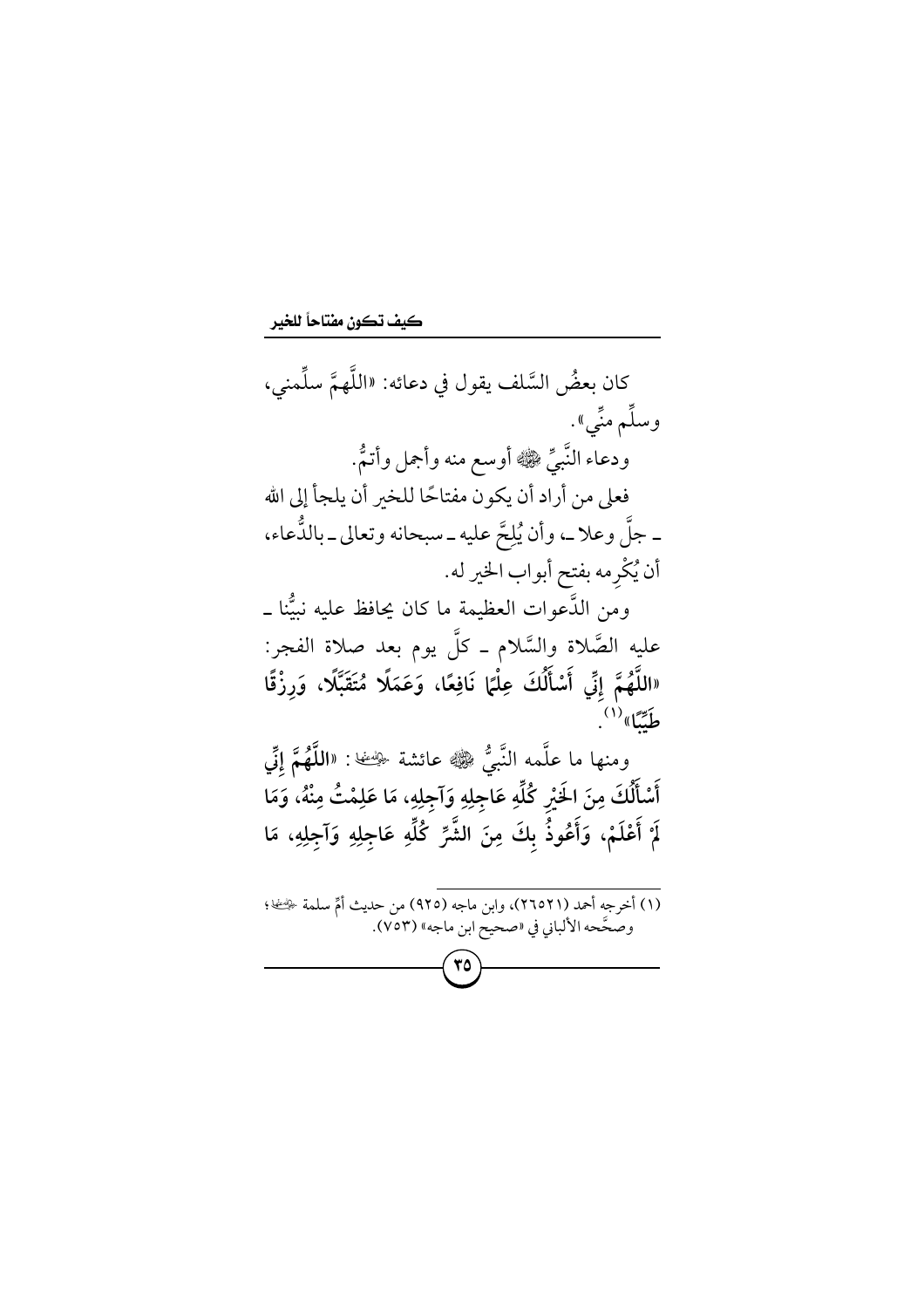كان بعضُ السَّلف يقول في دعائه: «اللَّهمَّ سلِّمني، وسلَّم منِّي». ودعاء النَّبيِّ ١١٠، وسع منه وأجمل وأتمُّ. فعلى من أراد أن يكون مفتاحًا للخير أن يلجأ إلى الله \_ جلَّ وعلا \_، وأن يُلِحَّ عليه \_ سبحانه وتعالى \_ بالدُّعاء، أن يُكْرِمه بفتح أبواب الخير له. ومن الدَّعوات العظيمة ما كان يحافظ عليه نبيُّنا ــ

عليه الصَّلاة والسَّلام ــ كلَّ يوم بعد صلاة الفجر: «اللَّهُمَّ إِنِّي أَسْأَلُكَ عِلْمًا نَافِعًا، وَعَمَلًا مُتَقَبَّلًا، وَرِزْقًا ...<br>طبّعاً» <sup>(۱)</sup>

ومنها ما علَّمه النَّبيُّ ﷺ عائشة ﴿ فَلَّكَ اللَّهُمَّ إِنِّي أَسْأَلُكَ مِنَ الخَيْرِ كُلِّهِ عَاجِلِهِ وَآجِلِهِ، مَا عَلِمْتُ مِنْهُ، وَمَا لَمْ أَعْلَمْ، وَأَعُوذُ بِكَ مِنَ الشَّرِّ كُلِّهِ عَاجِلِهِ وَآجِلِهِ، مَا

(١) أخرجه أحمد (٢٦٥٢١)، وابن ماجه (٩٢٥) من حديث أمِّ سلمة ﴿ فَلَحْظٍ؛ وصحَّحه الألباني في «صحيح ابن ماجه» (٧٥٣). ٣٥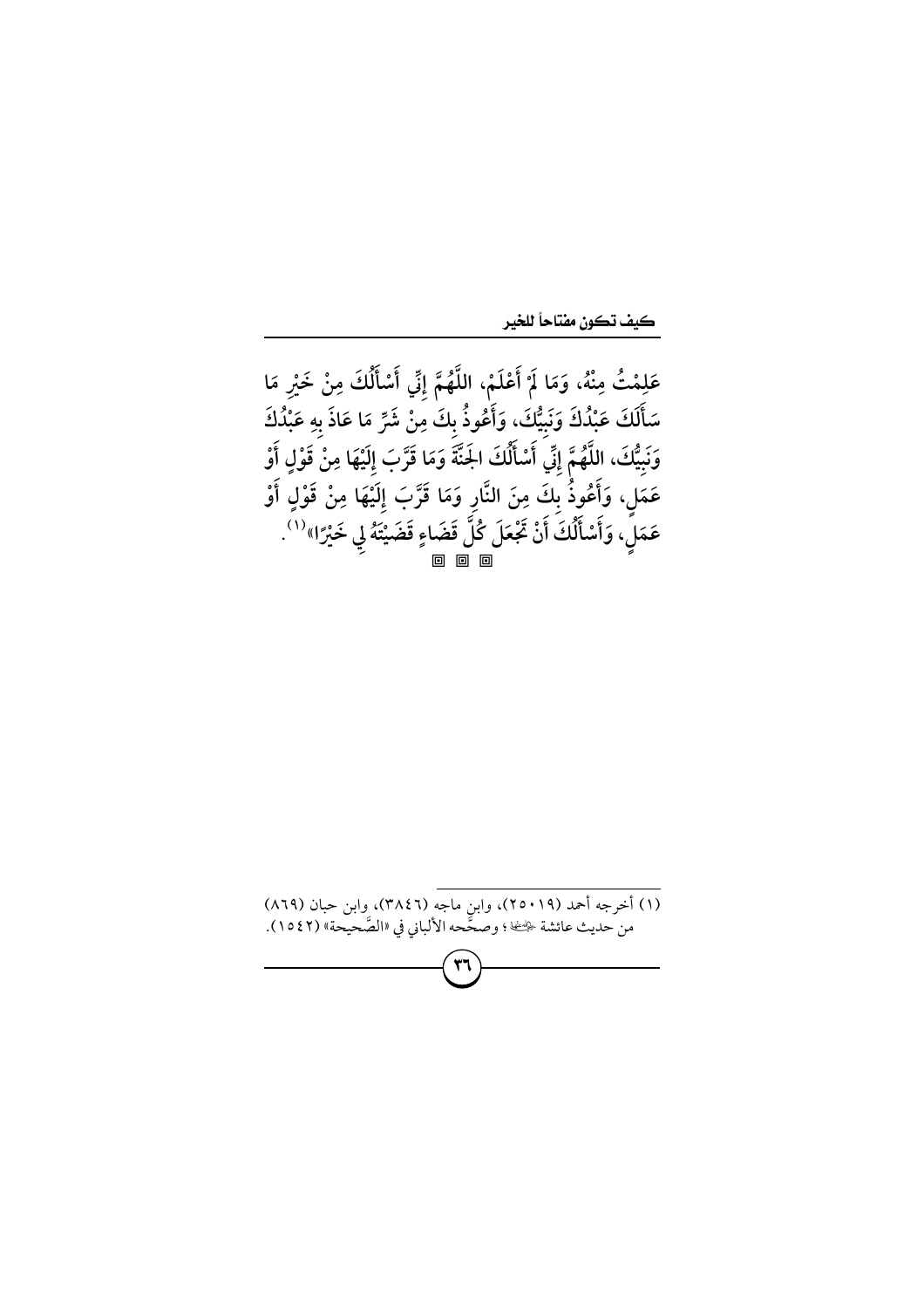عَلِمْتُ مِنْهُ، وَمَا لَمْ أَعْلَمْ، اللَّهُمَّ إِنِّي أَسْأَلُكَ مِنْ خَيْرِ مَا سَأَلَكَ عَبْدُكَ وَنَبِيُّكَ، وَأَعُوذُ بِكَٰ مِنْ شَرِّ مَا عَاذَ بِهِ عَبْدُكَ وَنَبِيُّكَ، اللَّهُمَّ إِنِّيَ أَسْأَلُكَ الجَنَّةَ وَمَا قَرَّبَ إِلَيْهَا مِنْ قَوْلٍ أَوْ عَمَلٍ، وَأَعُوذُ بِكَ مِنَ النَّارِ وَمَا قَرَّبَ إِلَيْهَا مِنْ قَوْلٍ أَوْ عَمَلٍۗ، وَأَسْأَلُكَ أَنْ غَجْعَلَ كُلَّ قَضَاءٍ قَضَيْتَهُ لِي خَيْرًا»<sup>(١)</sup><br>[ @ @ @ @ @ ]

(۱) أخرجه أحمد (۲۵۰۱۹)، وابنِ ماجه (۳۸٤٦)، وابن حبان (۸٦۹)<br>من حديث عائشة ﴿ فَلِسْمَا ؛ وصحَّحه الألباني في «الصَّحيحة» (۱۵٤۲). 37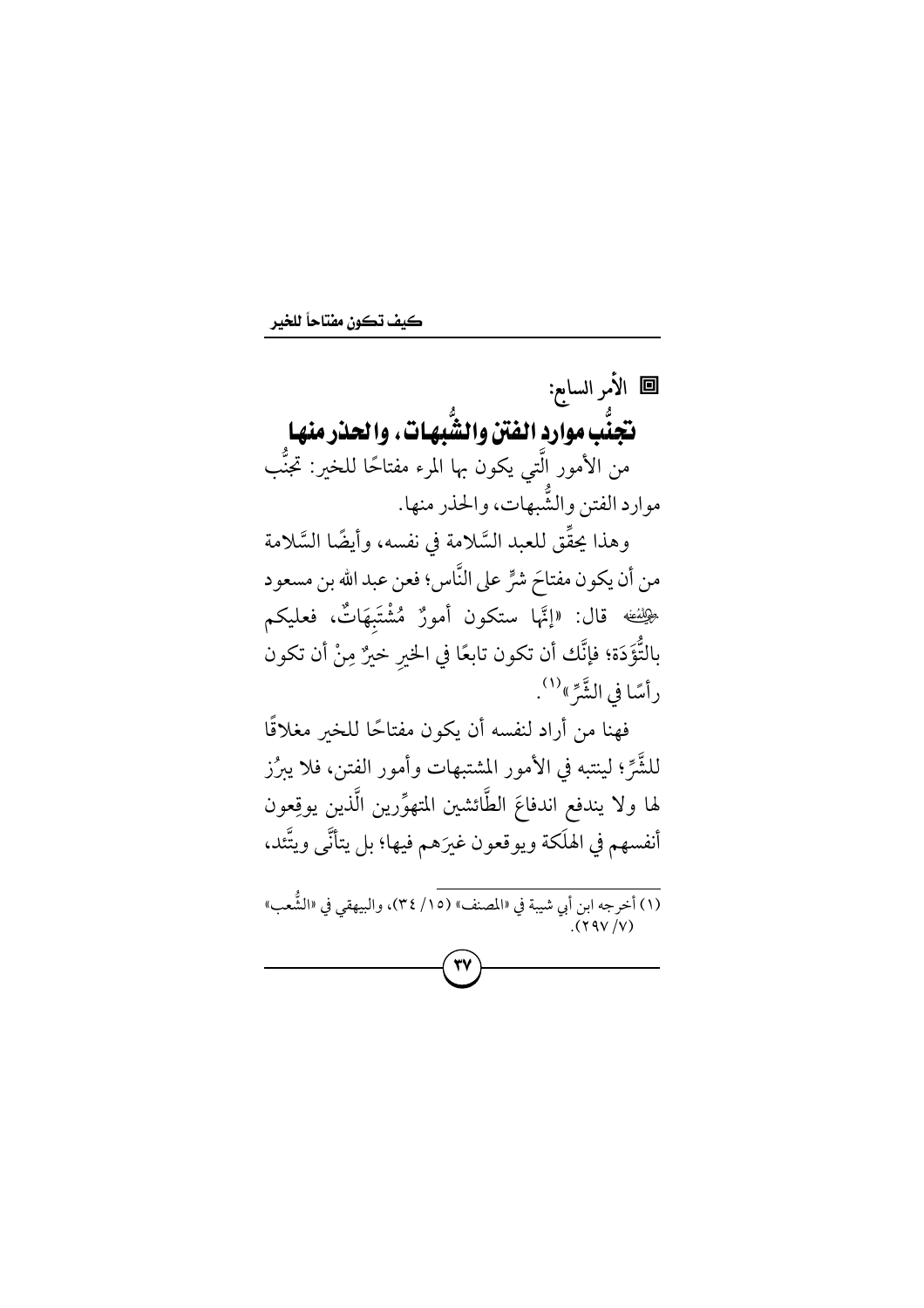回 الأمر السابع: تجنَّب موارد الفتن والشَّبهات، والحذر منها من الأمور الَّتى يكون بها المرء مفتاحًا للخير: تجنُّب موارد الفتن والشُّبهات، والحذر منها.

وهذا يحقِّق للعبد السَّلامة في نفسه، وأيضًا السَّلامة من أن يكون مفتاحَ شرٍّ على النَّاس؛ فعن عبد الله بن مسعود هِيْنُتْهِ قال: «إنَّها ستكون أمورٌ مُشْتَبِهَاتٌ، فعليكم بِالتَّؤَدَة؛ فإنَّك أن تكون تابعًا في الخير خيرٌ مِنْ أن تكون رأسًا في الشَّرِّ » (١).

فهنا من أراد لنفسه أن يكون مفتاحًا للخبر مغلاقًا للشَّرِّ؛ لينتبه في الأمور المشتبهات وأمور الفتن، فلا يبرُز لها ولا يندفع اندفاعَ الطَّائشين المتهوِّرين الَّذين يوقِعون أنفسهم في الهلَكة ويوقعون غيرَهم فيها؛ بل يتأنَّى ويتَّئد،

(١) أخرجه ابن أبي شيبة في «المصنف» (٥ ا/ ٣٤)، والبيهقي في «الشُّعب»<br>(٧ / ٢٩٧).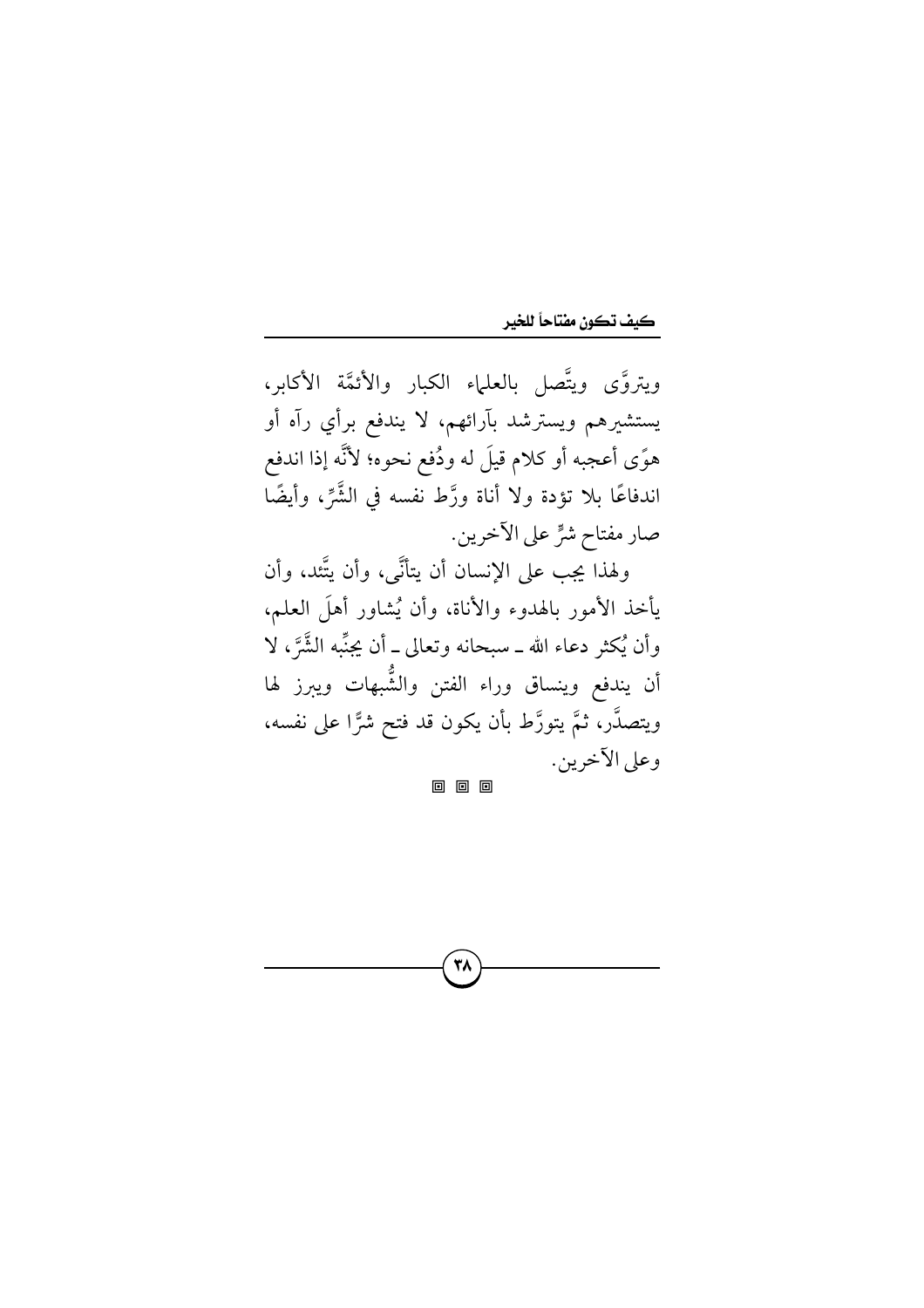ويتروَّى ويتَّصل بالعلماء الكبار والأئمَّة الأكابر، يستشيرهم ويسترشد بآرائهم، لا يندفع برأي رآه أو هوًى أعجبه أو كلام قيلَ له ودُفع نحوه؛ لأنَّه إذا اندفع اندفاعًا بلا تؤدة ولا أناة ورَّط نفسه في الشَّرِّ، وأيضًا صار مفتاح شرٌّ على الآخرين.

ولهذا يجب على الإنسان أن يتأنَّى، وأن يتَّئد، وأن يأخذ الأمور بالهدوء والأناة، وأن يُشاور أهلَ العلم، وأن يُكثر دعاء الله ــ سبحانه وتعالى ــ أن يجنِّبه الشَّرَّ ، لا أن يندفع وينساق وراء الفتن والشُّبهات ويبرز لها ويتصدَّر، ثمَّ يتورَّط بأن يكون قد فتح شرًّا على نفسه، وعلى الآخرين. 回 回 回

38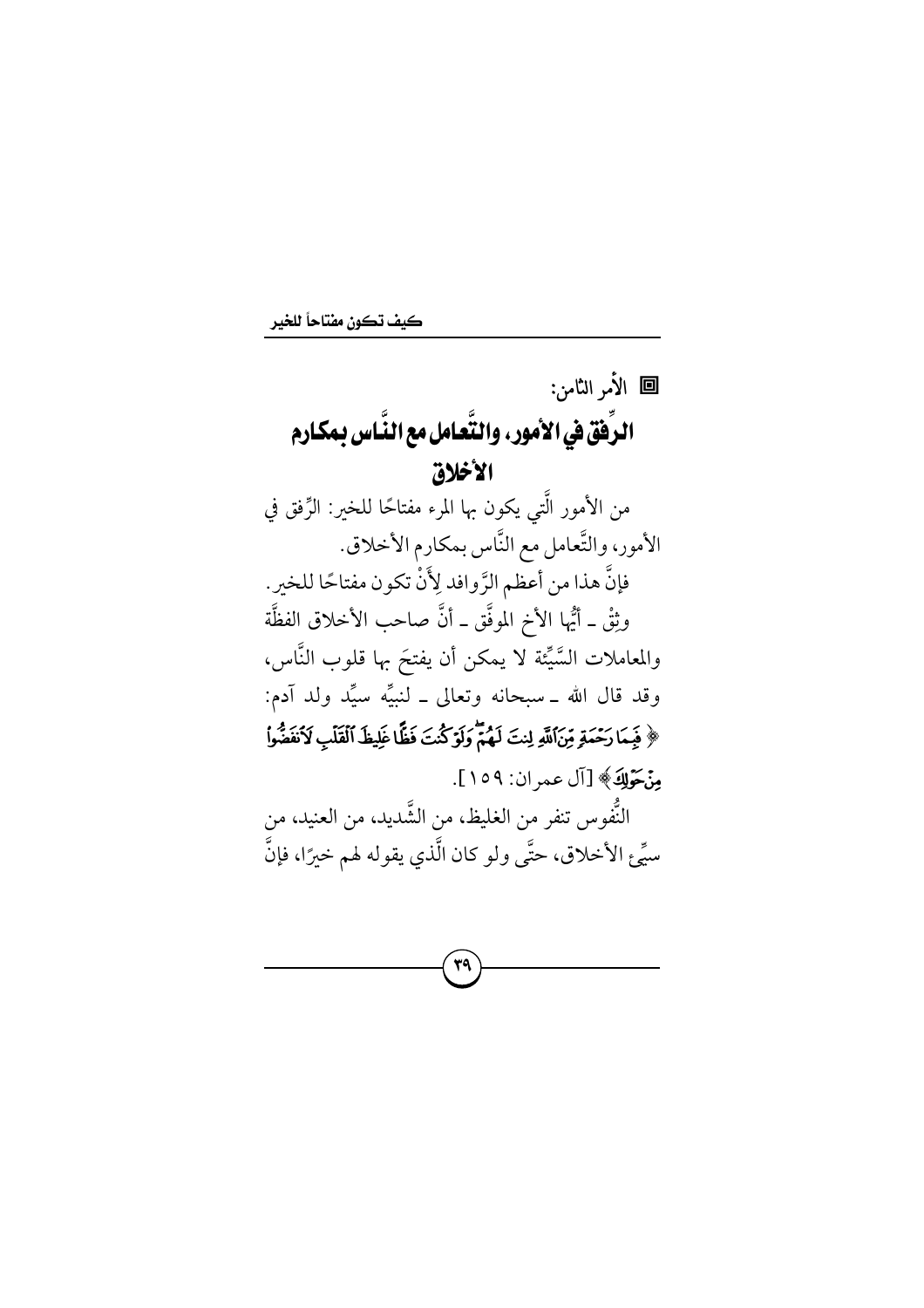回 الأمر الثامن: الرِّفْقِ فِي الأمورِ ، والتَّعامل مع النَّـاس بِمكارِم الأخلاق من الأمور الَّتي يكون بها المرء مفتاحًا للخير: الرِّفق في الأمور، والتَّعامل مع النَّاس بمكارم الأخلاق. فإنَّ هذا من أعظم الرَّوافد لِأَنْ تكون مفتاحًا للخير. وثِقْ ـ أَيُّها الأخ الموفَّق ـ أنَّ صاحب الأخلاق الفظَّة والمعاملات السَّيِّئة لا يمكن أن يفتحَ بها قلوب النَّاس، وقد قال الله ــ سبحانه وتعالى ــ لنبيَّه سيِّد ولد آدم: ﴿ فَبِمَا رَحْمَةٍ مِّنَ ٱللَّهِ لِنتَ لَهُمٌّ وَلَوْ كُنتَ فَظًّا غَلِيظَ ٱلْقَلْبِ لَاَنفَتُواْ مِنْحَوْلِكَ﴾ [آل عمر ان: ١٥٩]. النُّفوس تنفر من الغليظ، من الشَّديد، من العنيد، من سيِّئِ الأخلاق، حتَّى ولو كان الَّذي يقوله لهم خيرًا، فإنَّ

39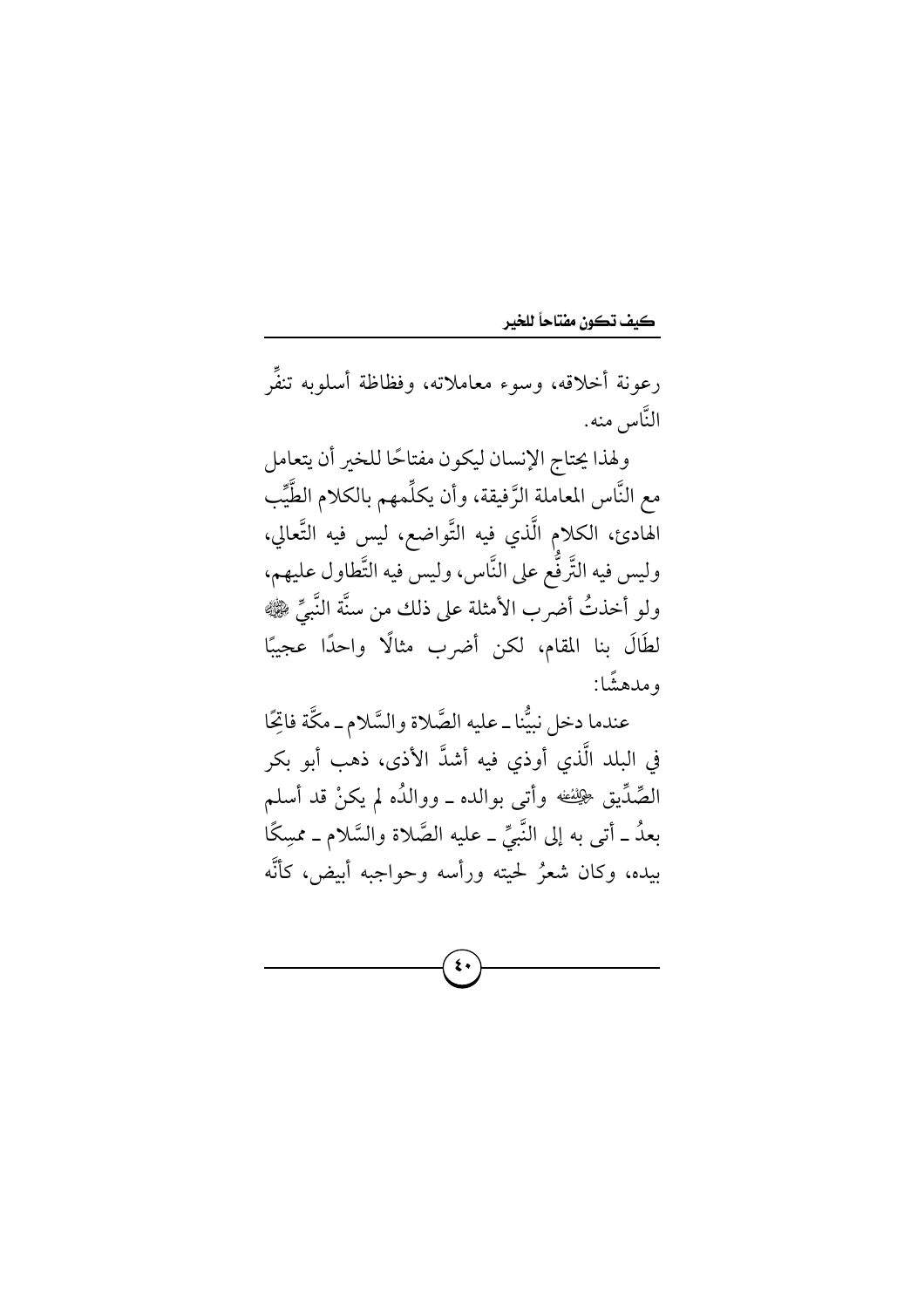رعونة أخلاقه، وسوء معاملاته، وفظاظة أسلوبه تنفُّر النَّاس منه.

ولهذا يحتاج الإنسان ليكون مفتاحًا للخير أن يتعامل مع النَّاس المعاملة الرَّفيقة، وأن يكلِّمهم بالكلام الطَّيِّب الهادئ، الكلام الَّذي فيه التَّواضع، ليس فيه التَّعالى، وليس فيه التَّرفُّع على النَّاس، وليسْ فيه التَّطاول عليهم، ولو أخذتُ أضرب الأمثلة على ذلك من سنَّة النَّبيِّ ۞ لطَالَ بنا المقام، لكن أضرب مثالًا واحدًا عجيبًا ومدهشًا:

عندما دخل نبيُّنا ــ عليه الصَّلاة والسَّلام ــ مكَّة فاتِحًا في البلد الَّذي أوذي فيه أشدَّ الأذي، ذهب أبو بكر الصِّدِّيقِ ﴿لِلَّهُ وَأَتِي بِواللهِ ـ وواللَّهُ لَم يكنْ قد أسلم بعدُ ــ أتبي به إلى النَّبيِّ ــ عليه الصَّلاة والسَّلام ــ ممسِكًا بيده، وكان شعرُ لحيته ورأسه وحواجبه أبيضٌ، كأنَّه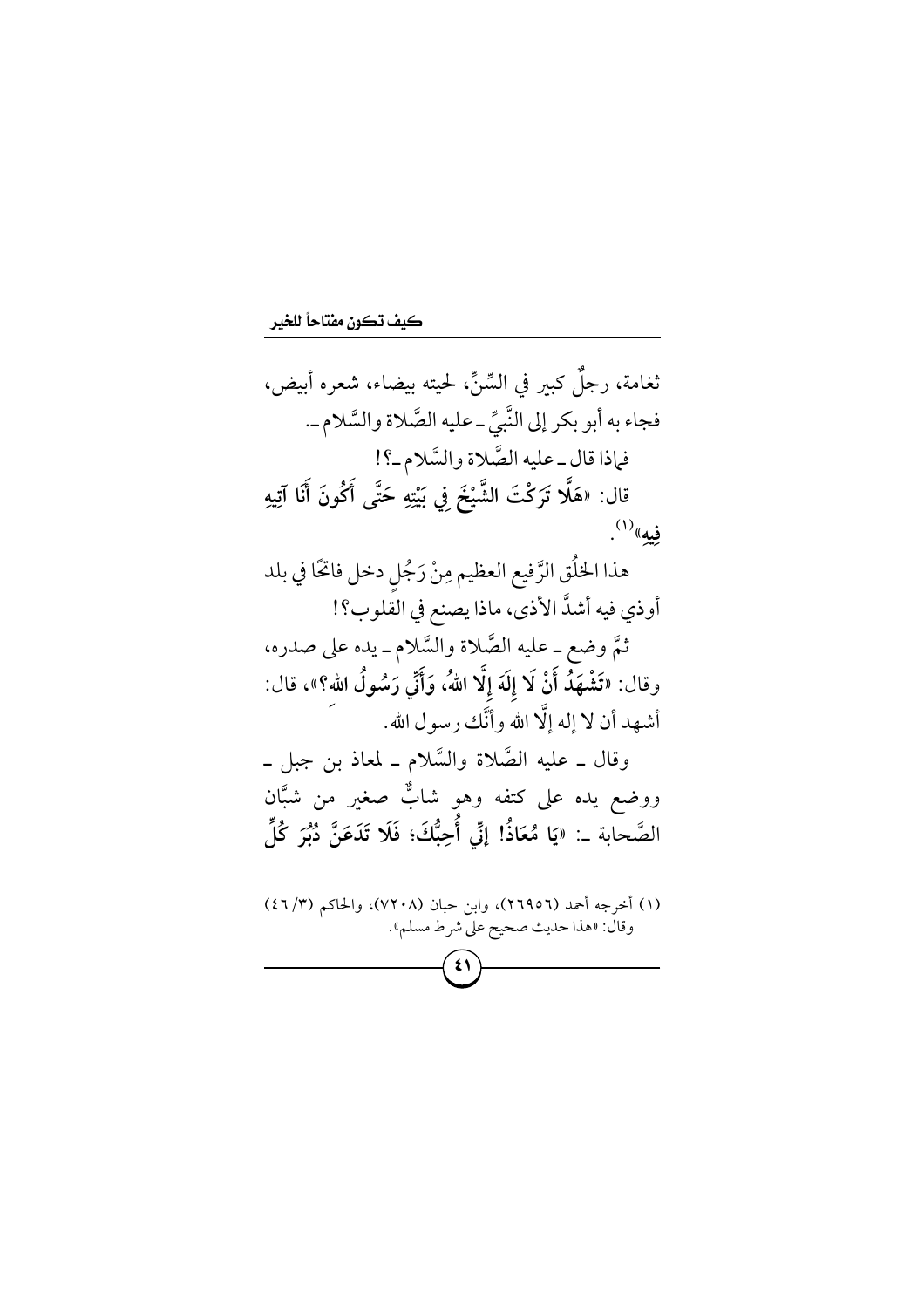ثغامة، رجلٌ كبير في السِّنِّ، لحيته بيضاء، شعره أبيض، فجاء به أبو بكر إلى النَّبيِّ ـ عليه الصَّلاة والسَّلام ـ. فماذا قال ـ عليه الصَّلاة والسَّلام ـ؟! قال: «هَلَّا تَرَكْتَ الشَّيْخَ في بَيْتِهِ حَتَّى أَكُونَ أَنَا آتِيهِ فِيهِ»(۱)

هذا الخلُق الرَّفيع العظيم مِنْ رَجُلٍ دخلٍ فاتحًا في بلد أوذي فيه أشدَّ الأذي، ماذا يصنع في القلوب؟!

ثمَّ وضع ــ عليه الصَّلاة والسَّلام ــ يده على صدره، وقال: «تَشْهَدُ أَنْ لَا إِلَهَ إِلَّا اللهُ، وَأَنِّي رَسُولُ الله؟»، قال: أشهد أن لا إله إلَّا الله وأنَّك رسول الله.

وقال ـ عليه الصَّلاة والسَّلام ـ لمعاذ بن جبل ـ ووضع يده على كتفه وهو شابٌّ صغير من شبَّان الصَّحابة ـ: «يَا مُعَاذُ! إِنِّي أُحِبُّكَ؛ فَلَا تَدَعَنَّ دُبُرَ كُلِّ

(١) أخرجه أحمد (٢٦٩٥٦)، وابن حبان (٧٢٠٨)، والحاكم (٣/ ٤٦) وقال: «هذا حديث صحيح على شرط مسلم».  $\mathbf{t}$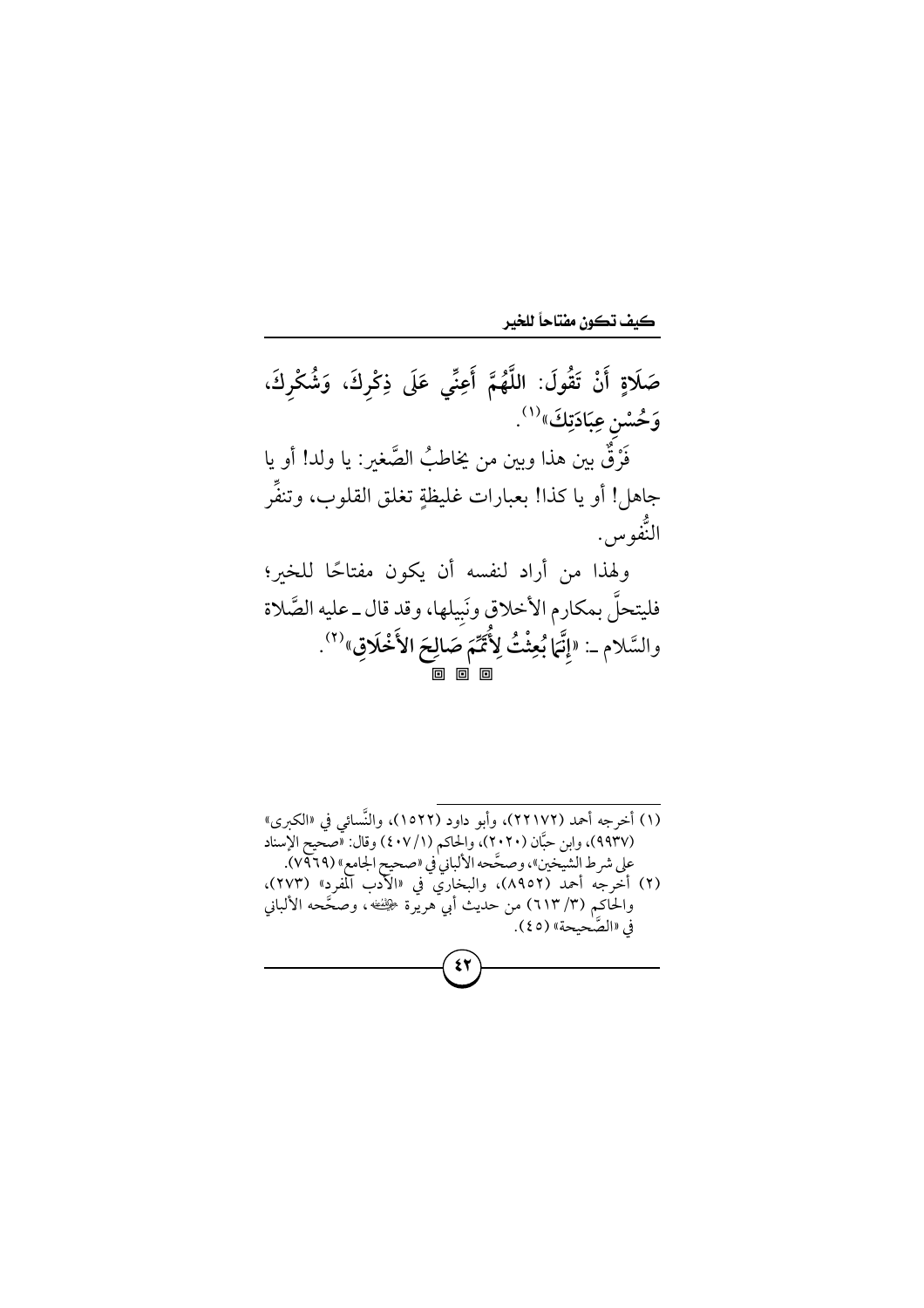صَلَاةٍ أَنْ تَقُولَ: اللَّهُمَّ أَعِنِّي عَلَى ذِكْرِكَ، وَشُكْرِكَ، وَحُسْنِ عِبَادَتِكَ»<sup>(١)</sup>. فَرْقٌ بين هذا وبين من يخاطبُ الصَّغير: يا ولد! أو يا جاهل! أو يا كذا! بعبارات غليظةٍ تغلق القلوب، وتنفِّر النُّفو س. ولهذا من أراد لنفسه أن يكون مفتاحًا للخير؛ فليتحلَّ بمكارم الأخلاق ونَبيلها، وقد قال ــ عليه الصَّلاة 

- (١) أخرجه أحمد (٢٢١٧٢)، وأبو داود (١٥٢٢)، والنَّسائي في «الكبرى» / `` (۹۹۳۷)، وابن حَبَّان (۲۰۲۰)، والحاكم (۶۰۷/۱) وقال: "صحيح الإسناد<br>على شرط الشيخين"، وصحَّحه الألباني في "صحيح الجامع" (۷۹۶۹).<br>(۲) أخرِجه أحمد (۸۹٥۲)، والبخإري في «الأدب المفرِدٍ» (۲۷۳).
- والحاكم (٣/ ٦١٣) من حديث أبيّ هريّرة ﴿لِلنَّفَةُ، وصحَّحه الألباني في «الصَّحبحة» (٤٥).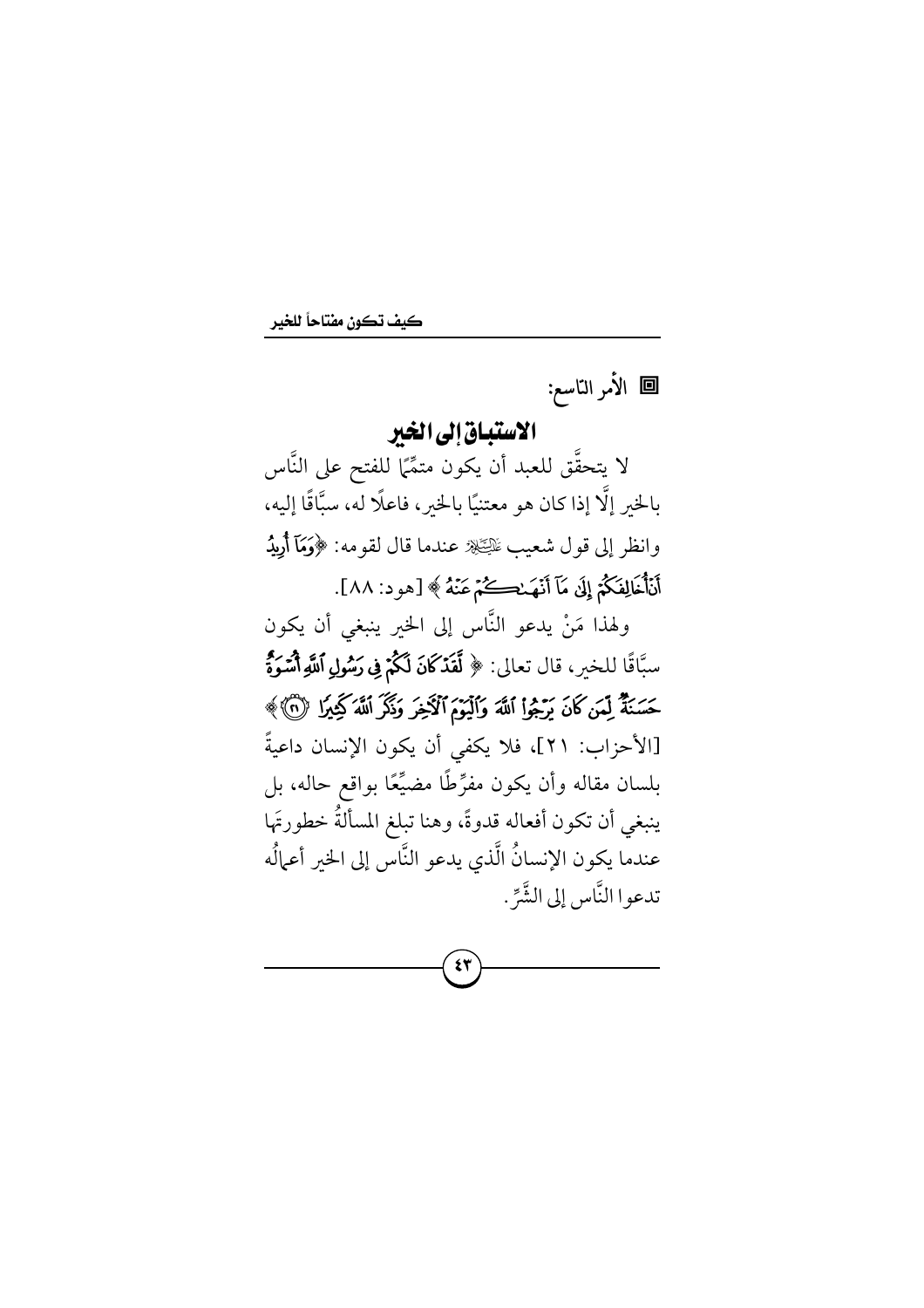回 الأمر الناسع:

#### الاستباق الى الخبر

لا يتحقَّق للعبد أن يكون متمِّمًا للفتح على النَّاس بالخير إلَّا إذا كان هو معتنيًا بالخير، فاعلًا له، سبَّاقًا إليه، وانظر إلى قول شعيب ﷺ عندما قال لقومه: ﴿وَمَآ أَرِيدُ أَنَأْخَالِفَكُمْ إِلَىٰ مَآ أَنْهَـٰكُمْ عَنْدُ ﴾ [هو د: ٨٨].

ولهذا مَنْ يدعو النَّاس إلى الخير ينبغي أن يكون سبَّاقًا للخير، قال تعالى: ﴿ لَّقَدْكَانَ لَكُمْ فِي رَسُولِ ٱللَّهِ أَسْوَةً حَسَنَةٌ لِمَن كَانَ يَرْجُواْ ٱللَّهَ وَٱلْيَوْمَ ٱلْأَخِرَ وَذَكَرَ اللَّهَ كَثِيرًا ۚ (أَ)) ﴾ [الأحزاب: ٢١]، فلا يكفي أن يكون الإنسان داعيةً بلسان مقاله وأن يكون مفرِّطًا مضيِّعًا بواقع حاله، بل ينبغي أن تكون أفعاله قدوةً، وهنا تبلغ المسألةُ خطورتَها عندما يكون الإنسانُ الَّذي يدعو النَّاس إلى الخير أعمالُه تدعوا النَّاس إلى الشَّرِّ .

٤٣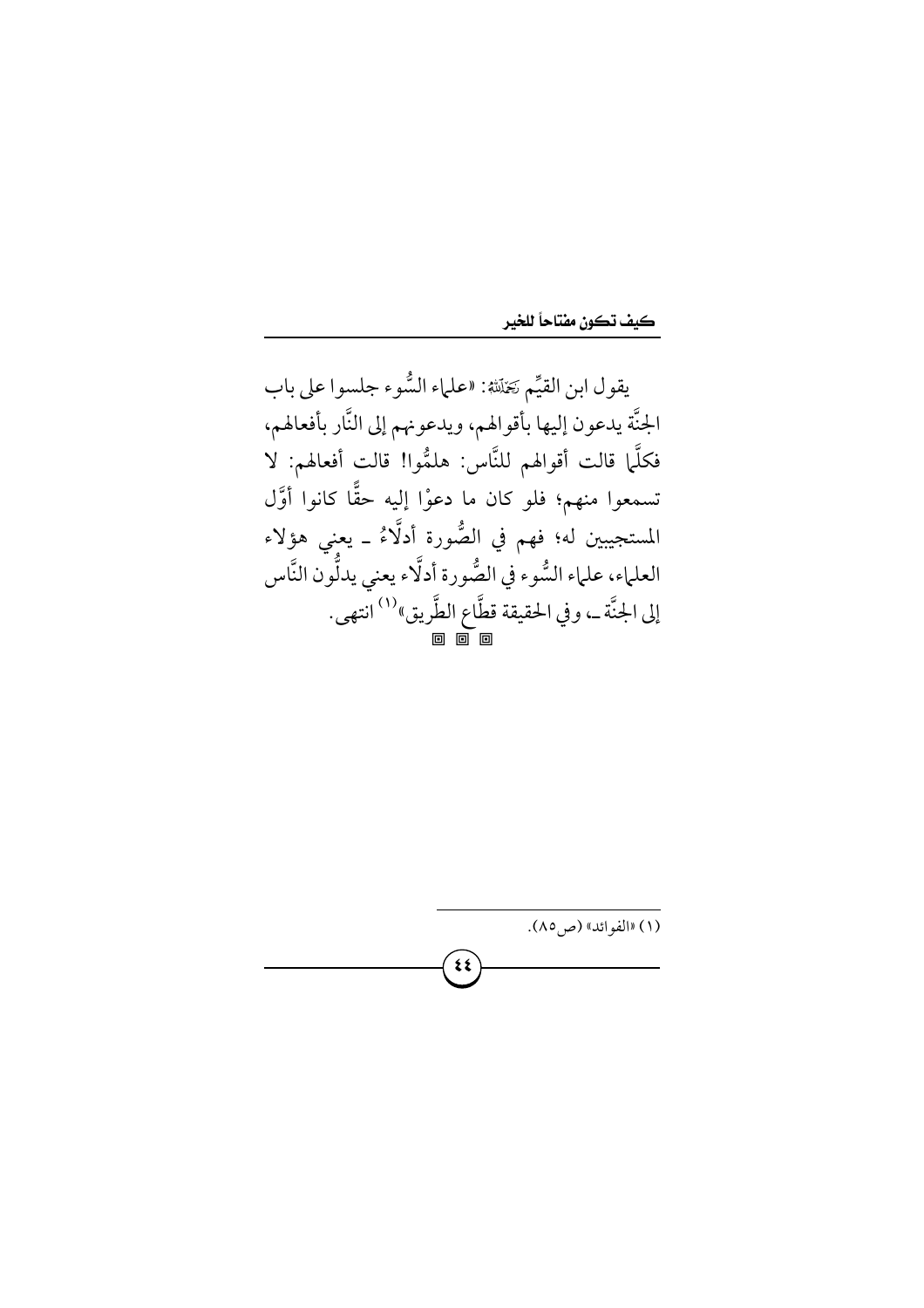يقول ابن القيِّم رَحَمْلَتْهُ: «علماء السُّوء جلسوا على باب الجنَّة يدعون إليها بأقوالهم، ويدعونهم إلى النَّار بأفعالهم، فكلَّما قالت أقوالهم للنَّاس: هلمُّوا! قالت أفعالهم: لا تسمعوا منهم؛ فلو كان ما دعوْا إليه حقًّا كانوا أوَّل المستجيبين له؛ فهم في الصُّورة أدلَّاءُ ــ يعني هؤلاء العلماء، علماء السُّوء في الصُّورة أدلَّاء يعني يدلُّون النَّاس 

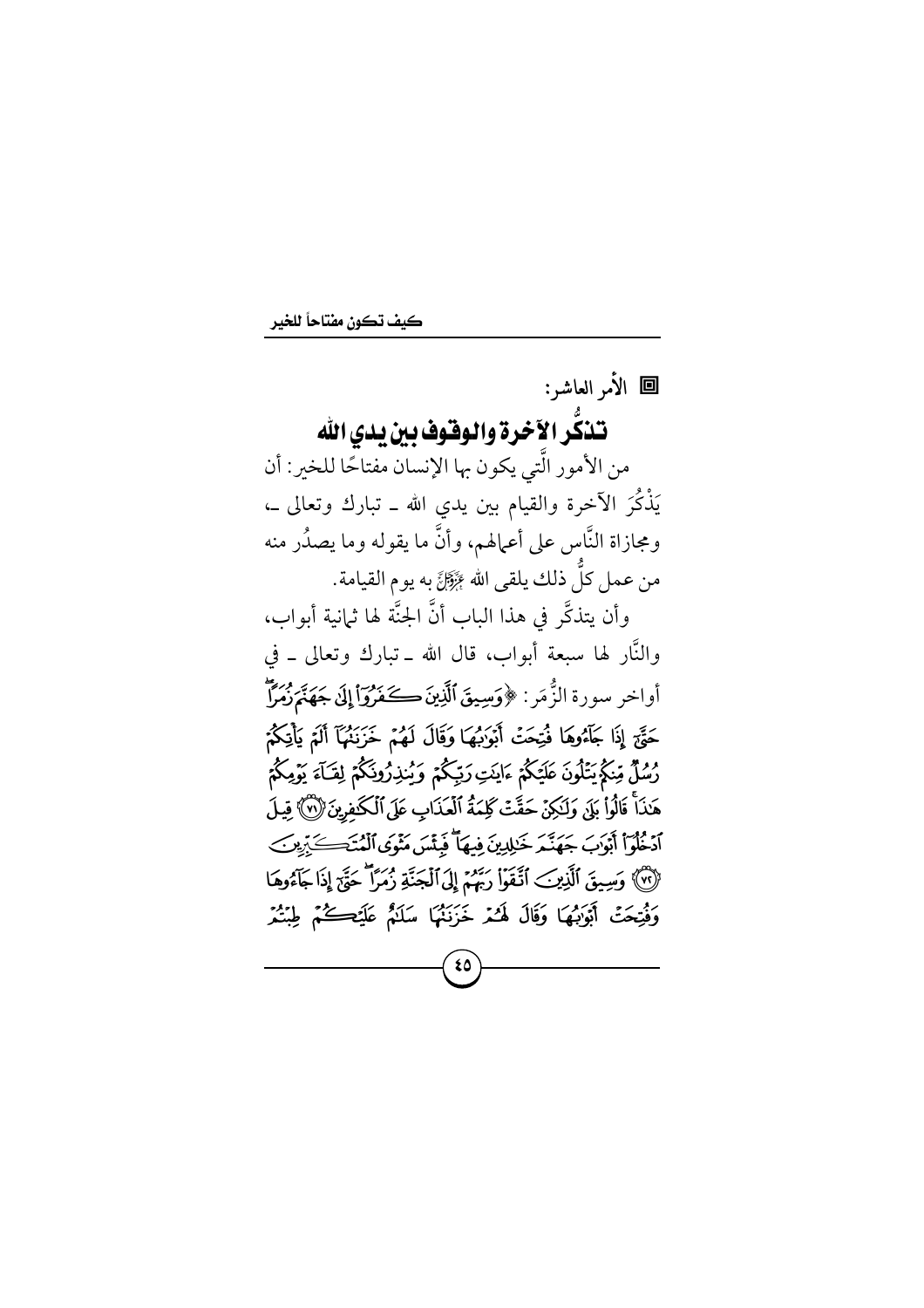回 الأمر العاشر:

## تننكّر الآخرة والوفنوف بين بدي الله

من الأمور الَّتي يكون بها الإنسان مفتاحًا للخير: أن يَذْكُرَ الآخرة والقيام بين يدي الله ـ تبارك وتعالى ـ، ومجازاة النَّاس على أعمالهم، وأنَّ ما يقوله وما يصدُر منه من عمل كلُّ ذلك يلقى الله عَزَّقَلَّ به يوم القيامة.

وأن يتذكَّر في هذا الباب أنَّ الجنَّة لها ثيانية أبواب، والنَّارِ لها سبعة أبواب، قال الله ـ تبارك وتعالى ـ في أواخر سورة الزُّمَرِ: ﴿وَسِيقَ ٱلَّذِينَ كَفَرُوٓاْ إِلَىٰ جَهَنَّمَ زَمَرٍّ حَتَّجَ إِذَا جَلَّمُوهَا فُتِحَتْ أَبْوَٰبُهَا وَقَالَ لَهُمْ خَزَنَٰهُمَآ أَلَمۡ يَأۡتِكُمۡ رُمِنٌ مِّنكُمْ يَتَلُونَ عَلَيْكُمْ ءَايَدَ رَبِّكُمْ وَيُنذِرُونَكُمْ لِقَـَآءَ يَوْمِكُمْ هَٰذَاً قَالُواْ بَلَا، وَلَـٰكِنۡ حَقَّتۡ كَلِمَةُ ٱلۡعَذَابِ عَلَى ٱلۡكَٰفِرِينَ ۚ(ْ١) قِيلَ أَمْثُلُوٓاْ أَبْوَٰبَ جَهَنَّمَ خَٰلِلِينَ فِيهَآ فَبِئَسَ مَنُوءَ ٱلۡمُتَكَبِّرِينَ (٣) وَسِيقَ ٱلَّذِينَ ٱتَّقَوْا رَبَّهُمْ إِلَى ٱلْجَنَّةِ زُمَرًا حَقَّ إِذَا جَآءُوهَا وَفُتِحَتْ أَبْوَبُهَا وَقَالَ لَهُمْ خَزَنَهُمَا سَلَنَّمَ عَلَيْكُمْ طِبْتُمْ

٤٥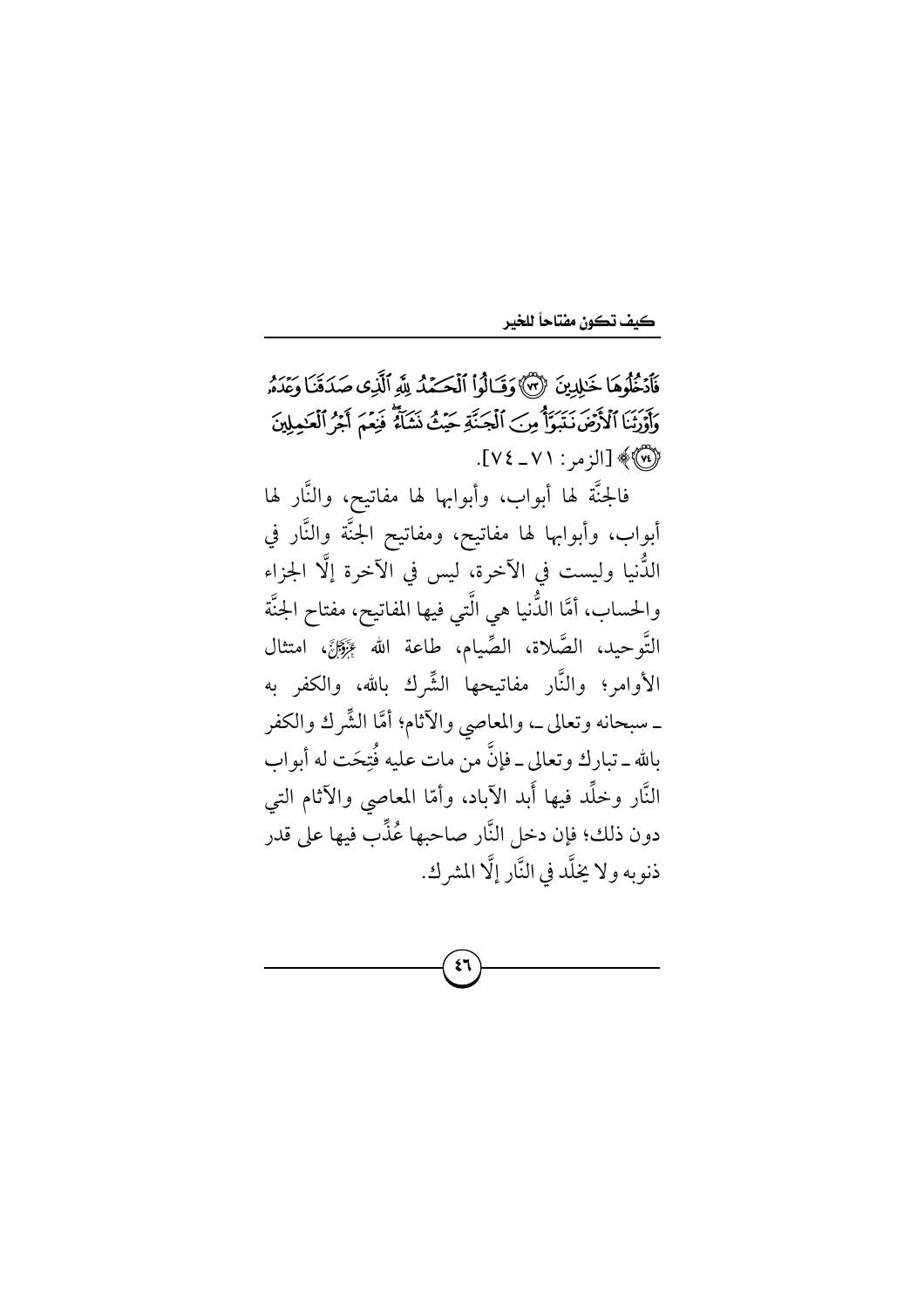فَأَدْخُلُوهَا خَلِلِينَ ۚ (٣) وَقَالُواْ ٱلْحَمَّدُ لِلَّهِ ٱلَّذِى صَدَقَنَا وَعَدَهُ وَأَوْرَثَنَا ٱلْأَرْضَ نَتَبَوَّأُ مِنَ ٱلْجَنَّةِ حَيْثُ نَشَاءٌ فَنِعَمَ أَجْرُ ٱلْعَنِمِلِينَ (W) ﴾ [الزمر : ٧١ \_ ٧٤].

فالجنَّة لها أبواب، وأبوابها لها مفاتيح، والنَّار لها أبواب، وأبوابها لها مفاتيح، ومفاتيح الجنَّة والنَّار في الدُّنيا وليست في الآخرة، ليس في الآخرة إلَّا الجزاء والحساب، أمَّا الدُّنيا هي الَّتي فيها المفاتيح، مفتاح الجنَّة التَّوحيد، الصَّلاة، الصِّيام، طاعة الله ﷺ، امتثال الأوامر؛ والنَّار مفاتيحها الشِّرك بالله، والكفر به ـ سبحانه وتعالى\_، والمعاصي والآثام؛ أمَّا الشِّرك والكفر بالله ــ تبارك وتعالى ــ فإنَّ من مات عليه فُتِحَت له أبو اب النَّار وخلِّد فيها أَبد الآباد، وأمّا المعاصي والآثام التي دون ذلك؛ فإن دخل النَّار صاحبِها عُذِّبٌ فيها على قدر ذنوبه ولا يخلَّد في النَّار إلَّا المشرك.

 $\mathbf{z}$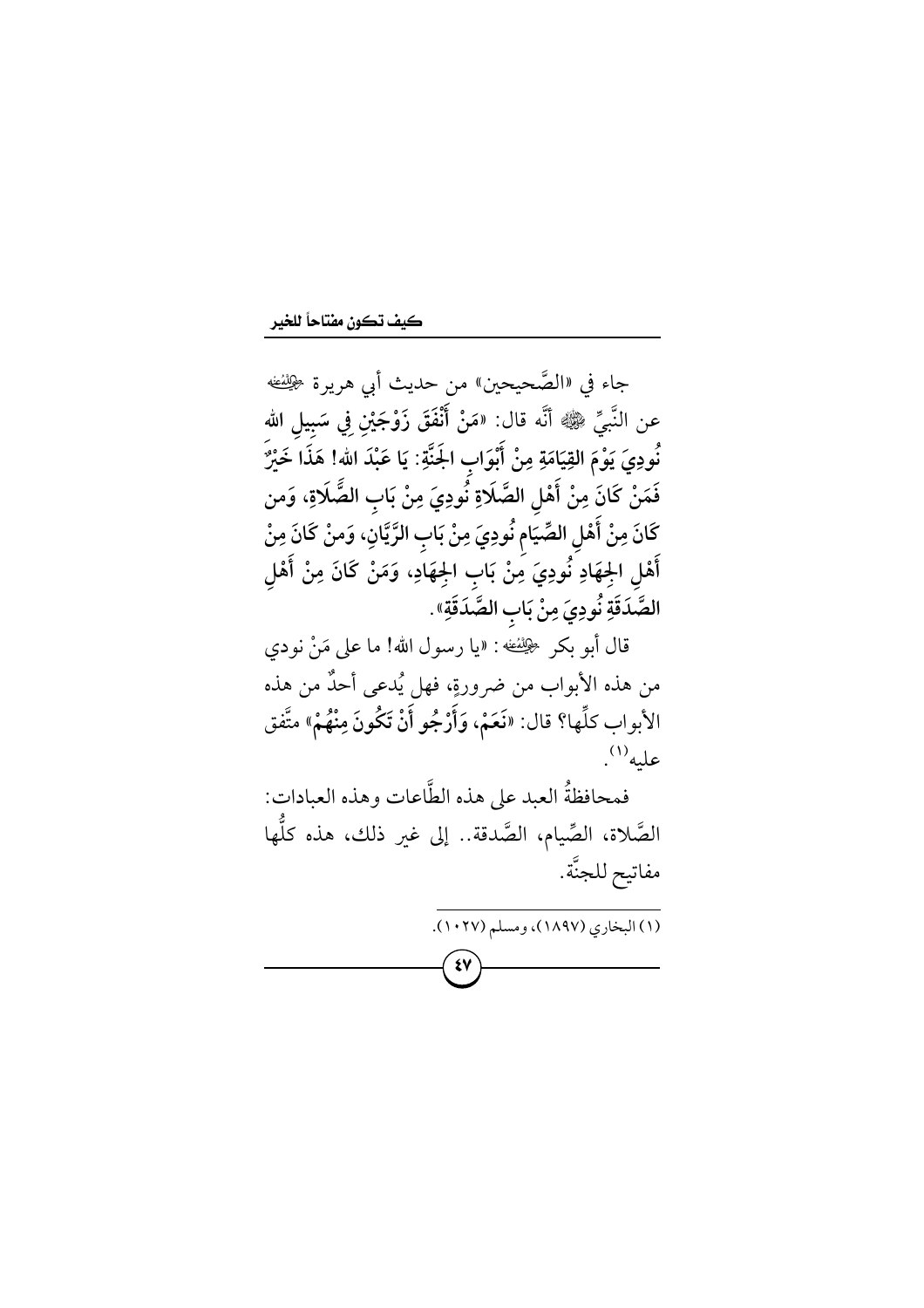جاء في «الصَّحيحين» من حديث أبي هريرة ﴿ لِلَّهُ غَيْنَ مَنْ عن النَّبيِّ ﷺ أنَّه قال: «مَنْ أَنْفَقَ زَوْجَيْنِ فِي سَبِيلِ الله نُودِيَ يَوْمَ القِيَامَةِ مِنْ أَبْوَابِ الجَنَّةِ: يَا عَبْدَ الله! هَذَا خَيْرٌ َ فَمَنْ كَانَ مِنْ أَهْلِ الصَّلَاةِ نُُودِيَ مِنْ بَابِ الصَّلَاةِ، وَمن كَانَ مِنْ أَهْلِ الصِّيَامِ نُودِيَ مِنْ بَابِ الرَّيَّانِ، وَمنْ كَانَ مِنْ أَهْلِ الجِهَادِ نُودِيَ مِنْ بَابِ الجِهَادِ، وَمَنْ كَانَ مِنْ أَهْلِ الصَّدَقَةِ نُودِيَ مِنْ بَابِ الصَّدَقَةِ».

قال أبو بكر ﴿لِلنَّـٰه : «يا رسول الله! ما على مَنْ نودي من هذه الأبواب من ضرورةٍ، فهل يُدعى أحدٌ من هذه الأبوابِ كلِّها؟ قال: «نَعَمْ، وَأَرْجُو أَنْ تَكُونَ مِنْهُمْ» متَّفق علىه''.

فمحافظةُ العبد على هذه الطَّاعات وهذه العبادات: الصَّلاة، الصِّيام، الصَّدقة.. إلى غير ذلك، هذه كلُّها مفاتيح للجنَّة.

(۱) البخاري (۱۸۹۷)، ومسلم (۱۰۲۷).  $\mathbf{y}$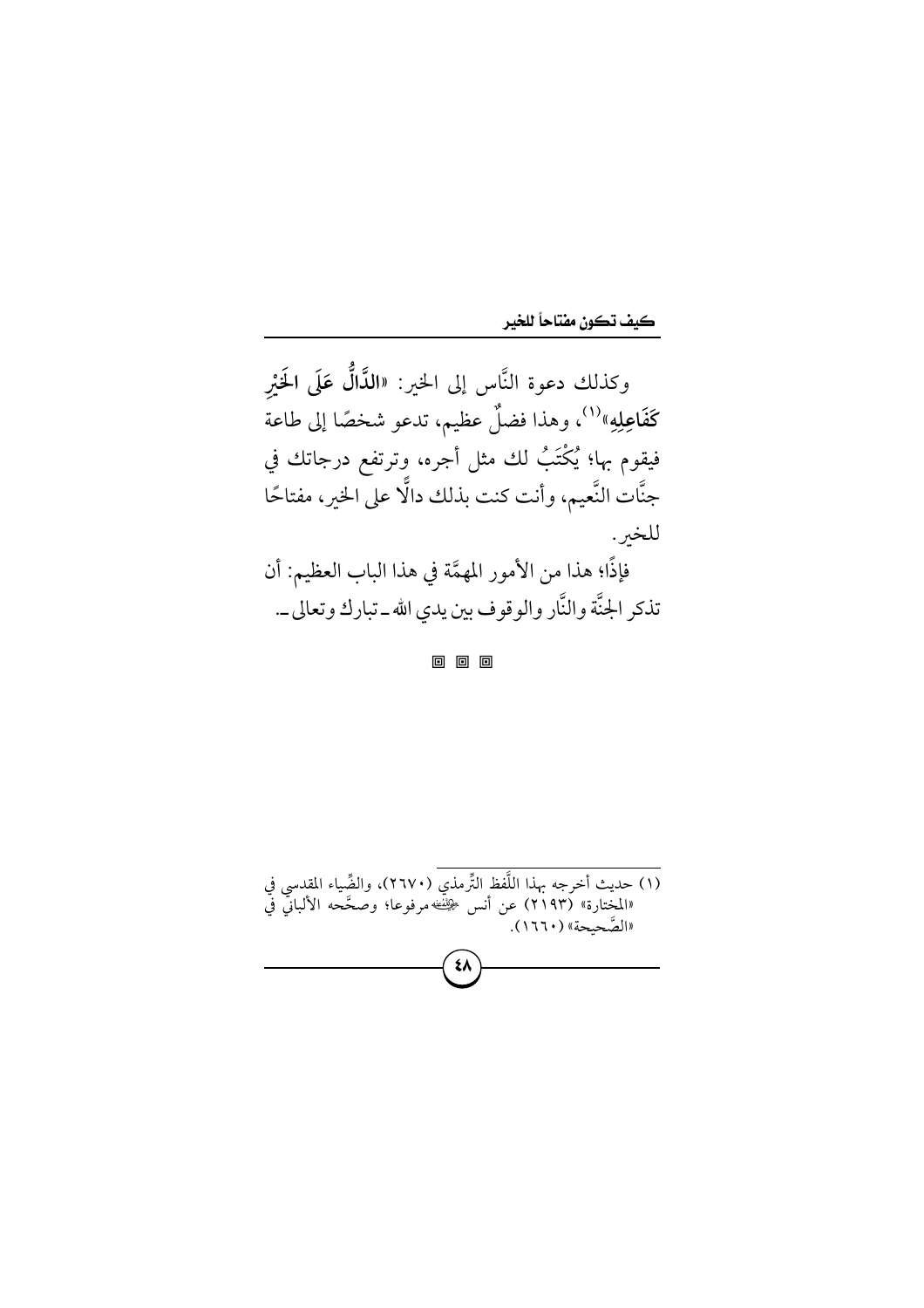وكذلك دعوة النَّاس إلى الخير: «ا**لدَّالُّ عَلَى الخَ**يْرِ كَفَاعِلِهِ»<sup>(١)</sup>، وهذا فضلٌ عظيم، تدعو شخصًا إلى طاعة فيقوم بها؛ يُكْتَبُ لك مثل أجره، وترتفع درجاتك في جنَّات النَّعيم، وأنت كنت بذلك دالًّا على الخير، مفتاحًا للخير. فإذًا؛ هذا من الأمور المهمَّة في هذا الباب العظيم: أن تذكر الجنَّة والنَّار والوقوف بين يدي الله-تبارك وتعالى-.

回 回 回

.<br>(١) حديث أخرجه بهذا اللَّفظ التِّرمذي (٢٦٧٠)، والضِّياء المقدسي في<br>«المخِتارة» (٢١٩٣) عن أنس ﴿لِلْفَــٰه مرفوعا؛ وصحَّحه الألباني في «الصَّحبحة» (١٦٦٠). ٤٨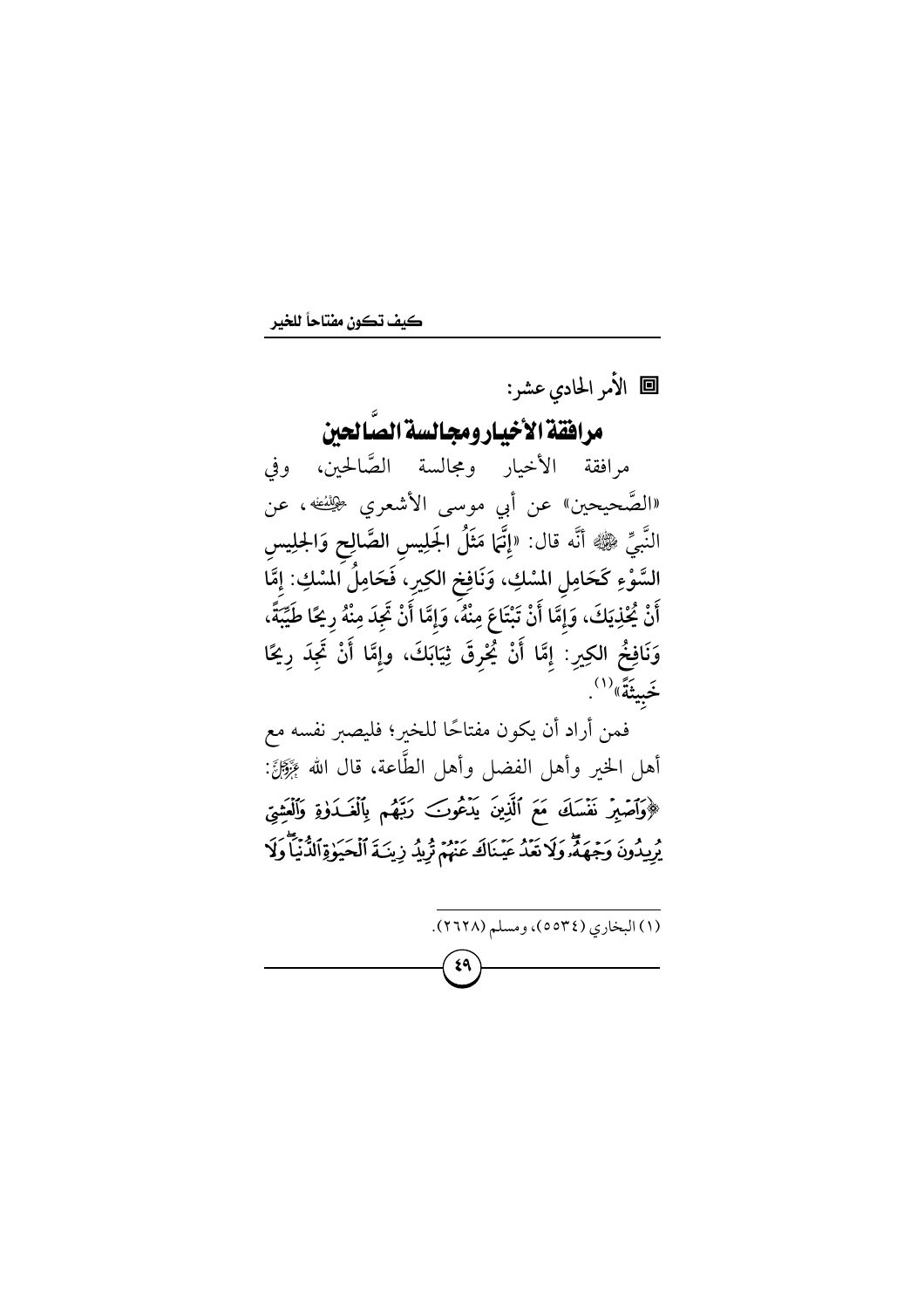回 الأمر الحادي عشر: مرافقة الأخيار ومجالسة الصّالحن مرافقة الأخيار ومجالسة الصَّالحين، وفي

«الصَّحيحين» عن أبي موسى الأشعري ﴿لِلْفَـٰهِ، عن النَّبيِّ ﷺ أنَّه قال: «إِنَّهَا مَثَلُ الجَلِيسِ الصَّالِح وَالجَلِيسِ السَّوْءِ كَحَامِلِ المسْكِ، وَنَافِخ الكِيرِ، فَحَامِلُ السْكِ: إِمَّا أَنْ يُحْذِيَكَ، وَإِمَّا أَنْ تَبْتَاعَ مِنْهُ، وَإِمَّا أَنْ تَجِدَ مِنْهُ رِيحًا طَيِّبَةً، وَنَافِخُ الكِبِرِ: إِمَّا أَنْ يُحْرِقَ ثِيَابَكَ، وإِمَّا أَنْ تَجِدَ رِيحًا ح<br>خَبِيثَةً»<sup>(۱)</sup> .

فمن أراد أن يكون مفتاحًا للخير؛ فليصبر نفسه مع أهل الخير وأهل الفضل وأهل الطَّاعة، قال الله عَبَّرَةِلَّ: ﴿وَٱصْبِرْ نَفْسَكَ مَعَ ٱلَّذِينَ يَدْعُونَ> رَبَّهُم بِٱلْعَـٰدَوٰةِ وَٱلْعَشِيّ يُرِيدُونَ وَجْهَةً وَلَا تَعَدُ عَيْنَاكَ عَنْهُمْ تُزِيدُ زِينَةَ ٱلْحَيَوٰةِٱلدُّنِيَّاۖ وَلَا

(١) البخاري (٥٥٣٤)، ومسلم (٢٦٢٨).  $\mathbf{a}$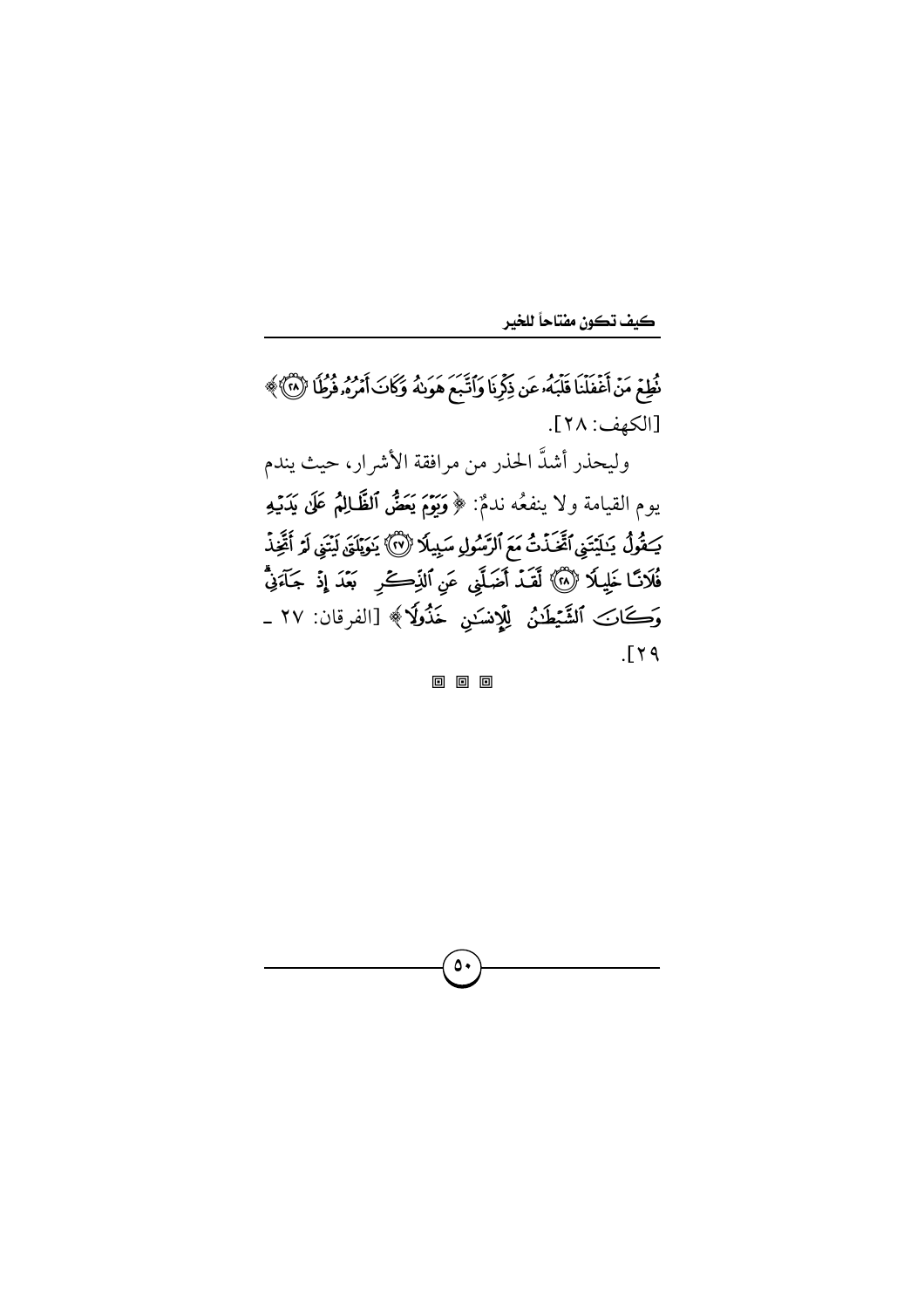ثُطِعَ مَنْ أَغَفَلْنَا قَلْبَهُ عَن ذِكْرِنَا وَأُتَّبَعَ هَوَنْهُ وَكَانَ أَمْرَهُ وَإِطَا لَا الله بَهِ [الكهف: ٢٨].

وليحذر أشدَّ الحذر من مرافقة الأشرار، حيث يندم يوم القيامة ولا ينفعُه ندمٌ: ﴿ وَيَوْمَ يَعَضُّ ٱلظَّـٰلِهُمْ عَلَىٰ يَدَيْـهِ يَكْوُلُ يَلْيَتَنِي ٱتَّخَذَتُ مَعَ ٱلرَّسُولِ سَبِيلًا (٣) يَوَلِّكَ لَيْتَنِي لَمْ أَتَّخِذُ فُلَانًا خَلِيلًا ۞ لَقَـٰذَ أَضَلَّنِي عَنِ ٱلذِّكْـرِ ۚ بَعۡدَ إِذۡ جَـٰٓءَنِّ وَكَانَ ٱلشَّيْطَنُنُ لِلْإِنسَـٰنِ خَذُولًا﴾ [الفرقان: ٢٧ \_  $\Gamma$   $\uparrow$  9

回 回 回

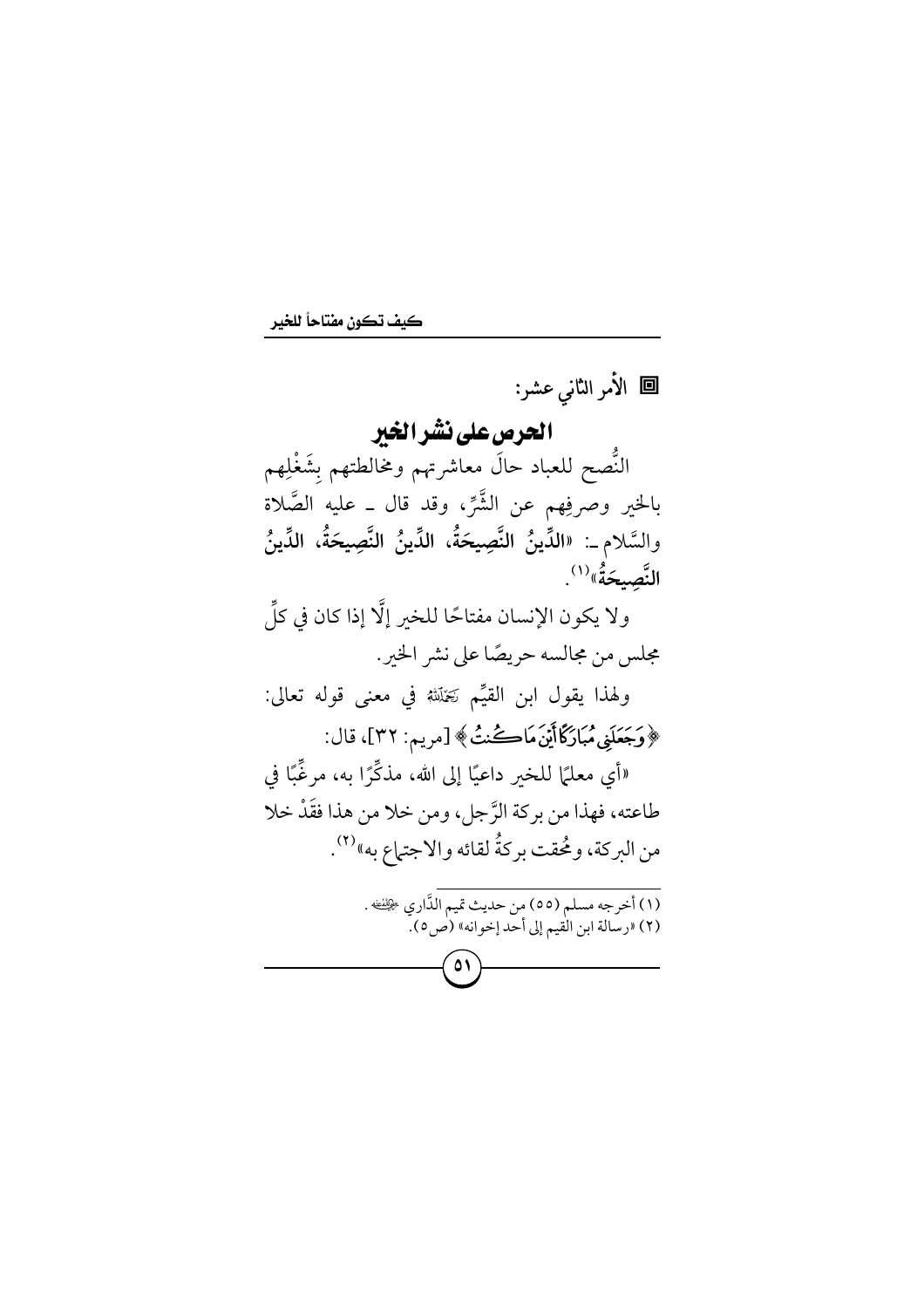回 الأمر الثاني عشر: الحرص على نشر الخبر النُّصح للعباد حالَ معاشرتهم ومخالطتهم بِشَغْلِهم بالخير وصرفِهم عن الشَّرِّ، وقد قال ـ عليه الصَّلاة والسَّلام ـ: اللدِّينُ النَّصِيحَةُ، الدِّينُ النَّصِيحَةُ، الدِّينُ النَّصِيحَةُ» (١) ولا يكون الإنسان مفتاحًا للخير إلَّا إذا كان في كلِّ، مجلس من مجالسه حريصًا على نشر الخير. ولهذا يقول ابن القيِّم كِمَلَتْهُ في معنى قوله تعالى: ﴿وَجَعَلَنِي مُبَارَكًاأَيْنَ مَاڪُنتُ﴾[مريم: ٣٢]، قال: «أي معلمًا للخير داعيًا إلى الله، مذكِّرًا به، مرغَّبًا في طاعته، فهذا من بركة الرَّجل، ومن خلا من هذا فقَدْ خلا من البركة، ومُحقت بركةُ لقائه والاجتماع به»```. (١) أخرجه مسلم (٥٥) من حديث تميم الدًّاري ﴿ يَفْضَفْ .<br>(٢) «رسالة ابن القيم إلى أحد إخوانه» (ص٥).  $\sigma$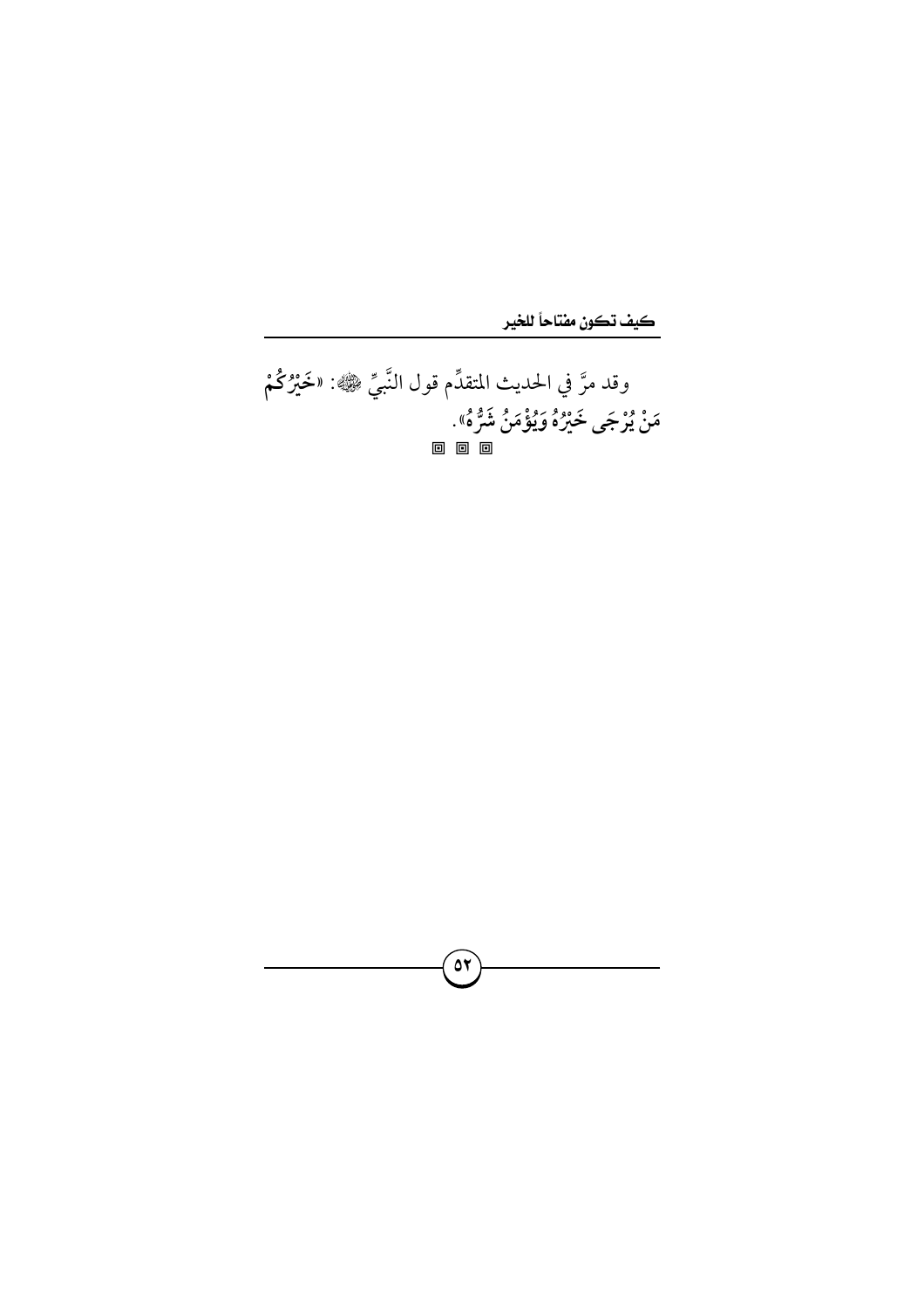# وقد مرَّ في الحديث المتقدِّم قول النَّبيِّ ﷺ: «خَيْرُكُمْ <br>مَنْ يُرْجَى خَيْرُهُ وَيُؤْمَنُ شَرُّهُ».<br>© © © ©

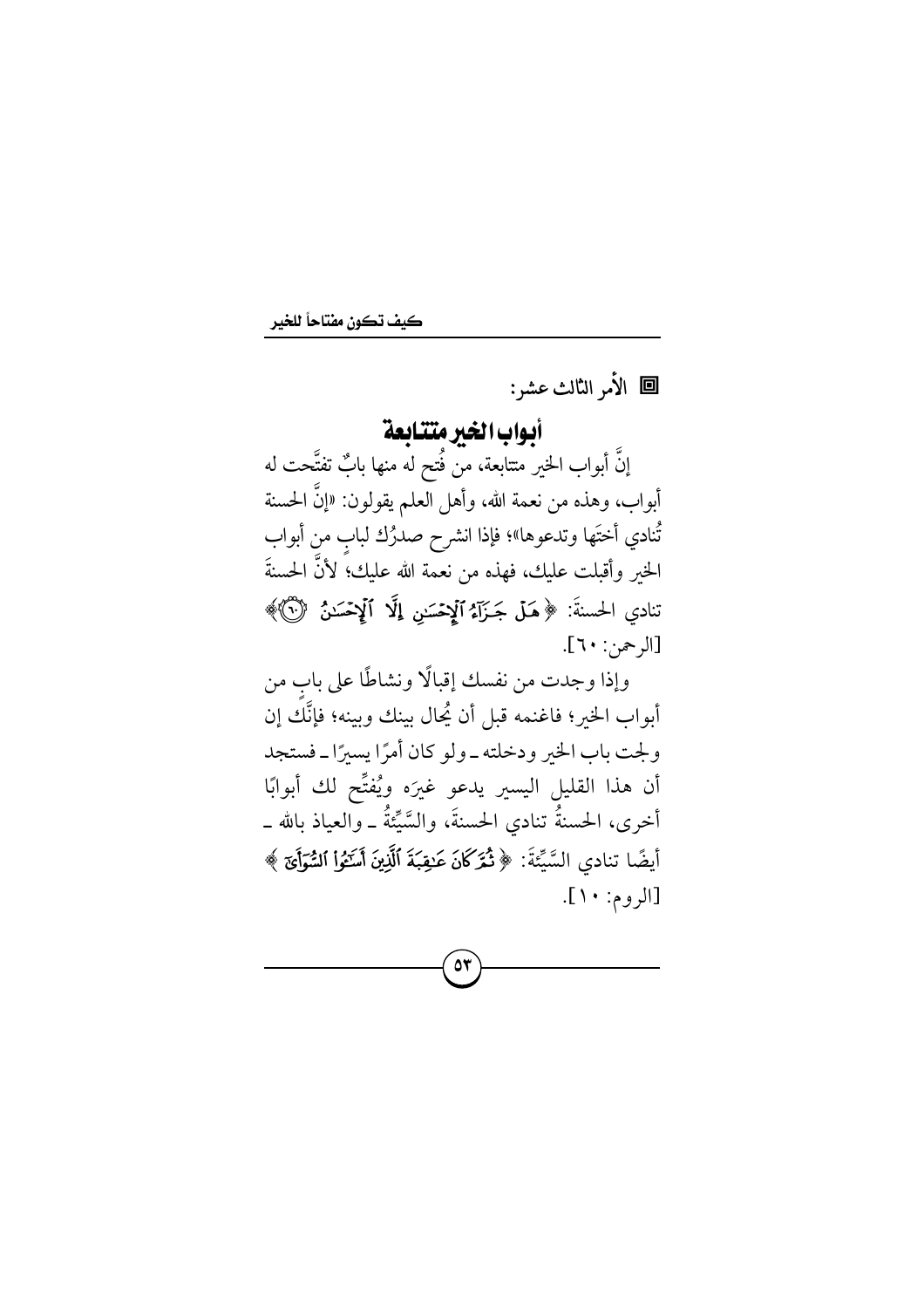回 الأمر الثالث عشر:

### أبواب الخبر متتابعة

إنَّ أبواب الخيرِ متتابعة، من فُتح له منها بابٌ تفتَّحت له أبواب، وهذه من نعمة الله، وأهل العلم يقولون: «إنَّ الحسنة تُنادي أختَها وتدعوها»؛ فإذا انشرح صدرُك لبابٍ من أبواب الخير وأقبلت عليك، فهذه من نعمَّة الله عليك؛ً لأنَّ الحسنةَ تنادى الحسنةَ: ﴿هَلْ جَـزَآهُ ٱلْإِحْسَنِنِ إِلَّا ٱلْإِحْسَنِنُ ۚ ۞﴾ [الرحمن: ٢٠].

وإذا وجدت من نفسك إقبالًا ونشاطًا على باب من أبواب الخير؛ فاغنمه قبل أن يُحال بينك وبينه؛ فإنَّكَ إن ولجت باب الخير ودخلته ــ ولو كان أمرًا يسيرًا ــ فستجد أن هذا القليل اليسير يدعو غيرَه ويُفتِّح لك أبوابًا أخرى، الحسنةُ تنادي الحسنةَ، والسَّيِّئةُ ـ والعياذ بالله ــ أَيضًا تنادي السَّيِّئةَ: ﴿ ثُمَّرَكَانَ عَنِقِبَةَ ٱلَّذِينَ أَسَوَّأُ ٱلشَّوَأَيَ ﴾ [الروم: ١٠].

 $\circ$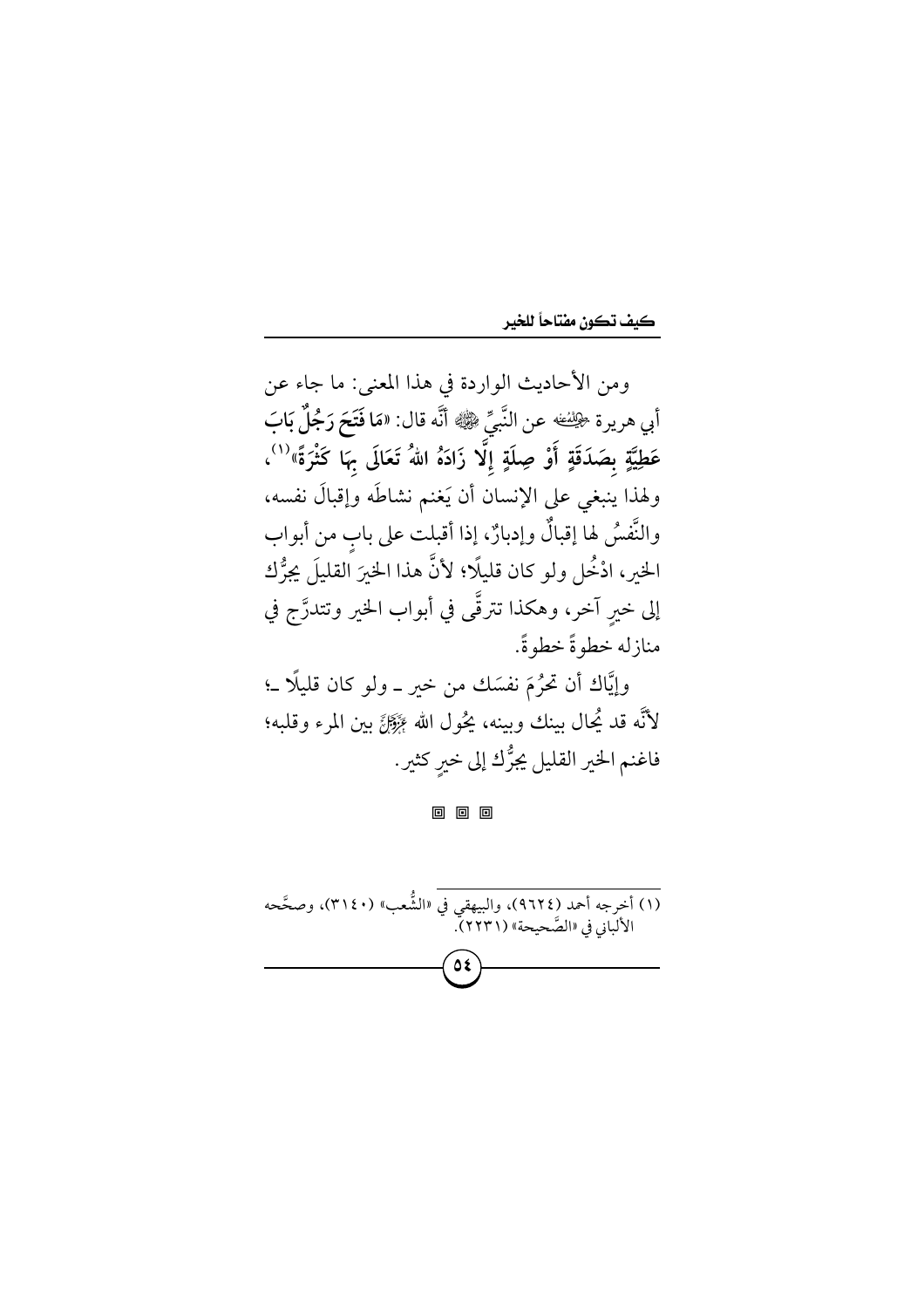ومن الأحاديث الواردة في هذا المعنى: ما جاء عن أبي هريرة ﴿لِلَّهُ عن النَّبِيِّ ۞ أَنَّه قال: «مَا فَتَحَ رَجُلٌ بَابَ عَطِيَّةٍ بِصَدَقَةٍ أَوْ صِلَةٍ إِلَّا زَادَهُ اللهُ تَعَالَى بِهَا كَثْرَةً»<sup>(١)</sup>، ولهذا ينبغي على الإنسان أن يَغنم نشاطَه وإقبالَ نفسه، والنَّفسُ لها إقبالٌ وإدبارٌ، إذا أقبلت على بابٍ من أبواب الخير، ادْخُل ولو كان قليلًا؛ لأنَّ هذا الخيرَ القليلَ يجرُّك إلى خير آخر، وهكذا تترقَّى في أبواب الخير وتتدرَّج في منازله خطوةً خطوةً.

وإيَّاك أن تحرُمَ نفسَك من خير ــ ولو كان قليلًا ـ؛ لأنَّه قد يُحال بينك وبينه، يُحُول الله عَزَّقَ} بين المرء وقلبه؛ فاغنم الخير القليل يجزُّك إلى خير كثير.

回 回 回

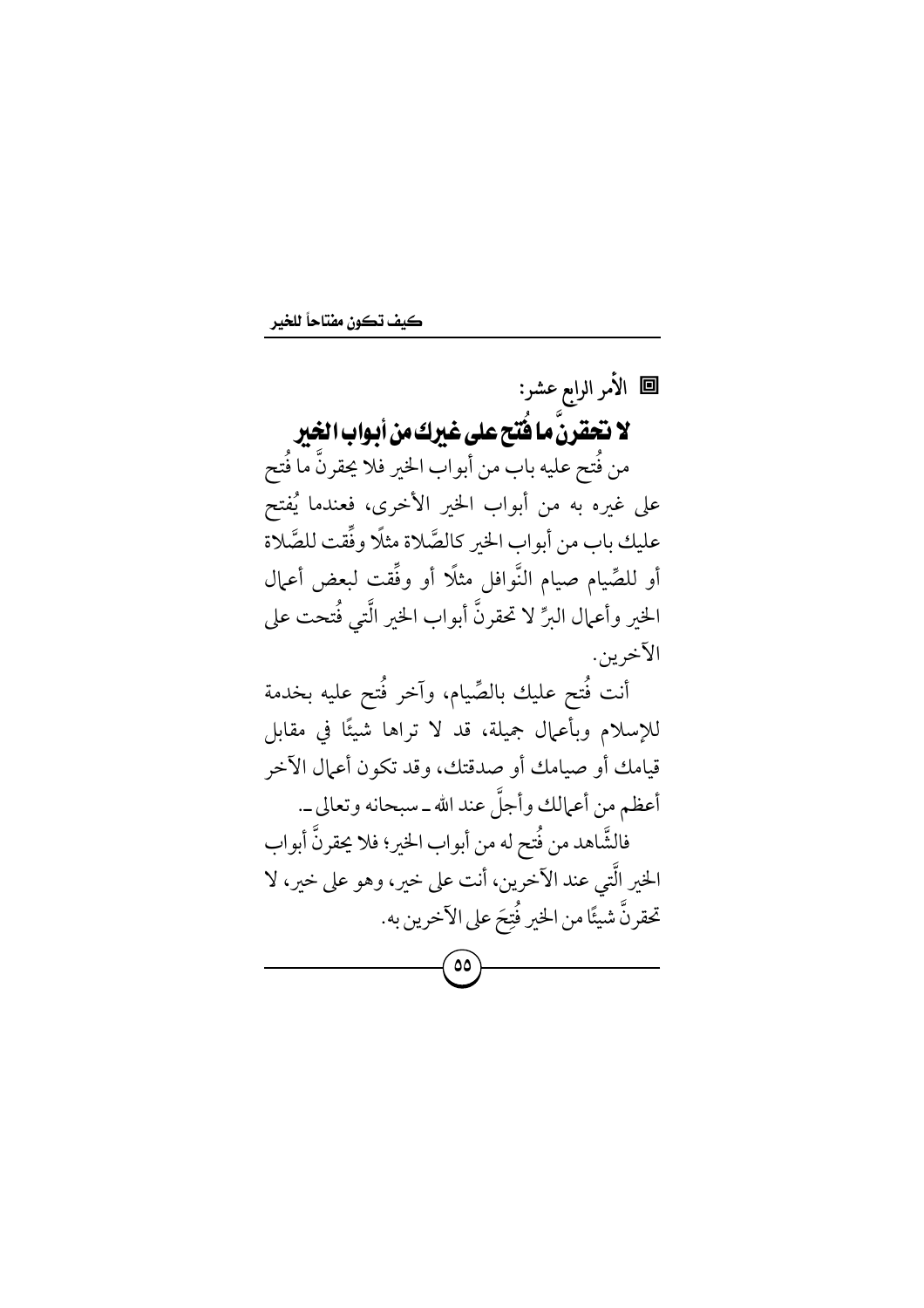回 الأمر الرابع عشر: لا تحقرنَّ ما فُتح على غيرك من أبواب الخير من فُتح عليه باب من أبواب الخير فلا يحقرنَّ ما فُتح على غيره به من أبواب الخير الأخرى، فعندما يُفتح عليك باب من أبواب الخير كالصَّلاة مثلًا وفِّقت للصَّلاة أو للصِّيام صيام النَّوافل مثلًا أو وفِّقت لبعض أعمال الخير وأعمال البرِّ لا تحقرنَّ أبواب الخير الَّتي فُتحت على الآخرين. أنت فُتح عليك بالصِّيام، وآخر فُتح عليه بخدمة

للإسلام وبأعمال جميلة، قد لا تراها شيئًا في مقابل قيامك أو صيامك أو صدقتك، وقد تكون أعمال الآخر أعظم من أعمالك وأجلَّ عند الله ـ سبحانه وتعالى ـ. فالشَّاهد من فُتح له من أبواب الخير؛ فلا يحقرنَّ أبواب الخير الَّتي عند الأخرين، أنت على خير، وهو على خير، لا تحقرنَّ شيئًا من الخير فُتِحَ على الآخرين به.  $\infty$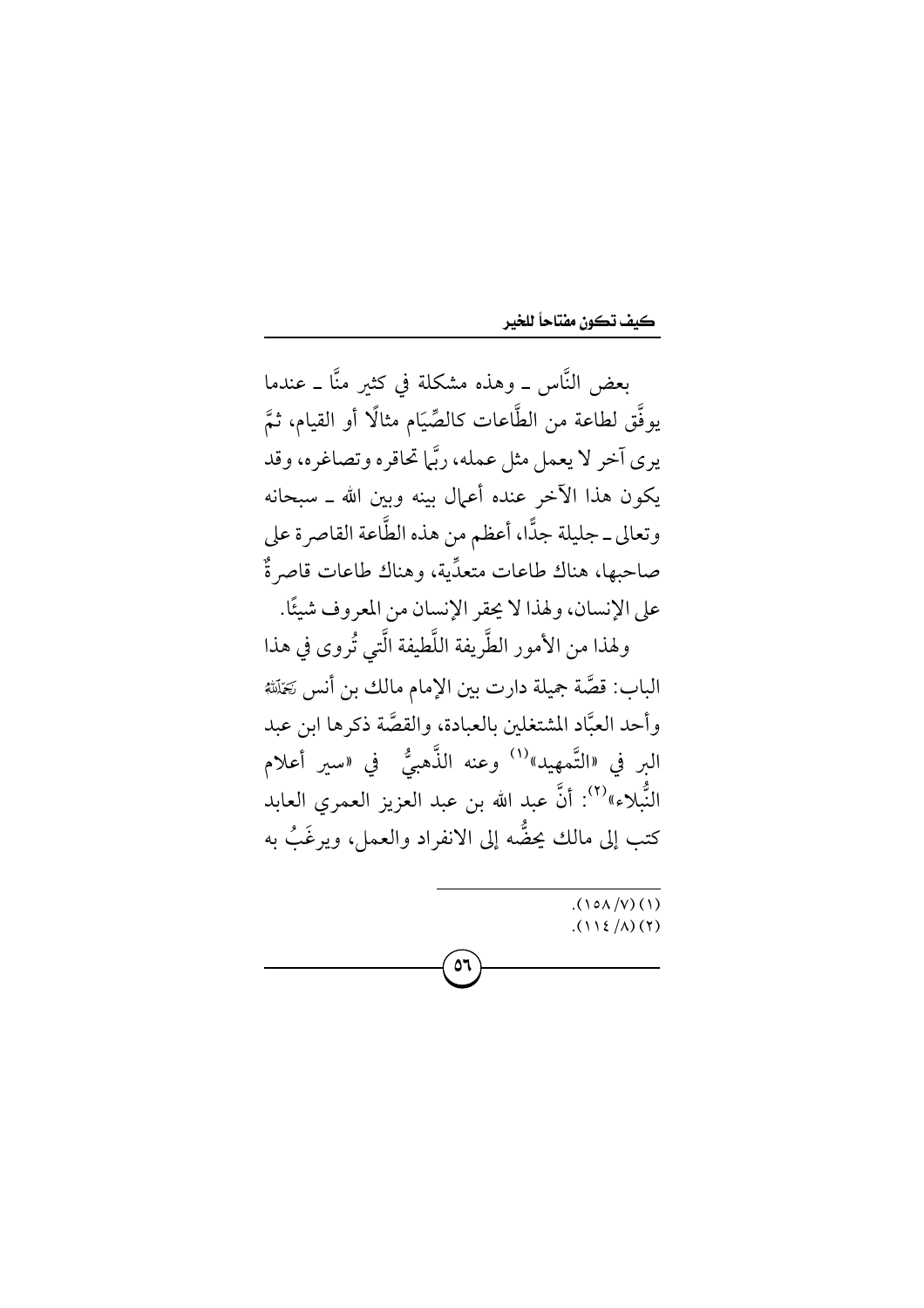بعض النَّاس ــ وهذه مشكلة في كثير منَّا ــ عندما يوفَّق لطاعة من الطَّاعات كالصِّيَام مثالًا أو القيام، ثمَّ يري آخر لا يعمل مثل عمله، ربَّها تحاقره وتصاغره، وقد يكون هذا الآخر عنده أعمال بينه وبين الله ـ سبحانه وتعالى ــ جليلة جدًّا، أعظم من هذه الطَّاعة القاصر ة على صاحبها، هناك طاعات متعدِّية، وهناك طاعات قاصرةٌ على الإنسان، ولهذا لا يحقر الإنسان من المعروف شيئًا.

ولهذا من الأمور الطَّريفة اللَّطيفة الَّتى تُروى في هذا الباب: قصَّة جميلة دارت بين الإمام مالك بن أنس رَخَلَتْه وأحد العبَّاد المشتغلين بالعبادة، والقصَّة ذكرها ابن عبد البر في «التَّمهيد»<sup>(١)</sup> وعنه الذَّهبيُّ في «سير أعلام النُّبلاء»<sup>(٢)</sup>: أنَّ عبد الله بن عبد العزيز العمري العابد كتب إلى مالك يحضُّه إلى الانفراد والعمل، ويرغَبُ به

٥٦

 $.(\lambda \circ \Lambda/V)(\Lambda)$  $.(\backslash \backslash \xi / \Lambda)$  $(Y)$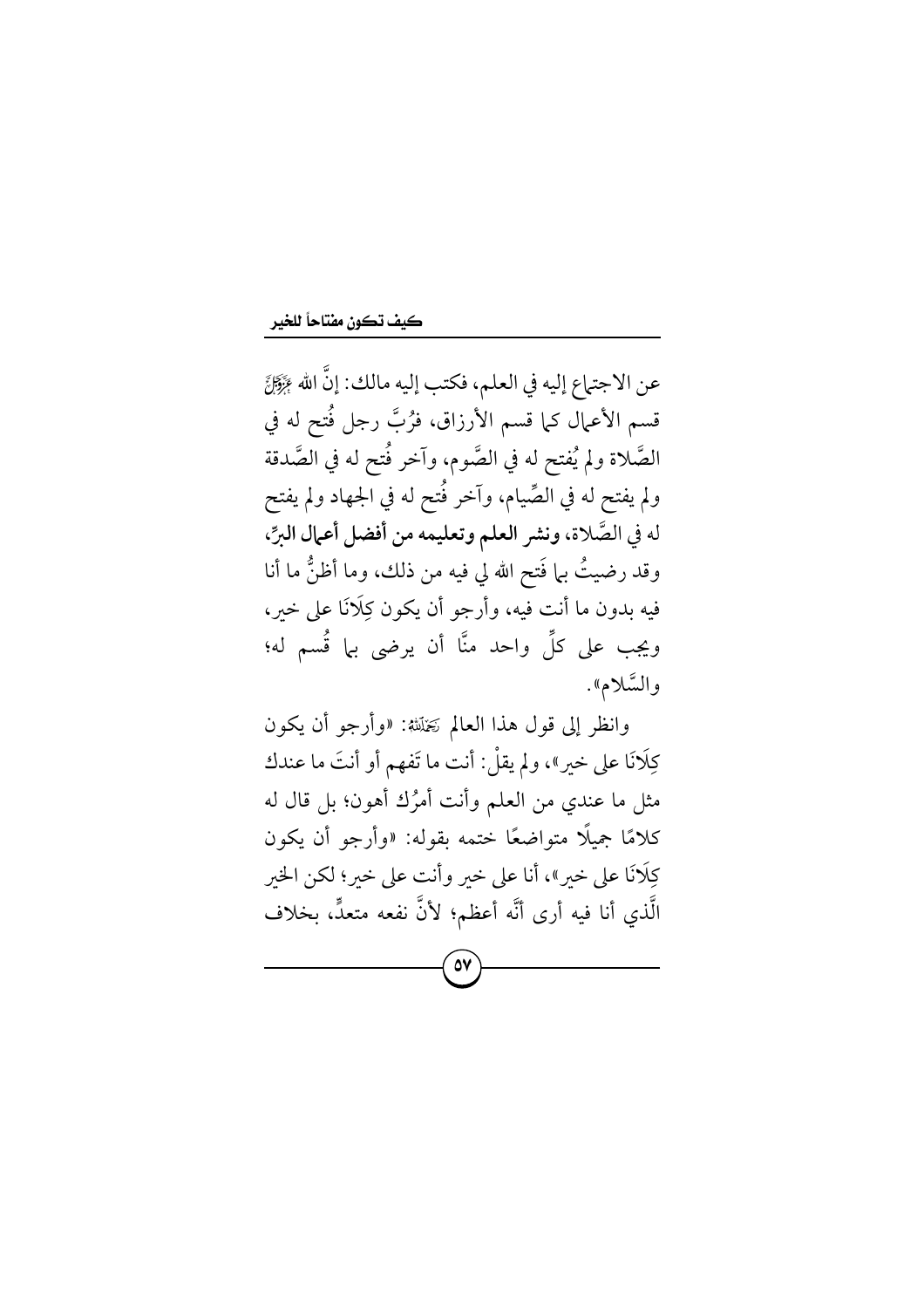عن الاجتماع إليه في العلم، فكتب إليه مالك: إنَّ الله عَزَّقَلَّ قسم الأعمال كما قسم الأرزاق، فرُبَّ رجل فُتح له في الصَّلاة ولم يُفتح له في الصَّوم، وآخر فُتح له في الصَّدقة ولم يفتح له في الصِّيام، وآخر فُتح له في الجهاد ولم يفتح له في الصَّلاة، ونشر العلم وتعليمه من أفضل أعمال البرِّ، وقد رضيتُ بيا فَتح الله لي فيه من ذلك، وما أظنُّ ما أنا فيه بدون ما أنت فيه، وأرجو أن يكون كِلَانَا على خبر، ويجب على كلِّ واحد منَّا أن يرضى بها قُسم له؛ والسَّلام».

وانظر إلى قول هذا العالم ﷺ: «وأرجو أن يكون كِلَانَا على خيرٍ»، ولم يقلْ: أنت ما تَفهم أو أنتَ ما عندك مثل ما عندي من العلم وأنت أمرُك أهون؛ بل قال له كلامًا جميلًا متواضعًا ختمه بقوله: «وأرجو أن يكون كِلَانَا على خيرٍ»، أنا على خيرٍ وأنت على خيرٍ؛ لكن الخير الَّذي أنا فيه أرى أنَّه أعظم؛ لأنَّ نفعه متعلٍّ، بخلاف

 $\alpha$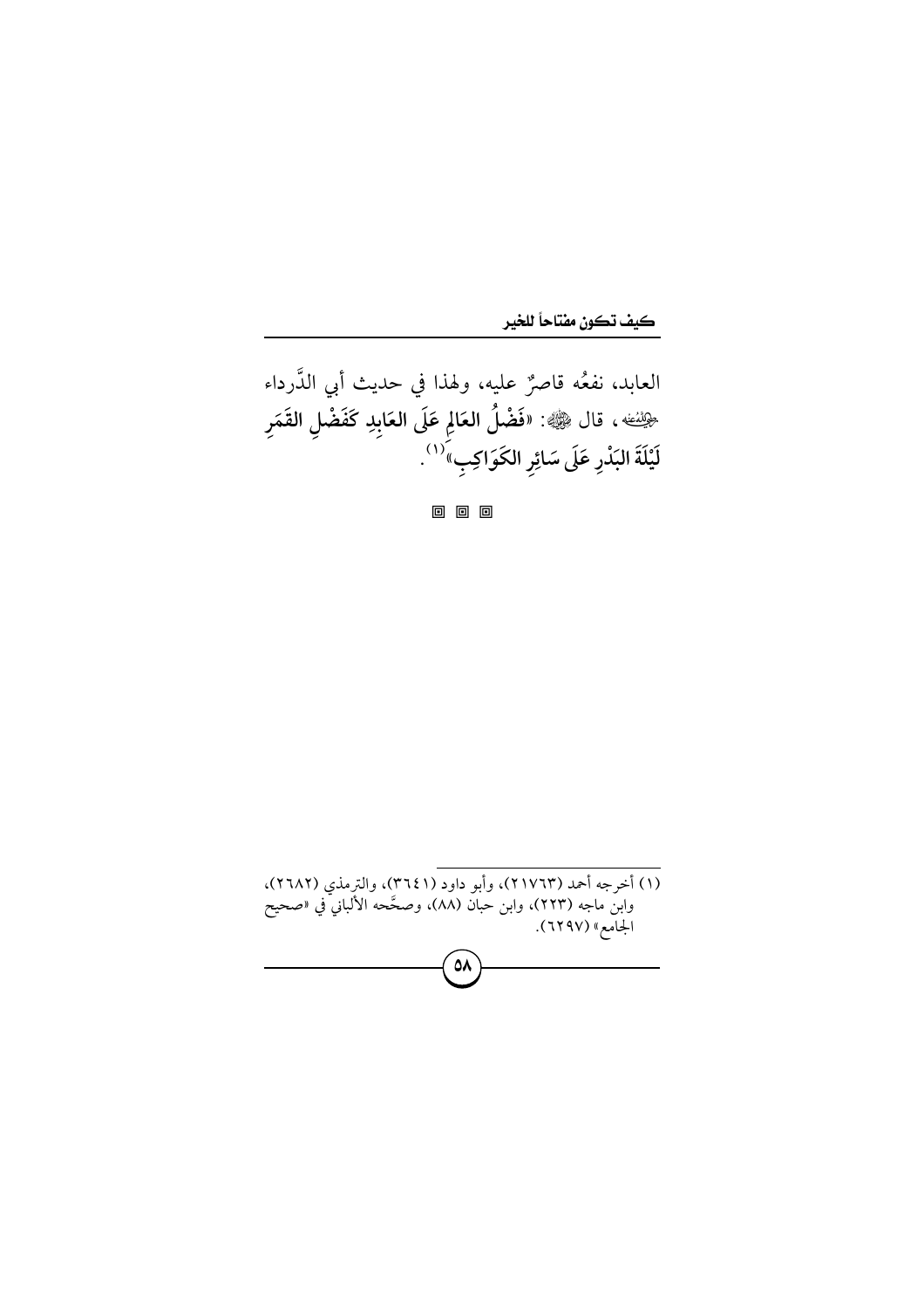العابد، نفعُه قاصرٌ عليه، ولهذا في حديث أبي الدَّرداء حِيْشَتَه ، قال ﷺ: «فَضْلُ العَالِمِ عَلَى العَابِدِ كَفَضْلِ القَمَرِ لَيْلَةَ البَدْرِ عَلَى سَائِرِ الكَوَاكِبِ<sup>»َ(١)</sup>.

回回回

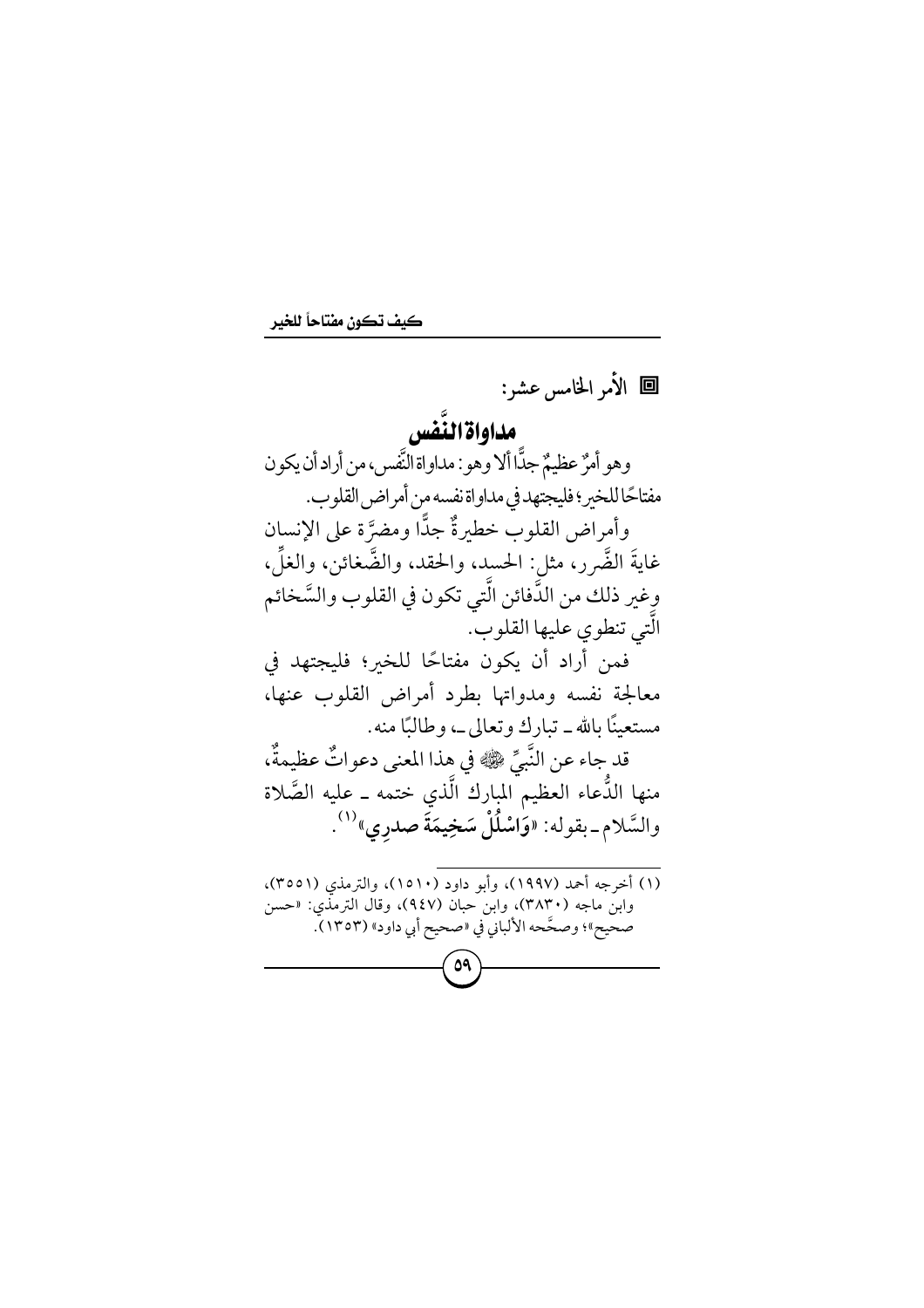回 الأمر الخامس عشر: مداواة النّفس وهو أمرٌ عظيمٌ جلًّا ألا وهو: مداواة النَّفس، من أراد أن يكون مفتاحًا للخير؛ فليجتهد في مداواة نفسه من أمراض القلوب. وأمراض القلوب خطيرةٌ جدًّا ومضرَّة على الإنسان غايةَ الضَّرر، مثل: الحسد، والحقد، والضَّغائن، والغلِّ، وِغير ذلك من الدَّفائن الَّتي تكون في القلوب والسَّخائم الَّتي تنطوي عليها القلوب. فمن أراد أن يكون مفتاحًا للخير؛ فليجتهد في معالجة نفسه ومدواتها بطرد أمراض القلوب عنها، مستعينًا بالله ــ تبارك وتعالى ــ، وطالبًا منه. قد جاء عن النَّبِيِّ ﷺ في هذا المعنى دعواتٌ عظيمةٌ، منها الدُّعاء العظيم المبارك الَّذي ختمه ـ عليه الصَّلاة والسَّلام-بقوله: «وَاسْلُلْ سَخِيمَةَ صدرى»<sup>(۱)</sup>. (۱) أخرجه أحمد (۱۹۹۷)، وأبو داود (۱۵۱۰)، والترمذي (۳۵۵۱)، وابن ماجه (۳۸۳۰)، وابن حبان (۹٤۷)، وقال الترمذي: «حسن<br>صحيح»؛ وصحَّحه الألباني في «صحيح أبي داود» (۱۳۵۳).

09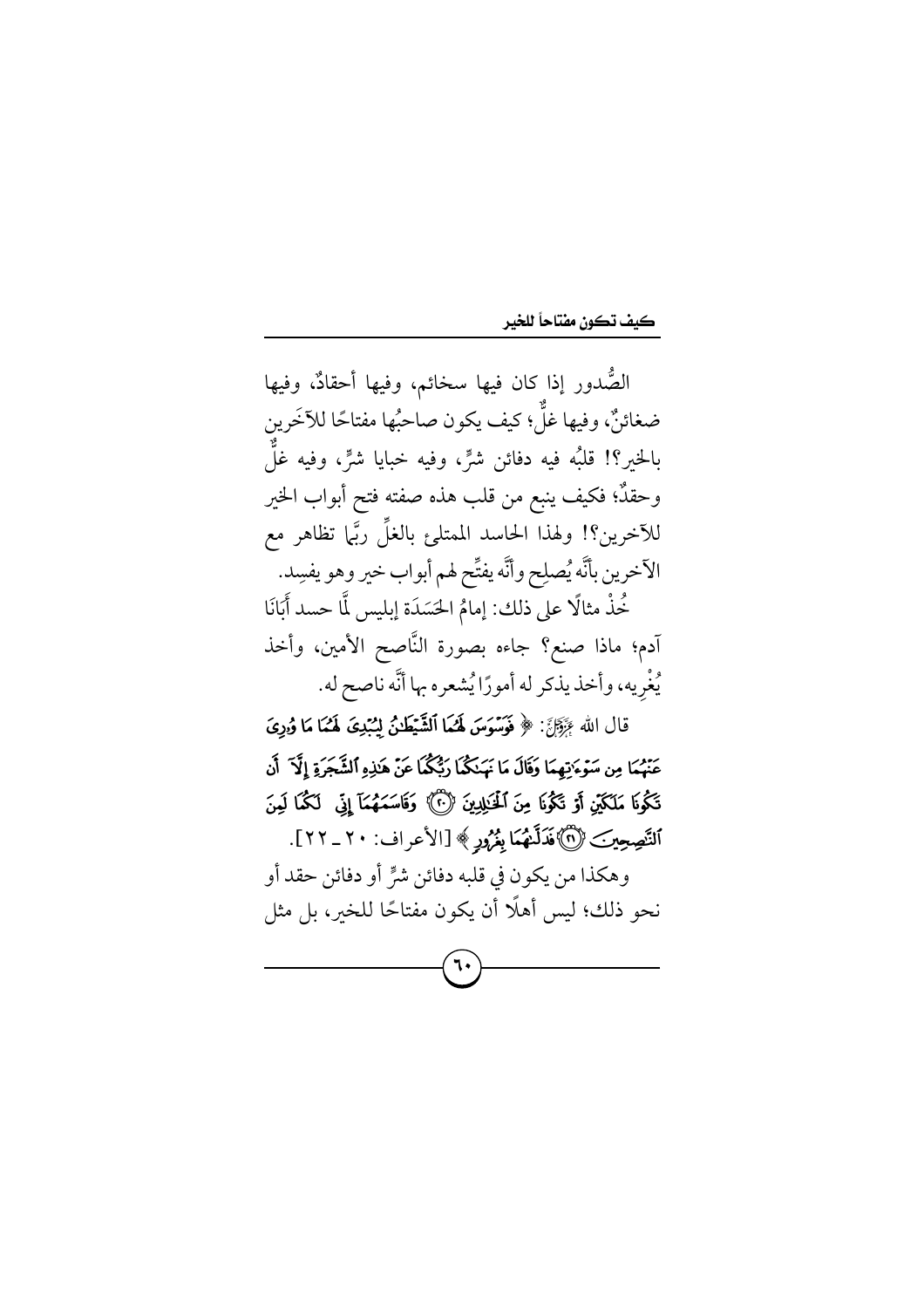الصُّدور إذا كان فيها سخائم، وفيها أحقادٌ، وفيها ضغائنٌ، وفيها غلٌّ؛ كيف يكون صاحبُها مفتاحًا للآخَرين بالخير؟! قلبُه فيه دفائن شرٍّ، وفيه خبايا شرٍّ، وفيه غلٌّ وحقدٌ؛ فكيف ينبع من قلب هذه صفته فتح أبواب الخير للآخرين؟! ولهذا الحاسد الممتلئ بالغلِّ ربَّها تظاهر مع الآخرين بأنَّه يُصلِح وأنَّه يفتِّح لهم أبواب خير وهو يفسِد. خُذْ مثالًا على ذلك: إمامُ الحَسَدَة إبليس لَّا حسد أَبَانَا

آدم؛ ماذا صنع؟ جاءه بصورة النَّاصح الأمين، وأخذ يُغْرِيه، وأخذ يذكر له أمورًا يُشعره بها أنَّه ناصح له.

قَالَ اللهُ ﷺ: ﴿ فَوَسَّوَسَ لَهُمَا ٱلشَّيْطَينُ لِيُبْدِيَ لَهُمُا مَا وُرِيَ عَنْهُمَا مِن سَوْءَتِهِمَا وَقَالَ مَا نَهَىٰكُمَا رَبُّكُمَا عَنْ هَٰذِهِ ٱلشَّجَرَةِ إِلَّا ۖ أَن تَكُونَا مَلَكَيْنِ أَوْ تَكُونَا مِنَ ٱلْخَـٰلِدِينَ ۞ ۚ وَقَاسَمَهُمَآ إِنِّي لَكُمَا لَمِنَ ٱلنَّصِحِينَ ۚ (لَا أَفَدَلَتْهُمَا بِغُرُورٍ ﴾ [الأعراف: ٢٠ ـ ٢٢].

وهكذا من يكون في قلبه دفائن شرٍّ أو دفائن حقد أو نحو ذلك؛ ليس أهلًا أن يكون مفتاحًا للخير، بل مثل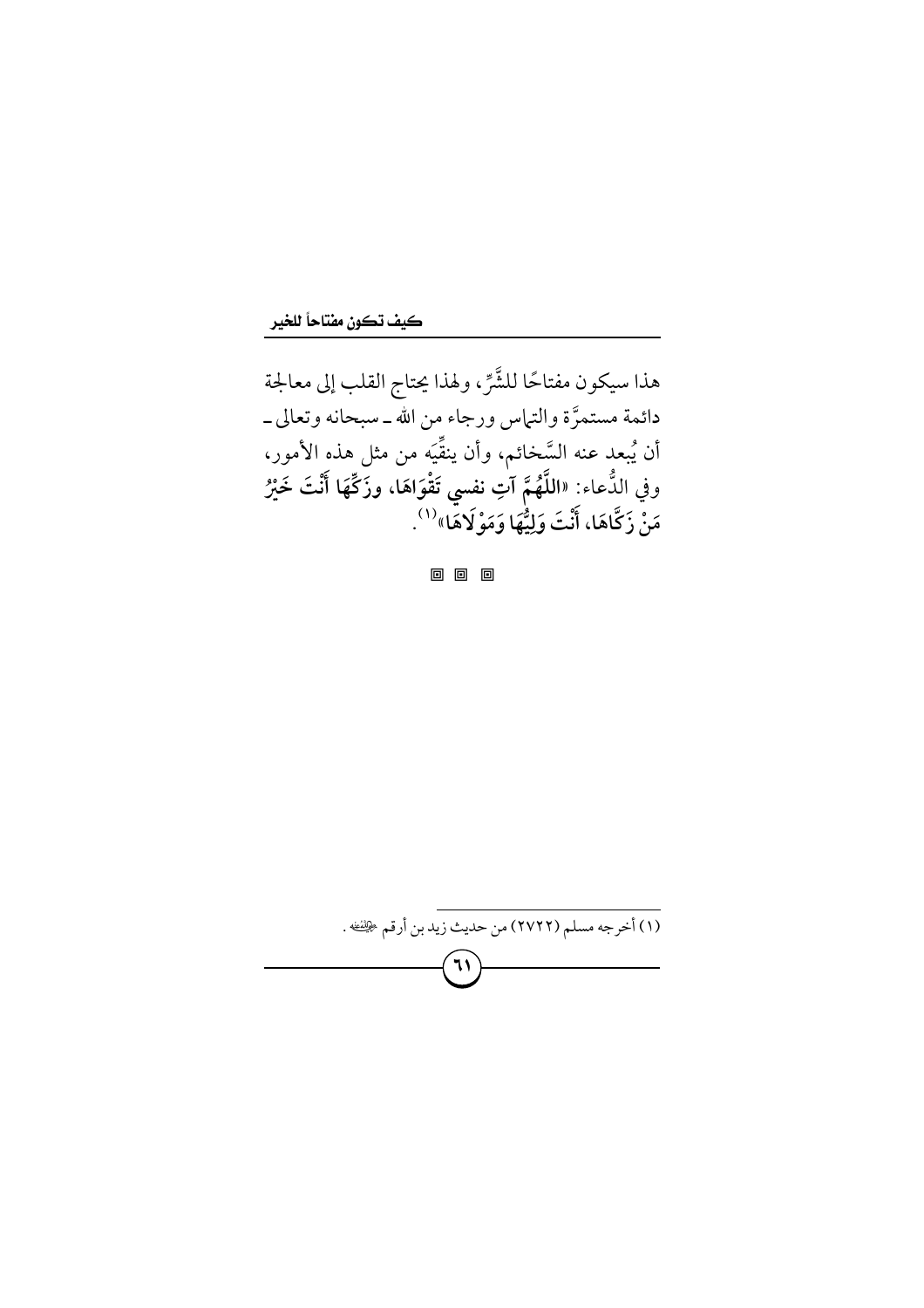هذا سيكون مفتاحًا للشَّرِّ، ولهذا يحتاج القلب إلى معالجة دائمة مستمرَّة والتماس ورجاء من الله ــ سبحانه وتعالى ــ أن يُبعد عنه السَّخائم، وأن ينقِّيَه من مثل هذه الأمور، وفي الدُّعاء: «اللَّهُمَّ آتِ نفسي تَقْوَاهَا، وزَكِّهَا أَنْتَ خَيْرُ<br>مَنْ زَكَّاهَا، أَنْتَ وَلِيُّهَا وَمَوْلَاهَا»<sup>(١)</sup>.

回 回 回

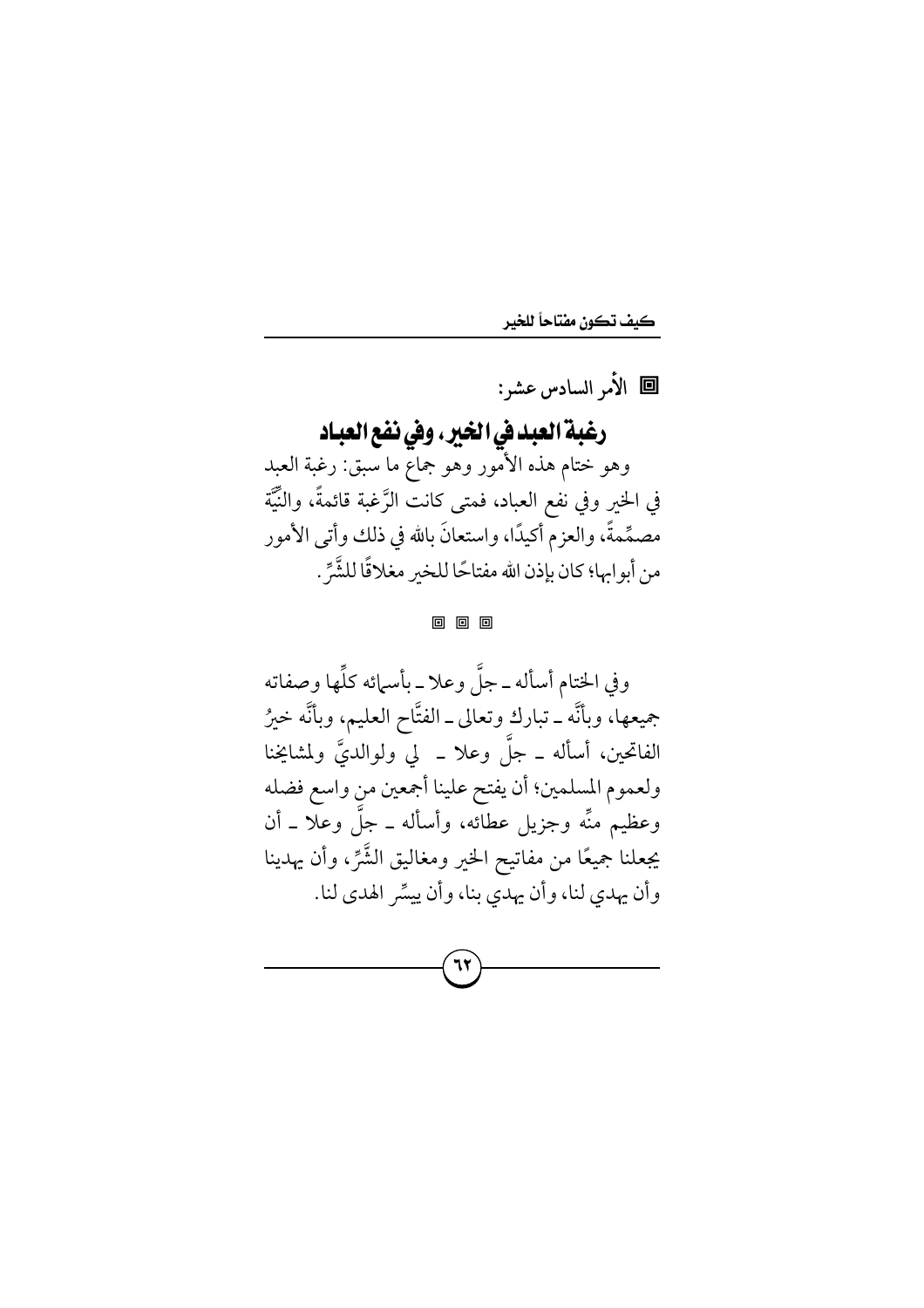回 الأمر السادس عشر: رغبة العبد في الخير، وفي نفع العباد وهو ختام هذه الأُمُور وهو جماعٌ ما سبق: رغبة العبد في الخير وفي نفع العباد، فمتى كانت الرَّغبة قائمةً، والنَّيَّة مصمِّمةً، والعزم أكيدًا، واستعانَ بالله في ذلك وأتى الأمور من أبوابها؛ كان بإذن الله مفتاحًا للخبر مغلاقًا للشَّرِّ .

**同 回 回** 

وفي الختام أسأله ــ جلَّ وعلا ــ بأسمائه كلِّها وصفاته جميعها، وبأنَّه ـ تبارك وتعالى ـ الفتَّاح العليم، وبأنَّه خيرُ الفاتحين، أسأله ــ جلَّ وعلا ــ لي ولوالديَّ ولمشايخنا ولعموم المسلمين؛ أن يفتح علينا أجمعين من واسع فضله وعظیم منَّه وجزیل عطائه، وأسأله ـ جلَّ وعلا ـ أن يجعلنا جميعًا من مفاتيح الخير ومغاليق الشَّرِّ، وأن يهدينا وأن يهدي لنا، وأن يهدي بنا، وأن ييسِّر الهدي لنا.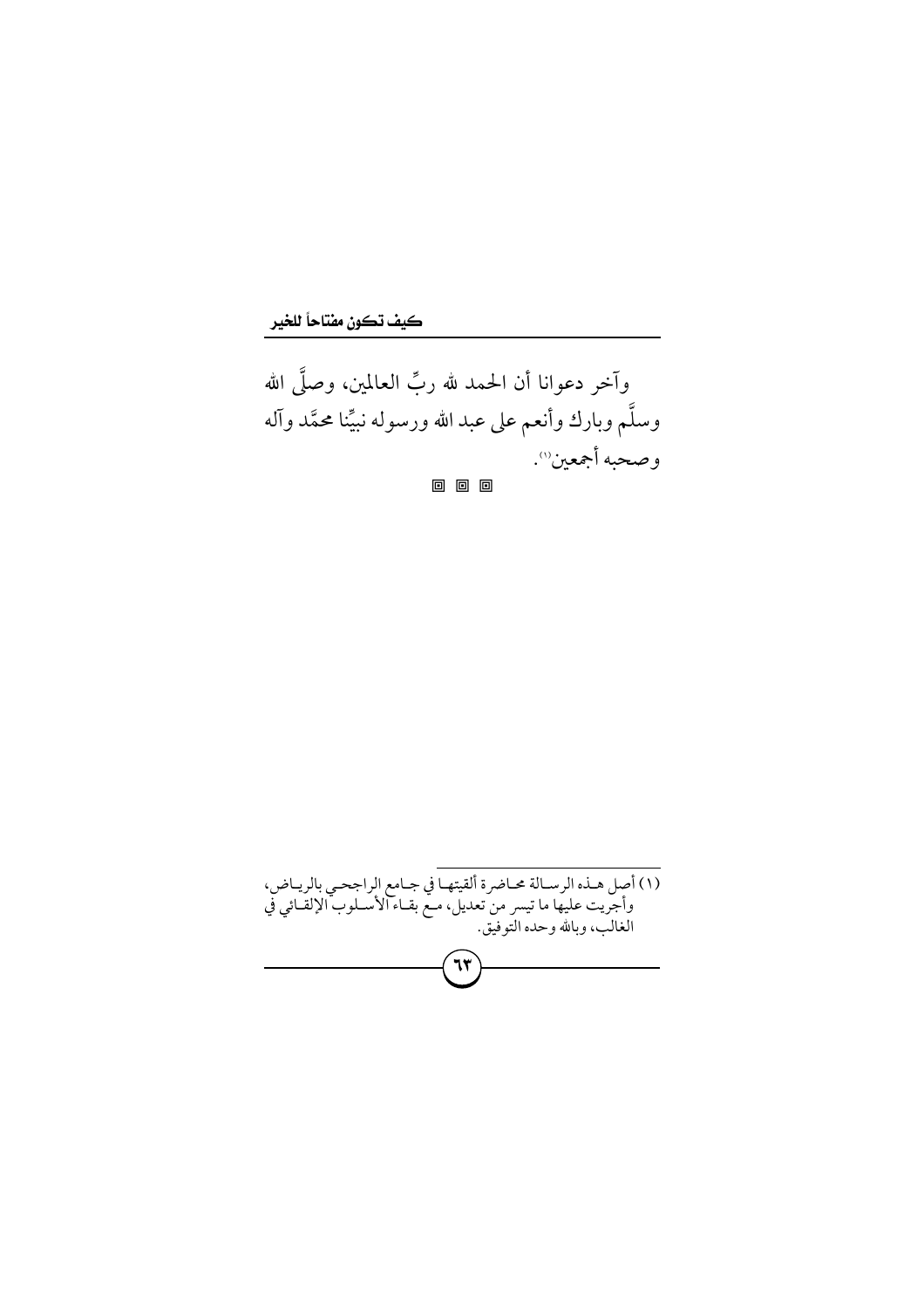## وآخر دعوانا أن الحمد لله ربِّ العالمين، وصلَّى الله وسلَّم وبارك وأنعم على عبد الله ورسوله نبيَّنا محمَّد وآله وصحبه أجمعين'''. 回回回